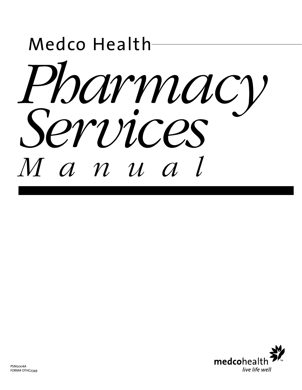

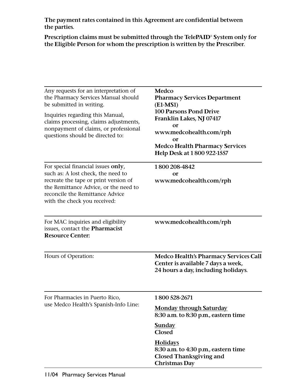**The payment rates contained in this Agreement are confidential between the parties.**

**Prescription claims must be submitted through the TelePAID® System only for the Eligible Person for whom the prescription is written by the Prescriber.**

| Any requests for an interpretation of<br>the Pharmacy Services Manual should<br>be submitted in writing.<br>Inquiries regarding this Manual,<br>claims processing, claims adjustments,<br>nonpayment of claims, or professional<br>questions should be directed to: | Medco<br><b>Pharmacy Services Department</b><br>$(E1-MS1)$<br><b>100 Parsons Pond Drive</b><br>Franklin Lakes, NJ 07417<br><b>or</b><br>www.medcohealth.com/rph<br>or<br><b>Medco Health Pharmacy Services</b><br>Help Desk at 1800 922-1557 |
|---------------------------------------------------------------------------------------------------------------------------------------------------------------------------------------------------------------------------------------------------------------------|----------------------------------------------------------------------------------------------------------------------------------------------------------------------------------------------------------------------------------------------|
| For special financial issues only,<br>such as: A lost check, the need to<br>recreate the tape or print version of<br>the Remittance Advice, or the need to<br>reconcile the Remittance Advice<br>with the check you received:                                       | 1800 208-4842<br><b>or</b><br>www.medcohealth.com/rph                                                                                                                                                                                        |
| For MAC inquiries and eligibility<br>issues, contact the Pharmacist<br><b>Resource Center:</b>                                                                                                                                                                      | www.medcohealth.com/rph                                                                                                                                                                                                                      |
| Hours of Operation:                                                                                                                                                                                                                                                 | <b>Medco Health's Pharmacy Services Call</b><br>Center is available 7 days a week,<br>24 hours a day, including holidays.                                                                                                                    |
| For Pharmacies in Puerto Rico,                                                                                                                                                                                                                                      | 1800 528-2671                                                                                                                                                                                                                                |
| use Medco Health's Spanish-Info Line:                                                                                                                                                                                                                               | <b>Monday through Saturday</b><br>8:30 a.m. to 8:30 p.m., eastern time                                                                                                                                                                       |
|                                                                                                                                                                                                                                                                     | <b>Sunday</b><br><b>Closed</b>                                                                                                                                                                                                               |
|                                                                                                                                                                                                                                                                     | <b>Holidays</b><br>8:30 a.m. to 4:30 p.m., eastern time<br><b>Closed Thanksgiving and</b><br><b>Christmas Day</b>                                                                                                                            |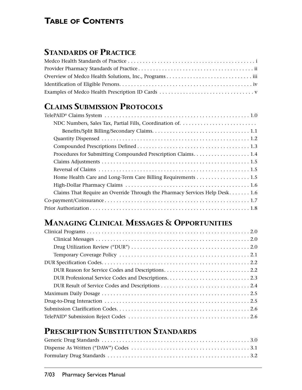# **TABLE OF CONTENTS**

## **STANDARDS OF PRACTICE**

# **CLAIMS SUBMISSION PROTOCOLS**

| Procedures for Submitting Compounded Prescription Claims. 1.4               |
|-----------------------------------------------------------------------------|
|                                                                             |
|                                                                             |
|                                                                             |
|                                                                             |
| Claims That Require an Override Through the Pharmacy Services Help Desk 1.6 |
|                                                                             |
|                                                                             |

# **MANAGING CLINICAL MESSAGES & OPPORTUNITIES**

# **PRESCRIPTION SUBSTITUTION STANDARDS**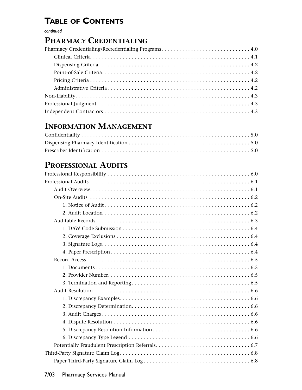# **TABLE OF CONTENTS**

*continued*

## **PHARMACY CREDENTIALING**

# **INFORMATION MANAGEMENT**

# **PROFESSIONAL AUDITS**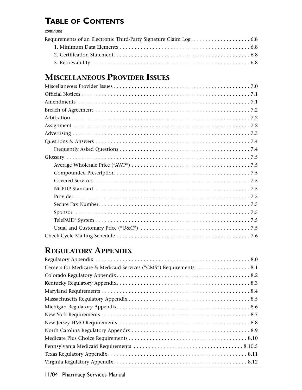# **TABLE OF CONTENTS**

#### *continued*

# **MISCELLANEOUS PROVIDER ISSUES**

# **REGULATORY APPENDIX**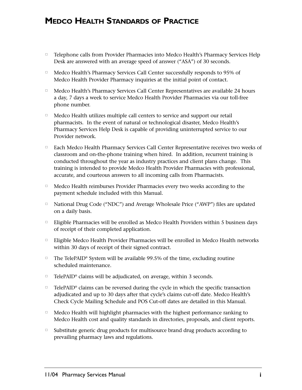## **MEDCO HEALTH STANDARDS OF PRACTICE**

- □ Telephone calls from Provider Pharmacies into Medco Health's Pharmacy Services Help Desk are answered with an average speed of answer ("ASA") of 30 seconds.
- $\hfill \square$  Medco Health's Pharmacy Services Call Center successfully responds to 95% of Medco Health Provider Pharmacy inquiries at the initial point of contact.
- □ Medco Health's Pharmacy Services Call Center Representatives are available 24 hours a day, 7 days a week to service Medco Health Provider Pharmacies via our toll-free phone number.
- □ Medco Health utilizes multiple call centers to service and support our retail pharmacists. In the event of natural or technological disaster, Medco Health's Pharmacy Services Help Desk is capable of providing uninterrupted service to our Provider network.
- □ Each Medco Health Pharmacy Services Call Center Representative receives two weeks of classroom and on-the-phone training when hired. In addition, recurrent training is conducted throughout the year as industry practices and client plans change. This training is intended to provide Medco Health Provider Pharmacies with professional, accurate, and courteous answers to all incoming calls from Pharmacists.
- $\hfill \square$  Medco Health reimburses Provider Pharmacies every two weeks according to the payment schedule included with this Manual.
- □ National Drug Code ("NDC") and Average Wholesale Price ("AWP") files are updated on a daily basis.
- □ Eligible Pharmacies will be enrolled as Medco Health Providers within 5 business days of receipt of their completed application.
- □ Eligible Medco Health Provider Pharmacies will be enrolled in Medco Health networks within 30 days of receipt of their signed contract.
- □ The TelePAID® System will be available 99.5% of the time, excluding routine scheduled maintenance.
- □ TelePAID® claims will be adjudicated, on average, within 3 seconds.
- □ TelePAID® claims can be reversed during the cycle in which the specific transaction adjudicated and up to 30 days after that cycle's claims cut-off date. Medco Health's Check Cycle Mailing Schedule and POS Cut-off dates are detailed in this Manual.
- $\Box$  - Medco Health will highlight pharmacies with the highest performance ranking to Medco Health cost and quality standards in directories, proposals, and client reports.
- $\Box$  Substitute generic drug products for multisource brand drug products according to prevailing pharmacy laws and regulations.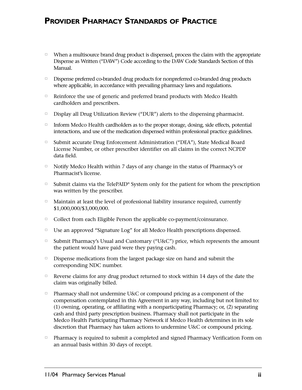## **PROVIDER PHARMACY STANDARDS OF PRACTICE**

- □ When a multisource brand drug product is dispensed, process the claim with the appropriate Dispense as Written ("DAW") Code according to the DAW Code Standards Section of this Manual.
- Dispense preferred co-branded drug products for nonpreferred co-branded drug products where applicable, in accordance with prevailing pharmacy laws and regulations.
- <sup>n</sup> Reinforce the use of generic and preferred brand products with Medco Health cardholders and prescribers.
- Display all Drug Utilization Review ("DUR") alerts to the dispensing pharmacist.
- Inform Medco Health cardholders as to the proper storage, dosing, side effects, potential interactions, and use of the medication dispensed within professional practice guidelines.
- □ Submit accurate Drug Enforcement Administration ("DEA"), State Medical Board License Number, or other prescriber identifier on all claims in the correct NCPDP data field.
- □ Notify Medco Health within 7 days of any change in the status of Pharmacy's or Pharmacist's license.
- □ Submit claims via the TelePAID® System only for the patient for whom the prescription was written by the prescriber.
- Maintain at least the level of professional liability insurance required, currently \$1,000,000/\$3,000,000.
- <sup>o</sup> Collect from each Eligible Person the applicable co-payment/coinsurance.
- □ Use an approved "Signature Log" for all Medco Health prescriptions dispensed.
- □ Submit Pharmacy's Usual and Customary ("U&C") price, which represents the amount the patient would have paid were they paying cash.
- Dispense medications from the largest package size on hand and submit the corresponding NDC number.
- <sup>n</sup> Reverse claims for any drug product returned to stock within 14 days of the date the claim was originally billed.
- □ Pharmacy shall not undermine U&C or compound pricing as a component of the compensation contemplated in this Agreement in any way, including but not limited to: (1) owning, operating, or affiliating with a nonparticipating Pharmacy; or, (2) separating cash and third party prescription business. Pharmacy shall not participate in the Medco Health Participating Pharmacy Network if Medco Health determines in its sole discretion that Pharmacy has taken actions to undermine U&C or compound pricing.
- $\Box$  Pharmacy is required to submit a completed and signed Pharmacy Verification Form on an annual basis within 30 days of receipt.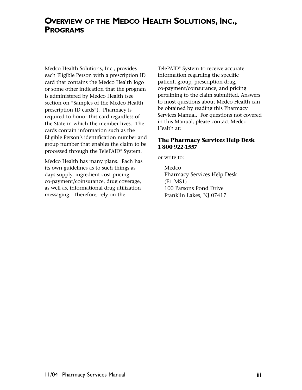## **OVERVIEW OF THE MEDCO HEALTH SOLUTIONS, INC., PROGRAMS**

Medco Health Solutions, Inc., provides each Eligible Person with a prescription ID card that contains the Medco Health logo or some other indication that the program is administered by Medco Health (see section on "Samples of the Medco Health prescription ID cards"). Pharmacy is required to honor this card regardless of the State in which the member lives. The cards contain information such as the Eligible Person's identification number and group number that enables the claim to be processed through the TelePAID® System.

Medco Health has many plans. Each has its own guidelines as to such things as days supply, ingredient cost pricing, co-payment/coinsurance, drug coverage, as well as, informational drug utilization messaging. Therefore, rely on the

TelePAID® System to receive accurate information regarding the specific patient, group, prescription drug, co-payment/coinsurance, and pricing pertaining to the claim submitted. Answers to most questions about Medco Health can be obtained by reading this Pharmacy Services Manual. For questions not covered in this Manual, please contact Medco Health at:

#### **The Pharmacy Services Help Desk 1 800 922-1557**

or write to:

Medco Pharmacy Services Help Desk (E1-MS1) 100 Parsons Pond Drive Franklin Lakes, NJ 07417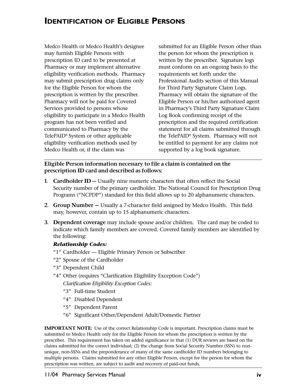## **IDENTIFICATION OF ELIGIBLE PERSONS**

Medco Health or Medco Health's designee may furnish Eligible Persons with prescription ID card to be presented at Pharmacy or may implement alternative eligibility verification methods. Pharmacy may submit prescription drug claims only for the Eligible Person for whom the prescription is written by the prescriber. Pharmacy will not be paid for Covered Services provided to persons whose eligibility to participate in a Medco Health program has not been verified and communicated to Pharmacy by the TelePAID® System or other applicable eligibility verification methods used by Medco Health or, if the claim was

submitted for an Eligible Person other than the person for whom the prescription is written by the prescriber. Signature logs must conform on an ongoing basis to the requirements set forth under the Professional Audits section of this Manual for Third Party Signature Claim Logs. Pharmacy will obtain the signature of the Eligible Person or his/her authorized agent in Pharmacy's Third Party Signature Claim Log Book confirming receipt of the prescription and the required certification statement for all claims submitted through the TelePAID® System. Pharmacy will not be entitled to payment for any claims not supported by a log book signature.

#### **Eligible Person information necessary to file a claim is contained on the prescription ID card and described as follows:**

- **1. Cardholder ID –** Usually nine numeric characters that often reflect the Social Security number of the primary cardholder. The National Council for Prescription Drug Programs ("NCPDP") standard for this field allows up to 20 alphanumeric characters.
- **2. Group Number** Usually a 7-character field assigned by Medco Health. This field may, however, contain up to 15 alphanumeric characters.
- **3. Dependent coverage** may include spouse and/or children. The card may be coded to indicate which family members are covered. Covered family members are identified by the following:

#### *Relationship Codes:*

- "1" Cardholder Eligible Primary Person or Subscriber
- "2" Spouse of the Cardholder
- "3" Dependent Child
- "4" Other (requires "Clarification Eligibility Exception Code")
	- *Clarification Eligibility Exception Codes:*
	- "3" Full-time Student
	- "4" Disabled Dependent
	- "5" Dependent Parent
	- "6" Significant Other/Dependent Adult/Domestic Partner

**IMPORTANT NOTE:** Use of the correct Relationship Code is important. Prescription claims must be submitted to Medco Health only for the Eligible Person for whom the prescription is written by the prescriber. This requirement has taken on added significance in that (1) DUR reviews are based on the claims submitted for the correct individual; (2) the change from Social Security Number (SSN) to nonunique, non-SSNs and the preponderance of many of the same cardholder ID numbers belonging to multiple persons. Claims submitted for any other Eligible Person, except for the person for whom the prescription was written, are subject to audit and recovery of paid-out funds.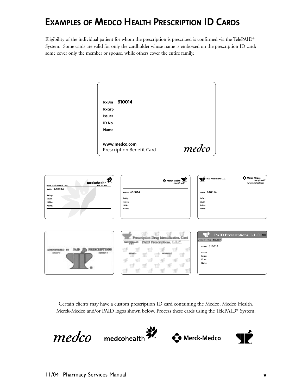# **EXAMPLES OF MEDCO HEALTH PRESCRIPTION ID CARDS**

Eligibility of the individual patient for whom the prescription is prescribed is confirmed via the TelePAID® System. Some cards are valid for only the cardholder whose name is embossed on the prescription ID card; some cover only the member or spouse, while others cover the entire family.

| <b>RxGrp</b>              |       |
|---------------------------|-------|
| <b>Issuer</b>             |       |
| ID No.                    |       |
| <b>Name</b>               |       |
| www.medco.com             |       |
| Prescription Benefit Card | medco |

| ₩<br>medcohealth<br>live life well<br>www.medcohealth.com                   | $\bigoplus_{\text{Lire life well}}\text{Mer}$                                                                           | PAID Prescriptions, L.L.C.<br><b>CA</b> MELEK MEDEQ<br>Live life well"<br>www.medcohealth.com |
|-----------------------------------------------------------------------------|-------------------------------------------------------------------------------------------------------------------------|-----------------------------------------------------------------------------------------------|
| RxBin: 610014                                                               | RxBin: 610014                                                                                                           | RxBin: 610014                                                                                 |
| RxGrp:<br>Issuer:                                                           | RxGrp:                                                                                                                  | RxGrp:                                                                                        |
| ID No.:<br>Name:                                                            | Issuer:<br>ID No.:                                                                                                      | Issuer:<br>ID No.:                                                                            |
|                                                                             | Name:                                                                                                                   | Name:                                                                                         |
|                                                                             | Prescription Drug Identification Card<br>PAID Prescriptions, L.L.C.<br>120603                                           | PAID Prescriptions, L.L.C. 8003<br>www.merckmedco.com                                         |
| <b>PRESCRIPTIONS</b><br>PAID R<br>NOTESED<br>DROSP'+<br><b>NOMBOR &amp;</b> | ЧĒ<br>ЧF<br>ЧP<br>SIT<br>ПF<br>ЧF<br>ЧI<br>Ŧ<br>ЧP<br>ЧF<br>ЧĒ<br>ा!<br>ЧIJ<br><b>STE</b><br>पारि<br>亚<br>Th<br>W<br>ЧĒ | RxBin: 610014<br>RxGrp:<br>Issuer:<br>ID No.:<br>Name:                                        |

Certain clients may have a custom prescription ID card containing the Medco, Medco Health, Merck-Medco and/or PAID logos shown below. Process these cards using the TelePAID® System.

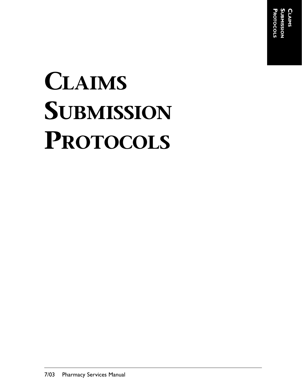**SUBMISSION CLAIMS PROTOCOLS** ROTOCOLS

# **CLAIMS SUBMISSION PROTOCOLS**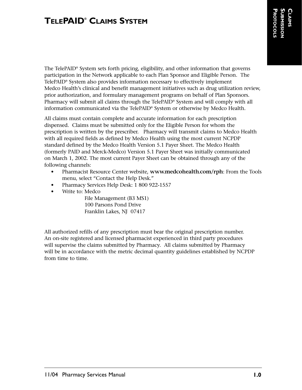The TelePAID® System sets forth pricing, eligibility, and other information that governs participation in the Network applicable to each Plan Sponsor and Eligible Person. The TelePAID® System also provides information necessary to effectively implement Medco Health's clinical and benefit management initiatives such as drug utilization review, prior authorization, and formulary management programs on behalf of Plan Sponsors. Pharmacy will submit all claims through the TelePAID® System and will comply with all information communicated via the TelePAID® System or otherwise by Medco Health.

All claims must contain complete and accurate information for each prescription dispensed. Claims must be submitted only for the Eligible Person for whom the prescription is written by the prescriber. Pharmacy will transmit claims to Medco Health with all required fields as defined by Medco Health using the most current NCPDP standard defined by the Medco Health Version 5.1 Payer Sheet. The Medco Health (formerly PAID and Merck-Medco) Version 5.1 Payer Sheet was initially communicated on March 1, 2002. The most current Payer Sheet can be obtained through any of the following channels:

- Pharmacist Resource Center website, **www.medcohealth.com/rph**: From the Tools menu, select "Contact the Help Desk."
- Pharmacy Services Help Desk: 1 800 922-1557
- Write to: Medco

File Management (B3 MS1) 100 Parsons Pond Drive Franklin Lakes, NJ 07417

All authorized refills of any prescription must bear the original prescription number. An on-site registered and licensed pharmacist experienced in third party procedures will supervise the claims submitted by Pharmacy. All claims submitted by Pharmacy will be in accordance with the metric decimal quantity guidelines established by NCPDP from time to time.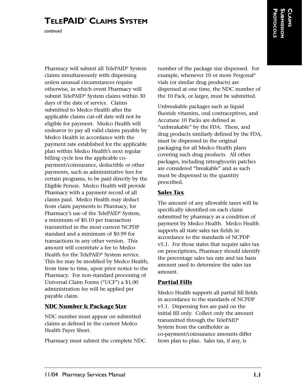*continued*

**CLAIMS SUBMISSION PROTOCOLS**

Pharmacy will submit all TelePAID® System claims simultaneously with dispensing unless unusual circumstances require otherwise, in which event Pharmacy will submit TelePAID® System claims within 30 days of the date of service. Claims submitted to Medco Health after the applicable claims cut-off date will not be eligible for payment. Medco Health will endeavor to pay all valid claims payable by Medco Health in accordance with the payment rate established for the applicable plan within Medco Health's next regular billing cycle less the applicable copayment/coinsurance, deductible or other payments, such as administrative fees for certain programs, to be paid directly by the Eligible Person. Medco Health will provide Pharmacy with a payment record of all claims paid. Medco Health may deduct from claim payments to Pharmacy, for Pharmacy's use of the TelePAID® System, a minimum of \$0.10 per transaction transmitted in the most current NCPDP standard and a minimum of \$0.99 for transactions in any other version. This amount will constitute a fee to Medco Health for the TelePAID® System service. This fee may be modified by Medco Health, from time to time, upon prior notice to the Pharmacy. For non-standard processing of Universal Claim Forms ("UCF") a \$1.00 administration fee will be applied per payable claim.

#### **NDC Number & Package Size**

NDC number must appear on submitted claims as defined in the current Medco Health Payer Sheet.

Pharmacy must submit the complete NDC

number of the package size dispensed. For example, whenever 10 or more Pergonal® vials (or similar drug products) are dispensed at one time, the NDC number of the 10 Pack, or larger, must be submitted.

Unbreakable packages such as liquid fluoride vitamins, oral contraceptives, and Accutane 10 Packs are defined as "unbreakable" by the FDA. These, and drug products similarly defined by the FDA, must be dispensed in the original packaging for all Medco Health plans covering such drug products. All other packages, including nitroglycerin patches are considered "breakable" and as such must be dispensed in the quantity prescribed.

#### **Sales Tax**

The amount of any allowable taxes will be specifically identified on each claim submitted by pharmacy as a condition of payment by Medco Health. Medco Health supports all state sales tax fields in accordance to the standards of NCPDP v5.1. For those states that require sales tax on prescriptions, Pharmacy should identify the percentage sales tax rate and tax basis amount used to determine the sales tax amount.

#### **Partial Fills**

Medco Health supports all partial fill fields in accordance to the standards of NCPDP v5.1. Dispensing fees are paid on the initial fill only. Collect only the amount transmitted through the TelePAID® System from the cardholder as co-payment/coinsurance amounts differ from plan to plan. Sales tax, if any, is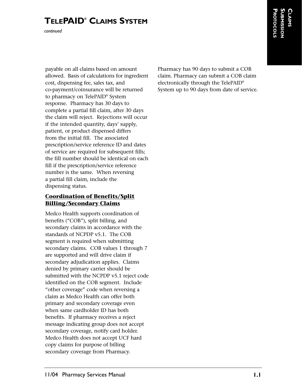*continued*

payable on all claims based on amount allowed. Basis of calculations for ingredient cost, dispensing fee, sales tax, and co-payment/coinsurance will be returned to pharmacy on TelePAID® System response. Pharmacy has 30 days to complete a partial fill claim, after 30 days the claim will reject. Rejections will occur if the intended quantity, days' supply, patient, or product dispensed differs from the initial fill. The associated prescription/service reference ID and dates of service are required for subsequent fills; the fill number should be identical on each fill if the prescription/service reference number is the same. When reversing a partial fill claim, include the dispensing status.

#### **Coordination of Benefits/Split Billing/Secondary Claims**

Medco Health supports coordination of benefits ("COB"), split billing, and secondary claims in accordance with the standards of NCPDP v5.1. The COB segment is required when submitting secondary claims. COB values 1 through 7 are supported and will drive claim if secondary adjudication applies. Claims denied by primary carrier should be submitted with the NCPDP v5.1 reject code identified on the COB segment. Include "other coverage" code when reversing a claim as Medco Health can offer both primary and secondary coverage even when same cardholder ID has both benefits. If pharmacy receives a reject message indicating group does not accept secondary coverage, notify card holder. Medco Health does not accept UCF hard copy claims for purpose of billing secondary coverage from Pharmacy.

Pharmacy has 90 days to submit a COB claim. Pharmacy can submit a COB claim electronically through the TelePAID® System up to 90 days from date of service.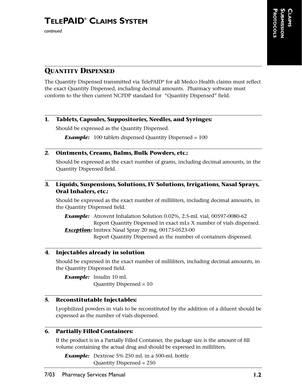## **QUANTITY DISPENSED**

The Quantity Dispensed transmitted via TelePAID® for all Medco Health claims must reflect the exact Quantity Dispensed, including decimal amounts. Pharmacy software must conform to the then current NCPDP standard for "Quantity Dispensed" field.

#### **1. Tablets, Capsules, Suppositories, Needles, and Syringes:**

Should be expressed as the Quantity Dispensed.

**Example:** 100 tablets dispensed Quantity Dispensed = 100

#### **2. Ointments, Creams, Balms, Bulk Powders, etc.:**

Should be expressed as the exact number of grams, including decimal amounts, in the Quantity Dispensed field.

#### **3. Liquids, Suspensions, Solutions, IV Solutions, Irrigations, Nasal Sprays, Oral Inhalers, etc.:**

Should be expressed as the exact number of milliliters, including decimal amounts, in the Quantity Dispensed field*.*

*Example:* Atrovent Inhalation Solution 0.02%, 2.5-mL vial, 00597-0080-62 Report Quantity Dispensed in exact mLs X number of vials dispensed. **Exception:** Imitrex Nasal Spray 20 mg, 00173-0523-00

Report Quantity Dispensed as the number of containers dispensed.

#### **4. Injectables already in solution**

Should be expressed in the exact number of milliliters, including decimal amounts, in the Quantity Dispensed field.

*Example:* Insulin 10 mL Quantity Dispensed = 10

#### **5. Reconstitutable Injectables:**

Lyophilized powders in vials to be reconstituted by the addition of a diluent should be expressed as the number of vials dispensed.

#### **6. Partially Filled Containers:**

If the product is in a Partially Filled Container, the package size is the amount of fill volume containing the actual drug and should be expressed in milliliters.

*Example:* Dextrose 5% 250 mL in a 500-mL bottle Quantity Dispensed = 250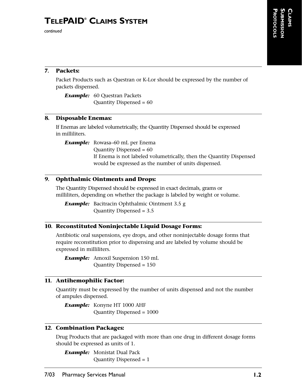#### **7. Packets:**

Packet Products such as Questran or K-Lor should be expressed by the number of packets dispensed.

*Example:* 60 Questran Packets Quantity Dispensed = 60

#### **8. Disposable Enemas:**

If Enemas are labeled volumetrically, the Quantity Dispensed should be expressed in milliliters.

*Example:* Rowasa–60 mL per Enema Quantity Dispensed = 60 If Enema is not labeled volumetrically, then the Quantity Dispensed would be expressed as the number of units dispensed.

#### **9. Ophthalmic Ointments and Drops:**

The Quantity Dispensed should be expressed in exact decimals, grams or milliliters, depending on whether the package is labeled by weight or volume.

*Example:* Bacitracin Ophthalmic Ointment 3.5 g Quantity Dispensed = 3.5

#### **10. Reconstituted Noninjectable Liquid Dosage Forms:**

Antibiotic oral suspensions, eye drops, and other noninjectable dosage forms that require reconstitution prior to dispensing and are labeled by volume should be expressed in milliliters.

*Example:* Amoxil Suspension 150 mL Quantity Dispensed = 150

#### **11. Antihemophilic Factor:**

Quantity must be expressed by the number of units dispensed and not the number of ampules dispensed.

*Example:* Konyne HT 1000 AHF Quantity Dispensed = 1000

#### **12. Combination Packages:**

Drug Products that are packaged with more than one drug in different dosage forms should be expressed as units of 1.

*Example:* Monistat Dual Pack Quantity Dispensed = 1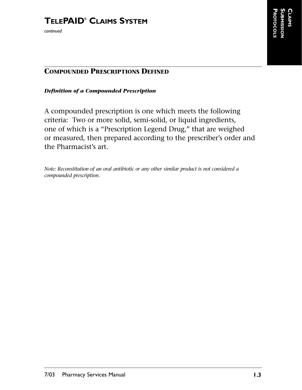## **COMPOUNDED PRESCRIPTIONS DEFINED**

#### *Definition of a Compounded Prescription*

A compounded prescription is one which meets the following criteria: Two or more solid, semi-solid, or liquid ingredients, one of which is a "Prescription Legend Drug," that are weighed or measured, then prepared according to the prescriber's order and the Pharmacist's art.

*Note: Reconstitution of an oral antibiotic or any other similar product is not considered a compounded prescription.*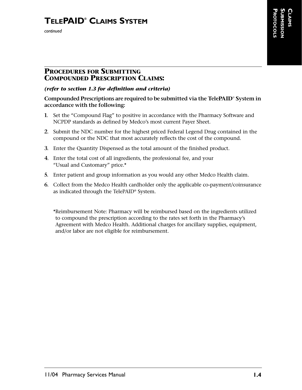*continued*

#### **PROCEDURES FOR SUBMITTING COMPOUNDED PRESCRIPTION CLAIMS:**

#### *(refer to section 1.3 for definition and criteria)*

#### **Compounded Prescriptions are required to be submitted via the TelePAID® System in accordance with the following:**

- **1.** Set the "Compound Flag" to positive in accordance with the Pharmacy Software and NCPDP standards as defined by Medco's most current Payer Sheet.
- **2.** Submit the NDC number for the highest priced Federal Legend Drug contained in the compound or the NDC that most accurately reflects the cost of the compound.
- **3.** Enter the Quantity Dispensed as the total amount of the finished product.
- **4.** Enter the total cost of all ingredients, the professional fee, and your "Usual and Customary" price.\*
- **5.** Enter patient and group information as you would any other Medco Health claim.
- **6.** Collect from the Medco Health cardholder only the applicable co-payment/coinsurance as indicated through the TelePAID® System.

\*Reimbursement Note: Pharmacy will be reimbursed based on the ingredients utilized to compound the prescription according to the rates set forth in the Pharmacy's Agreement with Medco Health. Additional charges for ancillary supplies, equipment, and/or labor are not eligible for reimbursement.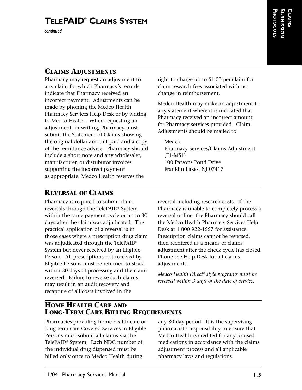## **CLAIMS ADJUSTMENTS**

Pharmacy may request an adjustment to any claim for which Pharmacy's records indicate that Pharmacy received an incorrect payment. Adjustments can be made by phoning the Medco Health Pharmacy Services Help Desk or by writing to Medco Health. When requesting an adjustment, in writing, Pharmacy must submit the Statement of Claims showing the original dollar amount paid and a copy of the remittance advice. Pharmacy should include a short note and any wholesaler, manufacturer, or distributor invoices supporting the incorrect payment as appropriate. Medco Health reserves the

right to charge up to \$1.00 per claim for claim research fees associated with no change in reimbursement.

Medco Health may make an adjustment to any statement where it is indicated that Pharmacy received an incorrect amount for Pharmacy services provided. Claim Adjustments should be mailed to:

Medco Pharmacy Services/Claims Adjustment (E1-MS1) 100 Parsons Pond Drive Franklin Lakes, NJ 07417

## **REVERSAL OF CLAIMS**

Pharmacy is required to submit claim reversals through the TelePAID® System within the same payment cycle or up to 30 days after the claim was adjudicated. The practical application of a reversal is in those cases where a prescription drug claim was adjudicated through the TelePAID® System but never received by an Eligible Person. All prescriptions not received by Eligible Persons must be returned to stock within 30 days of processing and the claim reversed. Failure to reverse such claims may result in an audit recovery and recapture of all costs involved in the

reversal including research costs. If the Pharmacy is unable to completely process a reversal online, the Pharmacy should call the Medco Health Pharmacy Services Help Desk at 1 800 922-1557 for assistance. Prescription claims cannot be reversed, then reentered as a means of claims adjustment after the check cycle has closed. Phone the Help Desk for all claims adjustments.

*Medco Health Direct® style programs must be reversed within 3 days of the date of service.*

## **HOME HEALTH CARE AND LONG-TERM CARE BILLING REQUIREMENTS**

Pharmacies providing home health care or long-term care Covered Services to Eligible Persons must submit all claims via the TelePAID® System. Each NDC number of the individual drug dispensed must be billed only once to Medco Health during

any 30-day period. It is the supervising pharmacist's responsibility to ensure that Medco Health is credited for any unused medications in accordance with the claims adjustment process and all applicable pharmacy laws and regulations.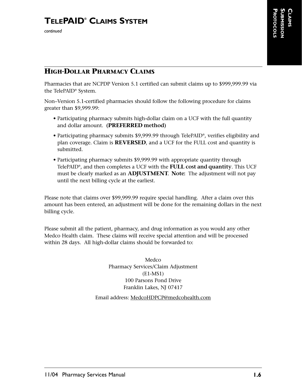## **HIGH-DOLLAR PHARMACY CLAIMS**

Pharmacies that are NCPDP Version 5.1 certified can submit claims up to \$999,999.99 via the TelePAID® System.

Non–Version 5.1-certified pharmacies should follow the following procedure for claims greater than \$9,999.99:

- Participating pharmacy submits high-dollar claim on a UCF with the full quantity and dollar amount. **(PREFERRED method)**
- Participating pharmacy submits \$9,999.99 through TelePAID®, verifies eligibility and plan coverage. Claim is **REVERSED**, and a UCF for the FULL cost and quantity is submitted.
- Participating pharmacy submits \$9,999.99 with appropriate quantity through TelePAID®, and then completes a UCF with the **FULL cost and quantity**. This UCF must be clearly marked as an **ADJUSTMENT. Note:** The adjustment will not pay until the next billing cycle at the earliest.

Please note that claims over \$99,999.99 require special handling. After a claim over this amount has been entered, an adjustment will be done for the remaining dollars in the next billing cycle.

Please submit all the patient, pharmacy, and drug information as you would any other Medco Health claim. These claims will receive special attention and will be processed within 28 days. All high-dollar claims should be forwarded to:

> Medco Pharmacy Services/Claim Adjustment (E1-MS1) 100 Parsons Pond Drive Franklin Lakes, NJ 07417

Email address: MedcoHDPCP@medcohealth.com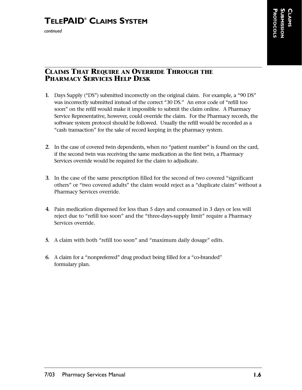#### **CLAIMS THAT REQUIRE AN OVERRIDE THROUGH THE PHARMACY SERVICES HELP DESK**

- **1.** Days Supply ("DS") submitted incorrectly on the original claim. For example, a "90 DS" was incorrectly submitted instead of the correct "30 DS." An error code of "refill too soon" on the refill would make it impossible to submit the claim online. A Pharmacy Service Representative, however, could override the claim. For the Pharmacy records, the software system protocol should be followed. Usually the refill would be recorded as a "cash transaction" for the sake of record keeping in the pharmacy system.
- **2.** In the case of covered twin dependents, when no "patient number" is found on the card, if the second twin was receiving the same medication as the first twin, a Pharmacy Services override would be required for the claim to adjudicate.
- **3.** In the case of the same prescription filled for the second of two covered "significant others" or "two covered adults" the claim would reject as a "duplicate claim" without a Pharmacy Services override.
- **4.** Pain medication dispensed for less than 5 days and consumed in 3 days or less will reject due to "refill too soon" and the "three-days-supply limit" require a Pharmacy Services override.
- **5.** A claim with both "refill too soon" and "maximum daily dosage" edits.
- **6.** A claim for a "nonpreferred" drug product being filled for a "co-branded" formulary plan.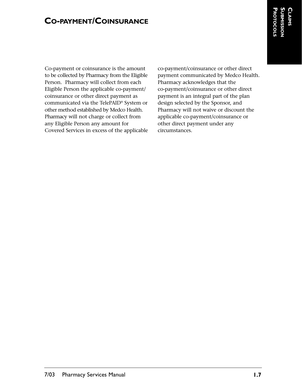## **CO-PAYMENT/COINSURANCE**

Co-payment or coinsurance is the amount to be collected by Pharmacy from the Eligible Person. Pharmacy will collect from each Eligible Person the applicable co-payment/ coinsurance or other direct payment as communicated via the TelePAID® System or other method established by Medco Health. Pharmacy will not charge or collect from any Eligible Person any amount for Covered Services in excess of the applicable co-payment/coinsurance or other direct payment communicated by Medco Health. Pharmacy acknowledges that the co-payment/coinsurance or other direct payment is an integral part of the plan design selected by the Sponsor, and Pharmacy will not waive or discount the applicable co-payment/coinsurance or other direct payment under any circumstances.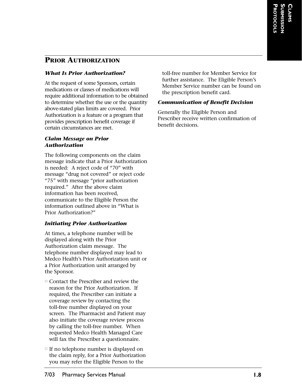## **PRIOR AUTHORIZATION**

#### *What Is Prior Authorization?*

At the request of some Sponsors, certain medications or classes of medications will require additional information to be obtained to determine whether the use or the quantity above-stated plan limits are covered. Prior Authorization is a feature or a program that provides prescription benefit coverage if certain circumstances are met.

#### *Claim Message on Prior Authorization*

The following components on the claim message indicate that a Prior Authorization is needed: A reject code of "70" with message "drug not covered" or reject code "75" with message "prior authorization required." After the above claim information has been received, communicate to the Eligible Person the information outlined above in "What is Prior Authorization?"

#### *Initiating Prior Authorization*

At times, a telephone number will be displayed along with the Prior Authorization claim message. The telephone number displayed may lead to Medco Health's Prior Authorization unit or a Prior Authorization unit arranged by the Sponsor.

- Contact the Prescriber and review the reason for the Prior Authorization. If required, the Prescriber can initiate a coverage review by contacting the toll-free number displayed on your screen. The Pharmacist and Patient may also initiate the coverage review process by calling the toll-free number. When requested Medco Health Managed Care will fax the Prescriber a questionnaire.
- If no telephone number is displayed on the claim reply, for a Prior Authorization you may refer the Eligible Person to the

toll-free number for Member Service for further assistance. The Eligible Person's Member Service number can be found on the prescription benefit card.

#### *Communication of Benefit Decision*

Generally the Eligible Person and Prescriber receive written confirmation of benefit decisions.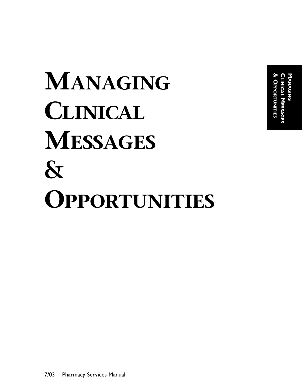**& OPPORTUNITIES CLINICAL MANAGING** OPPORTUNITIES **MESSAGES**

# **MANAGING CLINICAL MESSAGES & OPPORTUNITIES**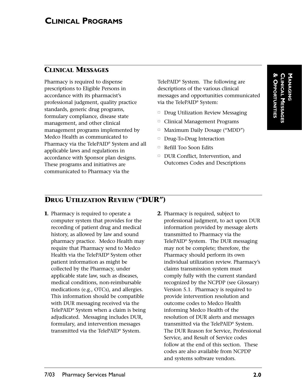## **CLINICAL MESSAGES**

Pharmacy is required to dispense prescriptions to Eligible Persons in accordance with its pharmacist's professional judgment, quality practice standards, generic drug programs, formulary compliance, disease state management, and other clinical management programs implemented by Medco Health as communicated to Pharmacy via the TelePAID® System and all applicable laws and regulations in accordance with Sponsor plan designs. These programs and initiatives are communicated to Pharmacy via the

TelePAID® System. The following are descriptions of the various clinical messages and opportunities communicated via the TelePAID® System:

- $\Box$ Drug Utilization Review Messaging
- $\Box$ Clinical Management Programs
- $\Box$ Maximum Daily Dosage ("MDD")
- $\Box$ Drug-To-Drug Interaction
- -Refill Too Soon Edits
- - DUR Conflict, Intervention, and Outcomes Codes and Descriptions

## **DRUG UTILIZATION REVIEW ("DUR")**

- **1.** Pharmacy is required to operate a computer system that provides for the recording of patient drug and medical history, as allowed by law and sound pharmacy practice. Medco Health may require that Pharmacy send to Medco Health via the TelePAID® System other patient information as might be collected by the Pharmacy, under applicable state law, such as diseases, medical conditions, non-reimbursable medications (e.g., OTCs), and allergies. This information should be compatible with DUR messaging received via the TelePAID® System when a claim is being adjudicated. Messaging includes DUR, formulary, and intervention messages transmitted via the TelePAID® System.
- **2.** Pharmacy is required, subject to professional judgment, to act upon DUR information provided by message alerts transmitted to Pharmacy via the TelePAID® System. The DUR messaging may not be complete; therefore, the Pharmacy should perform its own individual utilization review. Pharmacy's claims transmission system must comply fully with the current standard recognized by the NCPDP (see Glossary) Version 5.1. Pharmacy is required to provide intervention resolution and outcome codes to Medco Health informing Medco Health of the resolution of DUR alerts and messages transmitted via the TelePAID® System. The DUR Reason for Service, Professional Service, and Result of Service codes follow at the end of this section. These codes are also available from NCPDP and systems software vendors.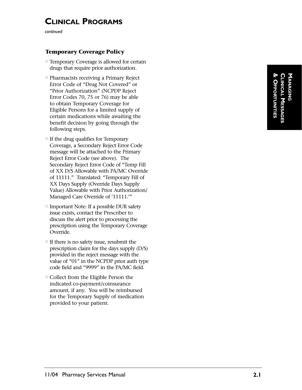## **CLINICAL PROGRAMS**

*continued*

#### **Temporary Coverage Policy**

- Temporary Coverage is allowed for certain drugs that require prior authorization.
- Pharmacists receiving a Primary Reject Error Code of "Drug Not Covered " or "Prior Authorization " (NCPDP Reject Error Codes 70, 75 or 76) may be able to obtain Temporary Coverage for Eligible Persons for a limited supply of certain medications while awaiting the benefit decision by going through the following steps.
- If the drug qualifies for Temporary Coverage, a Secondary Reject Error Code message will be attached to the Primary Reject Error Code (see above). The Secondary Reject Error Code of "Temp Fill of XX D/S Allowable with PA/MC Override of 11111. " Translated: "Temporary Fill of XX Days Supply (Override Days Supply Value) Allowable with Prior Authorization/ Managed Care Override of '11111.'"
- Important Note: If a possible DUR safety issue exists, contact the Prescriber to discuss the alert prior to processing the prescription using the Temporary Coverage Override.
- If there is no safety issue, resubmit the prescription claim for the days supply (D/S) provided in the reject message with the value of "01 " in the NCPDP prior auth type code field and "9999 " in the PA/MC field.
- Collect from the Eligible Person the indicated co-payment/coinsurance amount, if any. You will be reimbursed for the Temporary Supply of medication provided to your patient.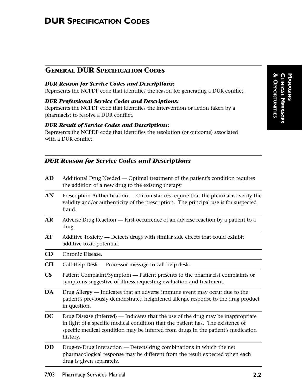## **DUR SPECIFICATION CODES**

## **GENERAL DUR SPECIFICATION CODES**

#### *DUR Reason for Service Codes and Descriptions:*

Represents the NCPDP code that identifies the reason for generating a DUR conflict.

#### *DUR Professional Service Codes and Descriptions:*

Represents the NCPDP code that identifies the intervention or action taken by a pharmacist to resolve a DUR conflict.

#### *DUR Result of Service Codes and Descriptions:*

Represents the NCPDP code that identifies the resolution (or outcome) associated with a DUR conflict.

#### *DUR Reason for Service Codes and Descriptions*

| AD                     | Additional Drug Needed — Optimal treatment of the patient's condition requires<br>the addition of a new drug to the existing therapy.                                                                                                                                 |
|------------------------|-----------------------------------------------------------------------------------------------------------------------------------------------------------------------------------------------------------------------------------------------------------------------|
| AN                     | Prescription Authentication — Circumstances require that the pharmacist verify the<br>validity and/or authenticity of the prescription. The principal use is for suspected<br>fraud.                                                                                  |
| AR                     | Adverse Drug Reaction — First occurrence of an adverse reaction by a patient to a<br>drug.                                                                                                                                                                            |
| AT                     | Additive Toxicity - Detects drugs with similar side effects that could exhibit<br>additive toxic potential.                                                                                                                                                           |
| CD                     | Chronic Disease.                                                                                                                                                                                                                                                      |
| CH                     | Call Help Desk — Processor message to call help desk.                                                                                                                                                                                                                 |
| $\overline{\text{CS}}$ | Patient Complaint/Symptom — Patient presents to the pharmacist complaints or<br>symptoms suggestive of illness requesting evaluation and treatment.                                                                                                                   |
| DA                     | Drug Allergy — Indicates that an adverse immune event may occur due to the<br>patient's previously demonstrated heightened allergic response to the drug product<br>in question.                                                                                      |
| DC                     | Drug Disease (Inferred) — Indicates that the use of the drug may be inappropriate<br>in light of a specific medical condition that the patient has. The existence of<br>specific medical condition may be inferred from drugs in the patient's medication<br>history. |
| DD                     | Drug-to-Drug Interaction — Detects drug combinations in which the net<br>pharmacological response may be different from the result expected when each<br>drug is given separately.                                                                                    |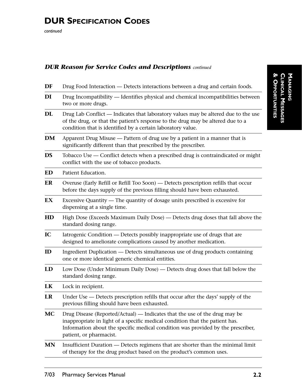# **DUR SPECIFICATION CODES**

*continued*

#### *DUR Reason for Service Codes and Descriptions continued*

| DF        | Drug Food Interaction — Detects interactions between a drug and certain foods.                                                                                                                                                                                            |  |
|-----------|---------------------------------------------------------------------------------------------------------------------------------------------------------------------------------------------------------------------------------------------------------------------------|--|
| DI        | Drug Incompatibility — Identifies physical and chemical incompatibilities between<br>two or more drugs.                                                                                                                                                                   |  |
| DL        | Drug Lab Conflict — Indicates that laboratory values may be altered due to the use<br>of the drug, or that the patient's response to the drug may be altered due to a<br>condition that is identified by a certain laboratory value.                                      |  |
| DM        | Apparent Drug Misuse — Pattern of drug use by a patient in a manner that is<br>significantly different than that prescribed by the prescriber.                                                                                                                            |  |
| <b>DS</b> | Tobacco Use — Conflict detects when a prescribed drug is contraindicated or might<br>conflict with the use of tobacco products.                                                                                                                                           |  |
| ED        | Patient Education.                                                                                                                                                                                                                                                        |  |
| ER        | Overuse (Early Refill or Refill Too Soon) — Detects prescription refills that occur<br>before the days supply of the previous filling should have been exhausted.                                                                                                         |  |
| EX        | Excessive Quantity — The quantity of dosage units prescribed is excessive for<br>dispensing at a single time.                                                                                                                                                             |  |
| HD        | High Dose (Exceeds Maximum Daily Dose) - Detects drug doses that fall above the<br>standard dosing range.                                                                                                                                                                 |  |
| IC        | Iatrogenic Condition — Detects possibly inappropriate use of drugs that are<br>designed to ameliorate complications caused by another medication.                                                                                                                         |  |
| ID        | Ingredient Duplication — Detects simultaneous use of drug products containing<br>one or more identical generic chemical entities.                                                                                                                                         |  |
| LD        | Low Dose (Under Minimum Daily Dose) — Detects drug doses that fall below the<br>standard dosing range.                                                                                                                                                                    |  |
| LK        | Lock in recipient.                                                                                                                                                                                                                                                        |  |
| LR        | Under Use — Detects prescription refills that occur after the days' supply of the<br>previous filling should have been exhausted.                                                                                                                                         |  |
| <b>MC</b> | Drug Disease (Reported/Actual) — Indicates that the use of the drug may be<br>inappropriate in light of a specific medical condition that the patient has.<br>Information about the specific medical condition was provided by the prescriber,<br>patient, or pharmacist. |  |
| MN        | Insufficient Duration — Detects regimens that are shorter than the minimal limit<br>of therapy for the drug product based on the product's common uses.                                                                                                                   |  |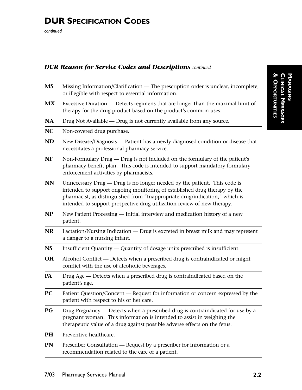#### *DUR Reason for Service Codes and Descriptions continued*

| Missing Information/Clarification — The prescription order is unclear, incomplete,<br>or illegible with respect to essential information.                                                                                                                                                                       |
|-----------------------------------------------------------------------------------------------------------------------------------------------------------------------------------------------------------------------------------------------------------------------------------------------------------------|
| Excessive Duration — Detects regimens that are longer than the maximal limit of<br>therapy for the drug product based on the product's common uses.                                                                                                                                                             |
| Drug Not Available — Drug is not currently available from any source.                                                                                                                                                                                                                                           |
| Non-covered drug purchase.                                                                                                                                                                                                                                                                                      |
| New Disease/Diagnosis — Patient has a newly diagnosed condition or disease that<br>necessitates a professional pharmacy service.                                                                                                                                                                                |
| Non-Formulary Drug — Drug is not included on the formulary of the patient's<br>pharmacy benefit plan. This code is intended to support mandatory formulary<br>enforcement activities by pharmacists.                                                                                                            |
| Unnecessary Drug — Drug is no longer needed by the patient. This code is<br>intended to support ongoing monitoring of established drug therapy by the<br>pharmacist, as distinguished from "Inappropriate drug/indication," which is<br>intended to support prospective drug utilization review of new therapy. |
| New Patient Processing — Initial interview and medication history of a new<br>patient.                                                                                                                                                                                                                          |
| Lactation/Nursing Indication — Drug is excreted in breast milk and may represent<br>a danger to a nursing infant.                                                                                                                                                                                               |
| Insufficient Quantity — Quantity of dosage units prescribed is insufficient.                                                                                                                                                                                                                                    |
| Alcohol Conflict — Detects when a prescribed drug is contraindicated or might<br>conflict with the use of alcoholic beverages.                                                                                                                                                                                  |
| Drug Age - Detects when a prescribed drug is contraindicated based on the<br>patient's age.                                                                                                                                                                                                                     |
| Patient Question/Concern — Request for information or concern expressed by the<br>patient with respect to his or her care.                                                                                                                                                                                      |
| Drug Pregnancy — Detects when a prescribed drug is contraindicated for use by a<br>pregnant woman. This information is intended to assist in weighing the<br>therapeutic value of a drug against possible adverse effects on the fetus.                                                                         |
| Preventive healthcare.                                                                                                                                                                                                                                                                                          |
| Prescriber Consultation — Request by a prescriber for information or a<br>recommendation related to the care of a patient.                                                                                                                                                                                      |
|                                                                                                                                                                                                                                                                                                                 |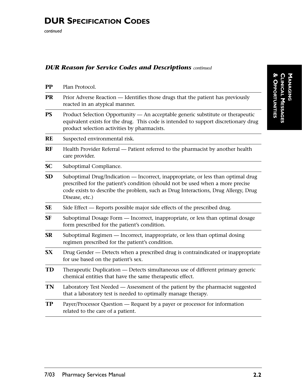# **DUR SPECIFICATION CODES**

*continued*

#### *DUR Reason for Service Codes and Descriptions continued*

| $\bf PP$  | Plan Protocol.                                                                                                                                                                                                                                                             |  |
|-----------|----------------------------------------------------------------------------------------------------------------------------------------------------------------------------------------------------------------------------------------------------------------------------|--|
| <b>PR</b> | Prior Adverse Reaction — Identifies those drugs that the patient has previously<br>reacted in an atypical manner.                                                                                                                                                          |  |
| PS        | Product Selection Opportunity - An acceptable generic substitute or therapeutic<br>equivalent exists for the drug. This code is intended to support discretionary drug<br>product selection activities by pharmacists.                                                     |  |
| RE        | Suspected environmental risk.                                                                                                                                                                                                                                              |  |
| RF        | Health Provider Referral — Patient referred to the pharmacist by another health<br>care provider.                                                                                                                                                                          |  |
| <b>SC</b> | Suboptimal Compliance.                                                                                                                                                                                                                                                     |  |
| SD        | Suboptimal Drug/Indication — Incorrect, inappropriate, or less than optimal drug<br>prescribed for the patient's condition (should not be used when a more precise<br>code exists to describe the problem, such as Drug Interactions, Drug Allergy, Drug<br>Disease, etc.) |  |
| <b>SE</b> | Side Effect — Reports possible major side effects of the prescribed drug.                                                                                                                                                                                                  |  |
| <b>SF</b> | Suboptimal Dosage Form — Incorrect, inappropriate, or less than optimal dosage<br>form prescribed for the patient's condition.                                                                                                                                             |  |
| <b>SR</b> | Suboptimal Regimen — Incorrect, inappropriate, or less than optimal dosing<br>regimen prescribed for the patient's condition.                                                                                                                                              |  |
| <b>SX</b> | Drug Gender - Detects when a prescribed drug is contraindicated or inappropriate<br>for use based on the patient's sex.                                                                                                                                                    |  |
| TD        | Therapeutic Duplication — Detects simultaneous use of different primary generic<br>chemical entities that have the same therapeutic effect.                                                                                                                                |  |
| TN        | Laboratory Test Needed — Assessment of the patient by the pharmacist suggested<br>that a laboratory test is needed to optimally manage therapy.                                                                                                                            |  |
| <b>TP</b> | Payer/Processor Question — Request by a payer or processor for information<br>related to the care of a patient.                                                                                                                                                            |  |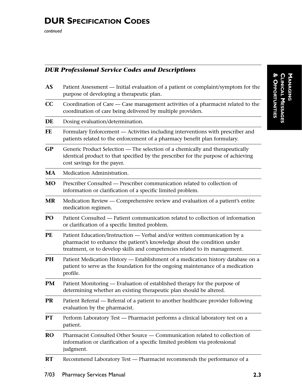## *DUR Professional Service Codes and Descriptions*

| AS        | Patient Assessment - Initial evaluation of a patient or complaint/symptom for the<br>purpose of developing a therapeutic plan.                                                                                                     |
|-----------|------------------------------------------------------------------------------------------------------------------------------------------------------------------------------------------------------------------------------------|
| CC        | Coordination of Care - Case management activities of a pharmacist related to the<br>coordination of care being delivered by multiple providers.                                                                                    |
| DE        | Dosing evaluation/determination.                                                                                                                                                                                                   |
| FE        | Formulary Enforcement — Activities including interventions with prescriber and<br>patients related to the enforcement of a pharmacy benefit plan formulary.                                                                        |
| <b>GP</b> | Generic Product Selection — The selection of a chemically and therapeutically<br>identical product to that specified by the prescriber for the purpose of achieving<br>cost savings for the payer.                                 |
| MA        | Medication Administration.                                                                                                                                                                                                         |
| MO        | Prescriber Consulted — Prescriber communication related to collection of<br>information or clarification of a specific limited problem.                                                                                            |
| <b>MR</b> | Medication Review — Comprehensive review and evaluation of a patient's entire<br>medication regimen.                                                                                                                               |
| PO        | Patient Consulted — Patient communication related to collection of information<br>or clarification of a specific limited problem.                                                                                                  |
| <b>PE</b> | Patient Education/Instruction - Verbal and/or written communication by a<br>pharmacist to enhance the patient's knowledge about the condition under<br>treatment, or to develop skills and competencies related to its management. |
| PH        | Patient Medication History - Establishment of a medication history database on a<br>patient to serve as the foundation for the ongoing maintenance of a medication<br>profile.                                                     |
| PM        | Patient Monitoring — Evaluation of established therapy for the purpose of<br>determining whether an existing therapeutic plan should be altered.                                                                                   |
| <b>PR</b> | Patient Referral — Referral of a patient to another healthcare provider following<br>evaluation by the pharmacist.                                                                                                                 |
| PT        | Perform Laboratory Test - Pharmacist performs a clinical laboratory test on a<br>patient.                                                                                                                                          |
| <b>RO</b> | Pharmacist Consulted Other Source — Communication related to collection of<br>information or clarification of a specific limited problem via professional<br>judgment.                                                             |
| <b>RT</b> | Recommend Laboratory Test - Pharmacist recommends the performance of a                                                                                                                                                             |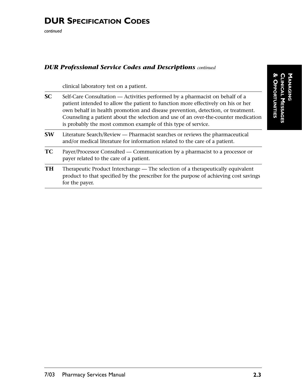# **DUR SPECIFICATION CODES**

*continued*

#### *DUR Professional Service Codes and Descriptions continued*

clinical laboratory test on a patient.

| <b>SC</b> | Self-Care Consultation — Activities performed by a pharmacist on behalf of a<br>patient intended to allow the patient to function more effectively on his or her<br>own behalf in health promotion and disease prevention, detection, or treatment.<br>Counseling a patient about the selection and use of an over-the-counter medication<br>is probably the most common example of this type of service. |
|-----------|-----------------------------------------------------------------------------------------------------------------------------------------------------------------------------------------------------------------------------------------------------------------------------------------------------------------------------------------------------------------------------------------------------------|
| <b>SW</b> | Literature Search/Review — Pharmacist searches or reviews the pharmaceutical<br>and/or medical literature for information related to the care of a patient.                                                                                                                                                                                                                                               |
| <b>TC</b> | Payer/Processor Consulted — Communication by a pharmacist to a processor or<br>payer related to the care of a patient.                                                                                                                                                                                                                                                                                    |
| <b>TH</b> | Therapeutic Product Interchange — The selection of a therapeutically equivalent<br>product to that specified by the prescriber for the purpose of achieving cost savings<br>for the payer.                                                                                                                                                                                                                |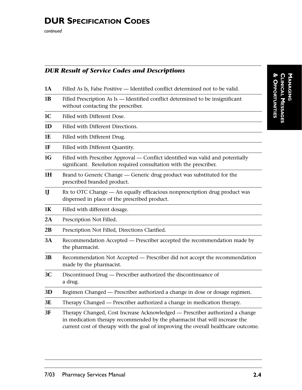## *DUR Result of Service Codes and Descriptions*

| 1A             | Filled As Is, False Positive - Identified conflict determined not to be valid.                                                                                                                                                                   |
|----------------|--------------------------------------------------------------------------------------------------------------------------------------------------------------------------------------------------------------------------------------------------|
| 1B             | Filled Prescription As Is - Identified conflict determined to be insignificant<br>without contacting the prescriber.                                                                                                                             |
| 1 <sub>C</sub> | Filled with Different Dose.                                                                                                                                                                                                                      |
| 1 <sub>D</sub> | Filled with Different Directions.                                                                                                                                                                                                                |
| 1E             | Filled with Different Drug.                                                                                                                                                                                                                      |
| 1F             | Filled with Different Quantity.                                                                                                                                                                                                                  |
| 1G             | Filled with Prescriber Approval - Conflict identified was valid and potentially<br>significant. Resolution required consultation with the prescriber.                                                                                            |
| 1H             | Brand to Generic Change — Generic drug product was substituted for the<br>prescribed branded product.                                                                                                                                            |
| 1              | Rx to OTC Change - An equally efficacious nonprescription drug product was<br>dispensed in place of the prescribed product.                                                                                                                      |
| 1K             | Filled with different dosage.                                                                                                                                                                                                                    |
| 2A             | Prescription Not Filled.                                                                                                                                                                                                                         |
| 2B             | Prescription Not Filled, Directions Clarified.                                                                                                                                                                                                   |
| 3A             | Recommendation Accepted - Prescriber accepted the recommendation made by<br>the pharmacist.                                                                                                                                                      |
| 3B             | Recommendation Not Accepted - Prescriber did not accept the recommendation<br>made by the pharmacist.                                                                                                                                            |
| 3C             | Discontinued Drug - Prescriber authorized the discontinuance of<br>a drug.                                                                                                                                                                       |
| 3D             | Regimen Changed — Prescriber authorized a change in dose or dosage regimen.                                                                                                                                                                      |
| 3E             | Therapy Changed — Prescriber authorized a change in medication therapy.                                                                                                                                                                          |
| 3F             | Therapy Changed, Cost Increase Acknowledged - Prescriber authorized a change<br>in medication therapy recommended by the pharmacist that will increase the<br>current cost of therapy with the goal of improving the overall healthcare outcome. |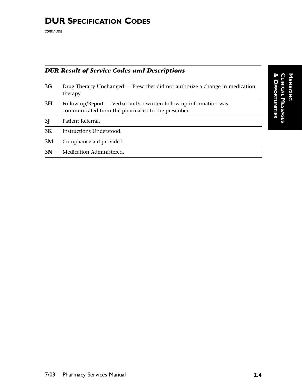## *DUR Result of Service Codes and Descriptions*

| 3G             | Drug Therapy Unchanged — Prescriber did not authorize a change in medication<br>therapy.                                  |
|----------------|---------------------------------------------------------------------------------------------------------------------------|
| 3H             | Follow-up/Report — Verbal and/or written follow-up information was<br>communicated from the pharmacist to the prescriber. |
| 3 <sub>J</sub> | Patient Referral.                                                                                                         |
| 3K             | Instructions Understood.                                                                                                  |
| 3M             | Compliance aid provided.                                                                                                  |
| 3N             | Medication Administered.                                                                                                  |
|                |                                                                                                                           |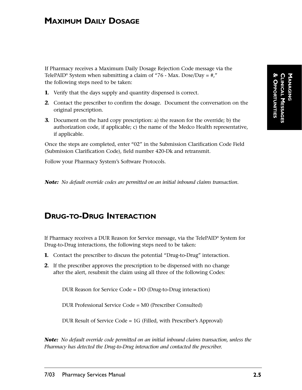## **MAXIMUM DAILY DOSAGE**

If Pharmacy receives a Maximum Daily Dosage Rejection Code message via the TelePAID<sup>®</sup> System when submitting a claim of "76 - Max. Dose/Day = #," the following steps need to be taken:

- **1.** Verify that the days supply and quantity dispensed is correct.
- **2.** Contact the prescriber to confirm the dosage. Document the conversation on the original prescription.
- **3.** Document on the hard copy prescription: a) the reason for the override; b) the authorization code, if applicable; c) the name of the Medco Health representative, if applicable.

Once the steps are completed, enter "02" in the Submission Clarification Code Field (Submission Clarification Code), field number 420-Dk and retransmit.

Follow your Pharmacy System's Software Protocols.

*Note: No default override codes are permitted on an initial inbound claims transaction.*

## **DRUG-TO-DRUG INTERACTION**

If Pharmacy receives a DUR Reason for Service message, via the TelePAID® System for Drug-to-Drug interactions, the following steps need to be taken:

- **1.** Contact the prescriber to discuss the potential "Drug-to-Drug" interaction.
- **2.** If the prescriber approves the prescription to be dispensed with no change after the alert, resubmit the claim using all three of the following Codes:

DUR Reason for Service Code = DD (Drug-to-Drug interaction)

DUR Professional Service Code = M0 (Prescriber Consulted)

DUR Result of Service Code = 1G (Filled, with Prescriber's Approval)

*Note: No default override code permitted on an initial inbound claims transaction, unless the Pharmacy has detected the Drug-to-Drug interaction and contacted the prescriber.*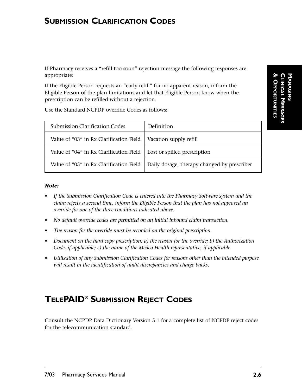## **SUBMISSION CLARIFICATION CODES**

If Pharmacy receives a "refill too soon" rejection message the following responses are appropriate:

If the Eligible Person requests an "early refill" for no apparent reason, inform the Eligible Person of the plan limitations and let that Eligible Person know when the prescription can be refilled without a rejection.

Use the Standard NCPDP override Codes as follows:

| <b>Submission Clarification Codes</b>   | Definition                                  |
|-----------------------------------------|---------------------------------------------|
| Value of "03" in Rx Clarification Field | Vacation supply refill                      |
| Value of "04" in Rx Clarification Field | Lost or spilled prescription                |
| Value of "05" in Rx Clarification Field | Daily dosage, therapy changed by prescriber |

#### *Note:*

- *If the Submission Clarification Code is entered into the Pharmacy Software system and the claim rejects a second time, inform the Eligible Person that the plan has not approved an override for one of the three conditions indicated above.*
- *No default override codes are permitted on an initial inbound claim transaction.*
- *The reason for the override must be recorded on the original prescription.*
- *Document on the hard copy prescription: a) the reason for the override; b) the Authorization Code, if applicable; c) the name of the Medco Health representative, if applicable.*
- *Utilization of any Submission Clarification Codes for reasons other than the intended purpose will result in the identification of audit discrepancies and charge backs.*

# **TELEPAID® SUBMISSION REJECT CODES**

Consult the NCPDP Data Dictionary Version 5.1 for a complete list of NCPDP reject codes for the telecommunication standard.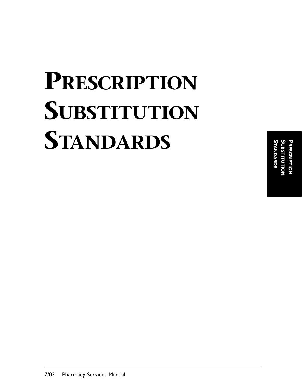# **PRESCRIPTION SUBSTITUTION STANDARDS**

**STANDARDS SUBSTITUTION PRESCRIPTION NDARDS**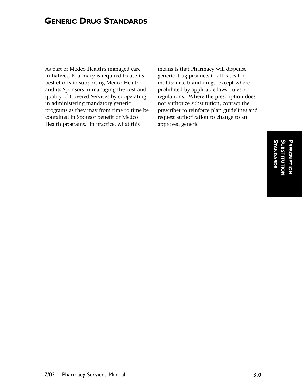## **GENERIC DRUG STANDARDS**

As part of Medco Health's managed care initiatives, Pharmacy is required to use its best efforts in supporting Medco Health and its Sponsors in managing the cost and quality of Covered Services by cooperating in administering mandatory generic programs as they may from time to time be contained in Sponsor benefit or Medco Health programs. In practice, what this

means is that Pharmacy will dispense generic drug products in all cases for multisource brand drugs, except where prohibited by applicable laws, rules, or regulations. Where the prescription does not authorize substitution, contact the prescriber to reinforce plan guidelines and request authorization to change to an approved generic.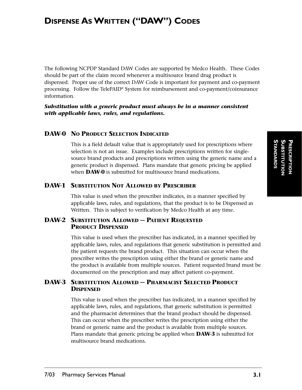The following NCPDP Standard DAW Codes are supported by Medco Health. These Codes should be part of the claim record whenever a multisource brand drug product is dispensed. Proper use of the correct DAW Code is important for payment and co-payment processing. Follow the TelePAID® System for reimbursement and co-payment/coinsurance information.

*Substitution with a generic product must always be in a manner consistent with applicable laws, rules, and regulations.*

#### **DAW-0 NO PRODUCT SELECTION INDICATED**

This is a field default value that is appropriately used for prescriptions where selection is not an issue. Examples include prescriptions written for singlesource brand products and prescriptions written using the generic name and a generic product is dispensed. Plans mandate that generic pricing be applied when **DAW-0** is submitted for multisource brand medications.

#### **DAW-1 SUBSTITUTION NOT ALLOWED BY PRESCRIBER**

This value is used when the prescriber indicates, in a manner specified by applicable laws, rules, and regulations, that the product is to be Dispensed as Written. This is subject to verification by Medco Health at any time.

#### **DAW-2 SUBSTITUTION ALLOWED — PATIENT REQUESTED PRODUCT DISPENSED**

This value is used when the prescriber has indicated, in a manner specified by applicable laws, rules, and regulations that generic substitution is permitted and the patient requests the brand product. This situation can occur when the prescriber writes the prescription using either the brand or generic name and the product is available from multiple sources. Patient requested brand must be documented on the prescription and may affect patient co-payment.

#### **DAW-3 SUBSTITUTION ALLOWED — PHARMACIST SELECTED PRODUCT DISPENSED**

This value is used when the prescriber has indicated, in a manner specified by applicable laws, rules, and regulations, that generic substitution is permitted and the pharmacist determines that the brand product should be dispensed. This can occur when the prescriber writes the prescription using either the brand or generic name and the product is available from multiple sources. Plans mandate that generic pricing be applied when **DAW-3** is submitted for multisource brand medications.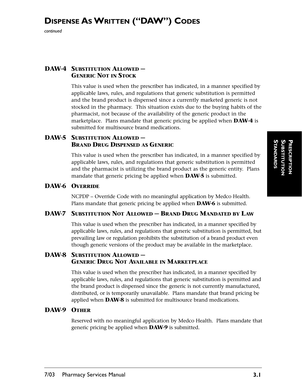# **DISPENSE ASWRITTEN ("DAW") CODES**

*continued*

#### **DAW-4 SUBSTITUTION ALLOWED — GENERIC NOT IN STOCK**

This value is used when the prescriber has indicated, in a manner specified by applicable laws, rules, and regulations that generic substitution is permitted and the brand product is dispensed since a currently marketed generic is not stocked in the pharmacy. This situation exists due to the buying habits of the pharmacist, not because of the availability of the generic product in the marketplace. Plans mandate that generic pricing be applied when **DAW-4** is submitted for multisource brand medications.

#### **DAW-5 SUBSTITUTION ALLOWED — BRAND DRUG DISPENSED AS GENERIC**

This value is used when the prescriber has indicated, in a manner specified by applicable laws, rules, and regulations that generic substitution is permitted and the pharmacist is utilizing the brand product as the generic entity. Plans mandate that generic pricing be applied when **DAW-5** is submitted.

#### **DAW-6 OVERRIDE**

NCPDP – Override Code with no meaningful application by Medco Health. Plans mandate that generic pricing be applied when **DAW-6** is submitted.

#### **DAW-7 SUBSTITUTION NOT ALLOWED — BRAND DRUG MANDATED BY LAW**

This value is used when the prescriber has indicated, in a manner specified by applicable laws, rules, and regulations that generic substitution is permitted, but prevailing law or regulation prohibits the substitution of a brand product even though generic versions of the product may be available in the marketplace.

#### **DAW-8 SUBSTITUTION ALLOWED — GENERIC DRUG NOT AVAILABLE IN MARKETPLACE**

This value is used when the prescriber has indicated, in a manner specified by applicable laws, rules, and regulations that generic substitution is permitted and the brand product is dispensed since the generic is not currently manufactured, distributed, or is temporarily unavailable. Plans mandate that brand pricing be applied when **DAW-8** is submitted for multisource brand medications.

#### **DAW-9 OTHER**

Reserved with no meaningful application by Medco Health. Plans mandate that generic pricing be applied when **DAW-9** is submitted.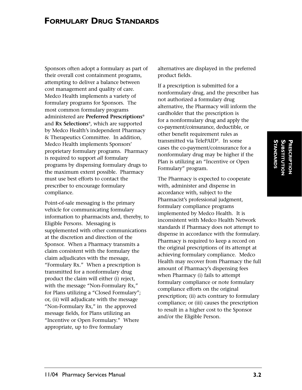## **FORMULARY DRUG STANDARDS**

Sponsors often adopt a formulary as part of their overall cost containment programs, attempting to deliver a balance between cost management and quality of care. Medco Health implements a variety of formulary programs for Sponsors. The most common formulary programs administered are **Preferred Prescriptions®** and **Rx Selections**®, which are supported by Medco Health's independent Pharmacy & Therapeutics Committee. In addition, Medco Health implements Sponsors' proprietary formulary programs. Pharmacy is required to support *all* formulary programs by dispensing formulary drugs to the maximum extent possible. Pharmacy must use best efforts to contact the prescriber to encourage formulary compliance.

Point-of-sale messaging is the primary vehicle for communicating formulary information to pharmacists and, thereby, to Eligible Persons. Messaging is supplemented with other communications at the discretion and direction of the Sponsor. When a Pharmacy transmits a claim consistent with the formulary the claim adjudicates with the message, "Formulary Rx." When a prescription is transmitted for a nonformulary drug product the claim will either (i) reject, with the message "Non-Formulary Rx," for Plans utilizing a "Closed Formulary"; or, (ii) will adjudicate with the message "Non-Formulary Rx," in the approved message fields, for Plans utilizing an "Incentive or Open Formulary." Where appropriate, up to five formulary

alternatives are displayed in the preferred product fields.

If a prescription is submitted for a nonformulary drug, and the prescriber has not authorized a formulary drug alternative, the Pharmacy will inform the cardholder that the prescription is for a nonformulary drug and apply the co-payment/coinsurance, deductible, or other benefit requirement rules as transmitted via TelePAID®. In some cases the co-payment/coinsurance for a nonformulary drug may be higher if the Plan is utilizing an "Incentive or Open Formulary" program.

The Pharmacy is expected to cooperate with, administer and dispense in accordance with, subject to the Pharmacist's professional judgment, formulary compliance programs implemented by Medco Health. It is inconsistent with Medco Health Network standards if Pharmacy does not attempt to dispense in accordance with the formulary. Pharmacy is required to keep a record on the original prescriptions of its attempt at achieving formulary compliance. Medco Health may recover from Pharmacy the full amount of Pharmacy's dispensing fees when Pharmacy (i) fails to attempt formulary compliance or note formulary compliance efforts on the original prescription; (ii) acts contrary to formulary compliance; or (iii) causes the prescription to result in a higher cost to the Sponsor and/or the Eligible Person.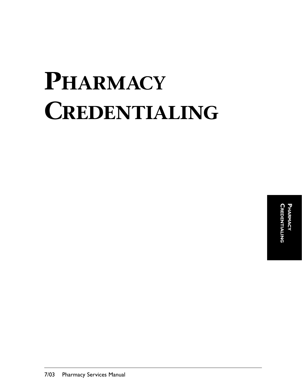# **PHARMACY CREDENTIALING**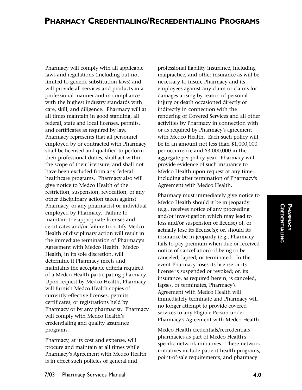Pharmacy will comply with all applicable laws and regulations (including but not limited to generic substitution laws) and will provide all services and products in a professional manner and in compliance with the highest industry standards with care, skill, and diligence. Pharmacy will at all times maintain in good standing, all federal, state and local licenses, permits, and certificates as required by law. Pharmacy represents that all personnel employed by or contracted with Pharmacy shall be licensed and qualified to perform their professional duties, shall act within the scope of their licensure, and shall not have been excluded from any federal healthcare programs. Pharmacy also will give notice to Medco Health of the restriction, suspension, revocation, or any other disciplinary action taken against Pharmacy, or any pharmacist or individual employed by Pharmacy. Failure to maintain the appropriate licenses and certificates and/or failure to notify Medco Health of disciplinary action will result in the immediate termination of Pharmacy's Agreement with Medco Health. Medco Health, in its sole discretion, will determine if Pharmacy meets and maintains the acceptable criteria required of a Medco Health participating pharmacy. Upon request by Medco Health, Pharmacy will furnish Medco Health copies of currently effective licenses, permits, certificates, or registrations held by Pharmacy or by any pharmacist. Pharmacy will comply with Medco Health's credentialing and quality assurance programs.

Pharmacy, at its cost and expense, will procure and maintain at all times while Pharmacy's Agreement with Medco Health is in effect such policies of general and

professional liability insurance, including malpractice, and other insurance as will be necessary to insure Pharmacy and its employees against any claim or claims for damages arising by reason of personal injury or death occasioned directly or indirectly in connection with the rendering of Covered Services and all other activities by Pharmacy in connection with or as required by Pharmacy's agreement with Medco Health. Each such policy will be in an amount not less than \$1,000,000 per occurrence and \$3,000,000 in the aggregate per policy year. Pharmacy will provide evidence of such insurance to Medco Health upon request at any time, including after termination of Pharmacy's Agreement with Medco Health.

Pharmacy must immediately give notice to Medco Health should it be in jeopardy (e.g., receives notice of any proceeding and/or investigation which may lead to loss and/or suspension of license) of, or actually lose its license(s); or, should its insurance be in jeopardy (e.g., Pharmacy fails to pay premium when due or received notice of cancellation) of being or be canceled, lapsed, or terminated. In the event Pharmacy loses its license or its license is suspended or revoked; or, its insurance, as required herein, is canceled, lapses, or terminates, Pharmacy's Agreement with Medco Health will immediately terminate and Pharmacy will no longer attempt to provide covered services to any Eligible Person under Pharmacy's Agreement with Medco Health.

Medco Health credentials/recredentials pharmacies as part of Medco Health's specific network initiatives. These network initiatives include patient health programs, point-of-sale requirements, and pharmacy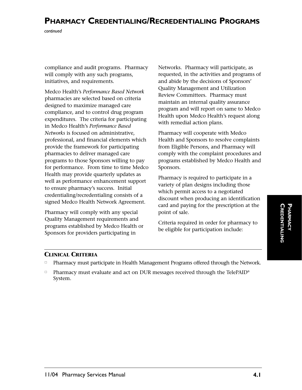# **PHARMACY CREDENTIALING/RECREDENTIALING PROGRAMS**

*continued*

compliance and audit programs. Pharmacy will comply with any such programs, initiatives, and requirements.

Medco Health's *Performance Based Network* pharmacies are selected based on criteria designed to maximize managed care compliance, and to control drug program expenditures. The criteria for participating in Medco Health's *Performance Based Networks* is focused on administrative, professional, and financial elements which provide the framework for participating pharmacies to deliver managed care programs to those Sponsors willing to pay for performance. From time to time Medco Health may provide quarterly updates as well as performance enhancement support to ensure pharmacy's success. Initial credentialing/recredentialing consists of a signed Medco Health Network Agreement.

Pharmacy will comply with any special Quality Management requirements and programs established by Medco Health or Sponsors for providers participating in

Networks. Pharmacy will participate, as requested, in the activities and programs of and abide by the decisions of Sponsors' Quality Management and Utilization Review Committees. Pharmacy must maintain an internal quality assurance program and will report on same to Medco Health upon Medco Health's request along with remedial action plans.

Pharmacy will cooperate with Medco Health and Sponsors to resolve complaints from Eligible Persons, and Pharmacy will comply with the complaint procedures and programs established by Medco Health and Sponsors.

Pharmacy is required to participate in a variety of plan designs including those which permit access to a negotiated discount when producing an identification card and paying for the prescription at the point of sale.

Criteria required in order for pharmacy to be eligible for participation include:

#### **CLINICAL CRITERIA**

- -Pharmacy must participate in Health Management Programs offered through the Network.
- $\Box$  Pharmacy must evaluate and act on DUR messages received through the TelePAID® System.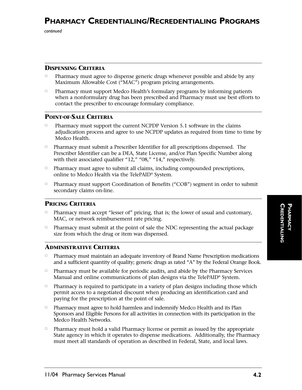*continued*

#### **DISPENSING CRITERIA**

- $\Box$  Pharmacy must agree to dispense generic drugs whenever possible and abide by any Maximum Allowable Cost ("MAC") program pricing arrangements.
- $\Box$  Pharmacy must support Medco Health's formulary programs by informing patients when a nonformulary drug has been prescribed and Pharmacy must use best efforts to contact the prescriber to encourage formulary compliance.

#### **POINT-OF-SALE CRITERIA**

- $\Box$  Pharmacy must support the current NCPDP Version 5.1 software in the claims adjudication process and agree to use NCPDP updates as required from time to time by Medco Health.
- $\Box$  Pharmacy must submit a Prescriber Identifier for all prescriptions dispensed. The Prescriber Identifier can be a DEA, State License, and/or Plan Specific Number along with their associated qualifier "12," "08," "14," respectively.
- Pharmacy must agree to submit all claims, including compounded prescriptions, online to Medco Health via the TelePAID® System.
- $\Box$  Pharmacy must support Coordination of Benefits ("COB") segment in order to submit secondary claims on-line.

#### **PRICING CRITERIA**

- □ Pharmacy must accept "lesser of" pricing, that is; the lower of usual and customary, MAC, or network reimbursement rate pricing.
- - Pharmacy must submit at the point of sale the NDC representing the actual package size from which the drug or item was dispensed.

#### **ADMINISTRATIVE CRITERIA**

- $\Box$  Pharmacy must maintain an adequate inventory of Brand Name Prescription medications and a sufficient quantity of quality; generic drugs as rated "A" by the Federal Orange Book.
- $\Box$  Pharmacy must be available for periodic audits, and abide by the Pharmacy Services Manual and online communications of plan designs via the TelePAID® System.
- $\Box$  Pharmacy is required to participate in a variety of plan designs including those which permit access to a negotiated discount when producing an identification card and paying for the prescription at the point of sale.
- $\Box$  Pharmacy must agree to hold harmless and indemnify Medco Health and its Plan Sponsors and Eligible Persons for all activities in connection with its participation in the Medco Health Networks.
- $\Box$  Pharmacy must hold a valid Pharmacy license or permit as issued by the appropriate State agency in which it operates to dispense medications. Additionally, the Pharmacy must meet all standards of operation as described in Federal, State, and local laws.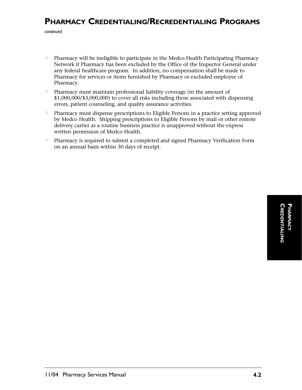# **PHARMACY CREDENTIALING/RECREDENTIALING PROGRAMS**

*continued*

- $\Box$  Pharmacy will be ineligible to participate in the Medco Health Participating Pharmacy Network if Pharmacy has been excluded by the Office of the Inspector General under any federal healthcare program. In addition, no compensation shall be made to Pharmacy for services or items furnished by Pharmacy or excluded employee of Pharmacy.
- $\Box$  Pharmacy must maintain professional liability coverage (in the amount of \$1,000,000/\$3,000,000) to cover all risks including those associated with dispensing errors, patient counseling, and quality assurance activities.
- $\Box$  Pharmacy must dispense prescriptions to Eligible Persons in a practice setting approved by Medco Health. Shipping prescriptions to Eligible Persons by mail or other remote delivery carrier as a routine business practice is unapproved without the express written permission of Medco Health.
- $\Box$  Pharmacy is required to submit a completed and signed Pharmacy Verification Form on an annual basis within 30 days of receipt.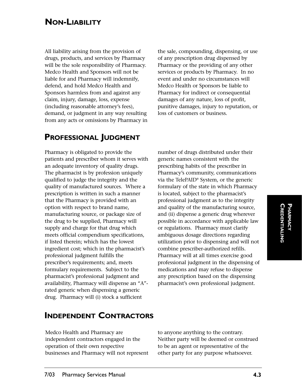# **NON-LIABILITY**

All liability arising from the provision of drugs, products, and services by Pharmacy will be the sole responsibility of Pharmacy. Medco Health and Sponsors will not be liable for and Pharmacy will indemnify, defend, and hold Medco Health and Sponsors harmless from and against any claim, injury, damage, loss, expense (including reasonable attorney's fees), demand, or judgment in any way resulting from any acts or omissions by Pharmacy in the sale, compounding, dispensing, or use of any prescription drug dispensed by Pharmacy or the providing of any other services or products by Pharmacy. In no event and under no circumstances will Medco Health or Sponsors be liable to Pharmacy for indirect or consequential damages of any nature, loss of profit, punitive damages, injury to reputation, or loss of customers or business.

## **PROFESSIONAL JUDGMENT**

Pharmacy is obligated to provide the patients and prescriber whom it serves with an adequate inventory of quality drugs. The pharmacist is by profession uniquely qualified to judge the integrity and the quality of manufactured sources. Where a prescription is written in such a manner that the Pharmacy is provided with an option with respect to brand name, manufacturing source, or package size of the drug to be supplied, Pharmacy will supply and charge for that drug which meets official compendium specifications, if listed therein; which has the lowest ingredient cost; which in the pharmacist's professional judgment fulfills the prescriber's requirements; and, meets formulary requirements. Subject to the pharmacist's professional judgment and availability, Pharmacy will dispense an "A" rated generic when dispensing a generic drug. Pharmacy will (i) stock a sufficient

number of drugs distributed under their generic names consistent with the prescribing habits of the prescriber in Pharmacy's community, communications via the TelePAID® System, or the generic formulary of the state in which Pharmacy is located, subject to the pharmacist's professional judgment as to the integrity and quality of the manufacturing source, and (ii) dispense a generic drug wherever possible in accordance with applicable law or regulations. Pharmacy must clarify ambiguous dosage directions regarding utilization prior to dispensing and will not combine prescriber-authorized refills. Pharmacy will at all times exercise good professional judgment in the dispensing of medications and may refuse to dispense any prescription based on the dispensing pharmacist's own professional judgment.

## **INDEPENDENT CONTRACTORS**

Medco Health and Pharmacy are independent contractors engaged in the operation of their own respective businesses and Pharmacy will not represent

to anyone anything to the contrary. Neither party will be deemed or construed to be an agent or representative of the other party for any purpose whatsoever.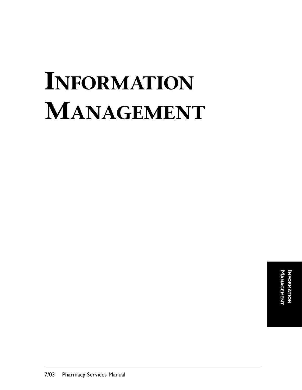# **INFORMATION MANAGEMENT**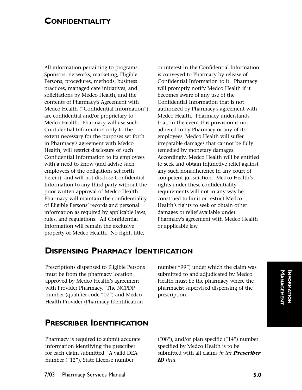### **CONFIDENTIALITY**

All information pertaining to programs, Sponsors, networks, marketing, Eligible Persons, procedures, methods, business practices, managed care initiatives, and solicitations by Medco Health, and the contents of Pharmacy's Agreement with Medco Health ("Confidential Information") are confidential and/or proprietary to Medco Health. Pharmacy will use such Confidential Information only to the extent necessary for the purposes set forth in Pharmacy's agreement with Medco Health, will restrict disclosure of such Confidential Information to its employees with a need to know (and advise such employees of the obligations set forth herein), and will not disclose Confidential Information to any third party without the prior written approval of Medco Health. Pharmacy will maintain the confidentiality of Eligible Persons' records and personal information as required by applicable laws, rules, and regulations. All Confidential Information will remain the exclusive property of Medco Health. No right, title,

or interest in the Confidential Information is conveyed to Pharmacy by release of Confidential Information to it. Pharmacy will promptly notify Medco Health if it becomes aware of any use of the Confidential Information that is not authorized by Pharmacy's agreement with Medco Health. Pharmacy understands that, in the event this provision is not adhered to by Pharmacy or any of its employees, Medco Health will suffer irreparable damages that cannot be fully remedied by monetary damages. Accordingly, Medco Health will be entitled to seek and obtain injunctive relief against any such nonadherence in any court of competent jurisdiction. Medco Health's rights under these confidentiality requirements will not in any way be construed to limit or restrict Medco Health's rights to seek or obtain other damages or relief available under Pharmacy's agreement with Medco Health or applicable law.

## **DISPENSING PHARMACY IDENTIFICATION**

Prescriptions dispensed to Eligible Persons must be from the pharmacy location approved by Medco Health's agreement with Provider Pharmacy. The NCPDP number (qualifier code "07") and Medco Health Provider (Pharmacy Identification

number "99") under which the claim was submitted to and adjudicated by Medco Health must be the pharmacy where the pharmacist supervised dispensing of the prescription.

## **PRESCRIBER IDENTIFICATION**

Pharmacy is required to submit accurate information identifying the prescriber for each claim submitted. A valid DEA number ("12"), State License number

 $(^{n}08"$ , and/or plan specific  $(^{n}14"$ ) number specified by Medco Health is to be submitted with all claims *in the Prescriber ID field*.

**I**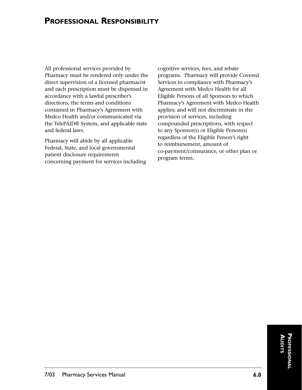## **PROFESSIONAL RESPONSIBILITY**

All professional services provided by Pharmacy must be rendered only under the direct supervision of a licensed pharmacist and each prescription must be dispensed in accordance with a lawful prescriber's directions, the terms and conditions contained in Pharmacy's Agreement with Medco Health and/or communicated via the TelePAID® System, and applicable state and federal laws.

Pharmacy will abide by all applicable Federal, State, and local governmental patient disclosure requirements concerning payment for services including

cognitive services, fees, and rebate programs. Pharmacy will provide Covered Services in compliance with Pharmacy's Agreement with Medco Health for all Eligible Persons of all Sponsors to which Pharmacy's Agreement with Medco Health applies; and will not discriminate in the provision of services, including compounded prescriptions, with respect to any Sponsor(s) or Eligible Person(s) regardless of the Eligible Person's right to reimbursement, amount of co-payment/coinsurance, or other plan or program terms.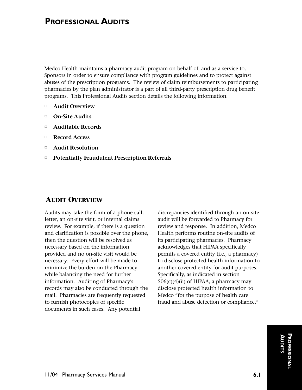Medco Health maintains a pharmacy audit program on behalf of, and as a service to, Sponsors in order to ensure compliance with program guidelines and to protect against abuses of the prescription programs. The review of claim reimbursements to participating pharmacies by the plan administrator is a part of all third-party prescription drug benefit programs. This Professional Audits section details the following information.

- $\Box$ **Audit Overview**
- -**On-Site Audits**
- $\Box$ **Auditable Records**
- $\Box$ **Record Access**
- $\Box$ **Audit Resolution**
- $\Box$ **Potentially Fraudulent Prescription Referrals**

#### **AUDIT OVERVIEW**

Audits may take the form of a phone call, letter, an on-site visit, or internal claims review. For example, if there is a question and clarification is possible over the phone, then the question will be resolved as necessary based on the information provided and no on-site visit would be necessary. Every effort will be made to minimize the burden on the Pharmacy while balancing the need for further information. Auditing of Pharmacy's records may also be conducted through the mail. Pharmacies are frequently requested to furnish photocopies of specific documents in such cases. Any potential

discrepancies identified through an on-site audit will be forwarded to Pharmacy for review and response. In addition, Medco Health performs routine on-site audits of its participating pharmacies. Pharmacy acknowledges that HIPAA specifically permits a covered entity (i.e., a pharmacy) to disclose protected health information to another covered entity for audit purposes. Specifically, as indicated in section  $506(c)(4)(ii)$  of HIPAA, a pharmacy may disclose protected health information to Medco "for the purpose of health care fraud and abuse detection or compliance."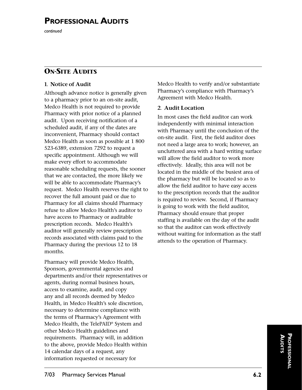*continued*

## **ON-SITE AUDITS**

#### **1. Notice of Audit**

Although advance notice is generally given to a pharmacy prior to an on-site audit, Medco Health is not required to provide Pharmacy with prior notice of a planned audit. Upon receiving notification of a scheduled audit, if any of the dates are inconvenient, Pharmacy should contact Medco Health as soon as possible at 1 800 523-6389, extension 7292 to request a specific appointment. Although we will make every effort to accommodate reasonable scheduling requests, the sooner that we are contacted, the more likely we will be able to accommodate Pharmacy's request. Medco Health reserves the right to recover the full amount paid or due to Pharmacy for all claims should Pharmacy refuse to allow Medco Health's auditor to have access to Pharmacy or auditable prescription records. Medco Health's auditor will generally review prescription records associated with claims paid to the Pharmacy during the previous 12 to 18 months.

Pharmacy will provide Medco Health, Sponsors, governmental agencies and departments and/or their representatives or agents, during normal business hours, access to examine, audit, and copy any and all records deemed by Medco Health, in Medco Health's sole discretion, necessary to determine compliance with the terms of Pharmacy's Agreement with Medco Health, the TelePAID® System and other Medco Health guidelines and requirements. Pharmacy will, in addition to the above, provide Medco Health within 14 calendar days of a request, any information requested or necessary for

Medco Health to verify and/or substantiate Pharmacy's compliance with Pharmacy's Agreement with Medco Health.

#### **2. Audit Location**

In most cases the field auditor can work independently with minimal interaction with Pharmacy until the conclusion of the on-site audit. First, the field auditor does not need a large area to work; however, an uncluttered area with a hard writing surface will allow the field auditor to work more effectively. Ideally, this area will not be located in the middle of the busiest area of the pharmacy but will be located so as to allow the field auditor to have easy access to the prescription records that the auditor is required to review. Second, if Pharmacy is going to work with the field auditor, Pharmacy should ensure that proper staffing is available on the day of the audit so that the auditor can work effectively without waiting for information as the staff attends to the operation of Pharmacy.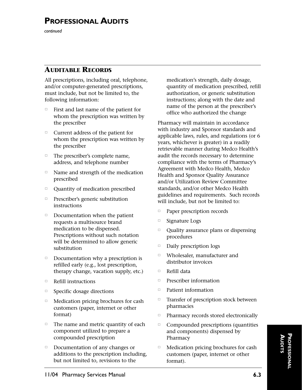*continued*

### **AUDITABLE RECORDS**

All prescriptions, including oral, telephone, and/or computer-generated prescriptions, must include, but not be limited to, the following information:

- $\Box$  First and last name of the patient for whom the prescription was written by the prescriber
- $\Box$  Current address of the patient for whom the prescription was written by the prescriber
- $\Box$  The prescriber's complete name, address, and telephone number
- $\Box$  Name and strength of the medication prescribed
- $\Box$ Quantity of medication prescribed
- Prescriber's generic substitution instructions
- $\Box$  Documentation when the patient requests a multisource brand medication to be dispensed. Prescriptions without such notation will be determined to allow generic substitution
- $\Box$  Documentation why a prescription is refilled early (e.g., lost prescription, therapy change, vacation supply, etc.)
- $\Box$ Refill instructions
- $\Box$ Specific dosage directions
- $\Box$  Medication pricing brochures for cash customers (paper, internet or other format)
- $\Box$  The name and metric quantity of each component utilized to prepare a compounded prescription
- $\Box$  Documentation of any changes or additions to the prescription including, but not limited to, revisions to the

medication's strength, daily dosage, quantity of medication prescribed, refill authorization, or generic substitution instructions; along with the date and name of the person at the prescriber's office who authorized the change

Pharmacy will maintain in accordance with industry and Sponsor standards and applicable laws, rules, and regulations (or 6 years, whichever is greater) in a readily retrievable manner during Medco Health's audit the records necessary to determine compliance with the terms of Pharmacy's Agreement with Medco Health, Medco Health and Sponsor Quality Assurance and/or Utilization Review Committee standards, and/or other Medco Health guidelines and requirements. Such records will include, but not be limited to:

- $\Box$ Paper prescription records
- $\Box$ Signature Logs
- $\Box$  Quality assurance plans or dispensing procedures
- $\Box$ Daily prescription logs
- $\Box$  Wholesaler, manufacturer and distributor invoices
- $\Box$ Refill data
- $\Box$ Prescriber information
- $\Box$ Patient information
- $\Box$  Transfer of prescription stock between pharmacies
- $\Box$ Pharmacy records stored electronically
- $\Box$  Compounded prescriptions (quantities and components) dispensed by Pharmacy
- $\Box$  Medication pricing brochures for cash customers (paper, internet or other format).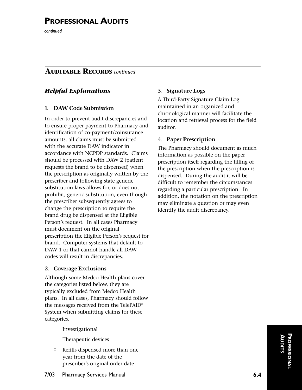*continued*

#### **AUDITABLE RECORDS** *continued*

#### *Helpful Explanations*

#### **1. DAW Code Submission**

In order to prevent audit discrepancies and to ensure proper payment to Pharmacy and identification of co-payment/coinsurance amounts, all claims must be submitted with the accurate DAW indicator in accordance with NCPDP standards. Claims should be processed with DAW 2 (patient requests the brand to be dispensed) when the prescription as originally written by the prescriber and following state generic substitution laws allows for, or does not prohibit, generic substitution, even though the prescriber subsequently agrees to change the prescription to require the brand drug be dispensed at the Eligible Person's request. In all cases Pharmacy must document on the original prescription the Eligible Person's request for brand. Computer systems that default to DAW 1 or that cannot handle all DAW codes will result in discrepancies.

#### **2. Coverage Exclusions**

Although some Medco Health plans cover the categories listed below, they are typically excluded from Medco Health plans. In all cases, Pharmacy should follow the messages received from the TelePAID® System when submitting claims for these categories.

- Investigational
- $\Box$ Therapeutic devices
- $\Box$  Refills dispensed more than one year from the date of the prescriber's original order date

#### **3. Signature Logs**

A Third-Party Signature Claim Log maintained in an organized and chronological manner will facilitate the location and retrieval process for the field auditor.

#### **4. Paper Prescription**

The Pharmacy should document as much information as possible on the paper prescription itself regarding the filling of the prescription when the prescription is dispensed. During the audit it will be difficult to remember the circumstances regarding a particular prescription. In addition, the notation on the prescription may eliminate a question or may even identify the audit discrepancy.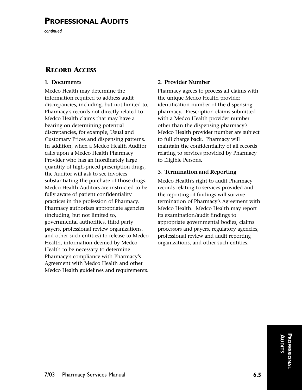*continued*

#### **RECORD ACCESS**

#### **1. Documents**

Medco Health may determine the information required to address audit discrepancies, including, but not limited to, Pharmacy's records not directly related to Medco Health claims that may have a bearing on determining potential discrepancies, for example, Usual and Customary Prices and dispensing patterns. In addition, when a Medco Health Auditor calls upon a Medco Health Pharmacy Provider who has an inordinately large quantity of high-priced prescription drugs, the Auditor will ask to see invoices substantiating the purchase of those drugs. Medco Health Auditors are instructed to be fully aware of patient confidentiality practices in the profession of Pharmacy. Pharmacy authorizes appropriate agencies (including, but not limited to, governmental authorities, third party payers, professional review organizations, and other such entities) to release to Medco Health, information deemed by Medco Health to be necessary to determine Pharmacy's compliance with Pharmacy's Agreement with Medco Health and other Medco Health guidelines and requirements.

#### **2. Provider Number**

Pharmacy agrees to process all claims with the unique Medco Health provider identification number of the dispensing pharmacy. Prescription claims submitted with a Medco Health provider number other than the dispensing pharmacy's Medco Health provider number are subject to full charge back. Pharmacy will maintain the confidentiality of all records relating to services provided by Pharmacy to Eligible Persons.

#### **3. Termination and Reporting**

Medco Health's right to audit Pharmacy records relating to services provided and the reporting of findings will survive termination of Pharmacy's Agreement with Medco Health. Medco Health may report its examination/audit findings to appropriate governmental bodies, claims processors and payers, regulatory agencies, professional review and audit reporting organizations, and other such entities.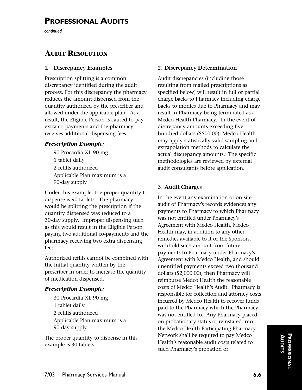*continued*

### **AUDIT RESOLUTION**

#### **1. Discrepancy Examples**

Prescription splitting is a common discrepancy identified during the audit process. For this discrepancy the pharmacy reduces the amount dispensed from the quantity authorized by the prescriber and allowed under the applicable plan. As a result, the Eligible Person is caused to pay extra co-payments and the pharmacy receives additional dispensing fees.

#### *Prescription Example:*

90 Procardia XL 90 mg 1 tablet daily 2 refills authorized Applicable Plan maximum is a 90-day supply

Under this example, the proper quantity to dispense is 90 tablets. The pharmacy would be splitting the prescription if the quantity dispensed was reduced to a 30-day supply. Improper dispensing such as this would result in the Eligible Person paying two additional co-payments and the pharmacy receiving two extra dispensing fees.

Authorized refills cannot be combined with the initial quantity written by the prescriber in order to increase the quantity of medication dispensed.

#### *Prescription Example:*

30 Procardia XL 90 mg 1 tablet daily 2 refills authorized Applicable Plan maximum is a 90-day supply

The proper quantity to dispense in this example is 30 tablets.

#### **2. Discrepancy Determination**

Audit discrepancies (including those resulting from mailed prescriptions as specified below) will result in full or partial charge backs to Pharmacy including charge backs to monies due to Pharmacy and may result in Pharmacy being terminated as a Medco Health Pharmacy. In the event of discrepancy amounts exceeding five hundred dollars (\$500.00), Medco Health may apply statistically valid sampling and extrapolation methods to calculate the actual discrepancy amounts. The specific methodologies are reviewed by external audit consultants before application.

#### **3. Audit Charges**

In the event any examination or on-site audit of Pharmacy's records evidences any payments to Pharmacy to which Pharmacy was not entitled under Pharmacy's Agreement with Medco Health, Medco Health may, in addition to any other remedies available to it or the Sponsors, withhold such amount from future payments to Pharmacy under Pharmacy's Agreement with Medco Health, and should unentitled payments exceed two thousand dollars (\$2,000.00), then Pharmacy will reimburse Medco Health the reasonable costs of Medco Health's Audit. Pharmacy is responsible for collection and attorney costs incurred by Medco Health to recover funds paid to the Pharmacy which the Pharmacy was not entitled to. Any Pharmacy placed on probationary status or reinstated into the Medco Health Participating Pharmacy Network shall be required to pay Medco Health's reasonable audit costs related to such Pharmacy's probation or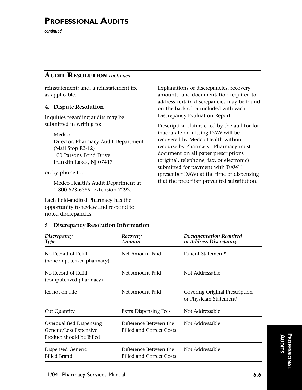*continued*

#### **AUDIT RESOLUTION** *continued*

reinstatement; and, a reinstatement fee as applicable.

#### **4. Dispute Resolution**

Inquiries regarding audits may be submitted in writing to:

> Medco Director, Pharmacy Audit Department (Mail Stop E2-12) 100 Parsons Pond Drive Franklin Lakes, NJ 07417

or, by phone to:

Medco Health's Audit Department at 1 800 523-6389, extension 7292.

Each field-audited Pharmacy has the opportunity to review and respond to noted discrepancies.

#### **5. Discrepancy Resolution Information**

*Discrepancy Recovery Documentation Required Type Amount to Address Discrepancy* No Record of Refill Net Amount Paid Patient Statement\* (noncomputerized pharmacy) No Record of Refill Net Amount Paid Not Addressable (computerized pharmacy) Rx not on File Net Amount Paid Covering Original Prescription or Physician Statement† Cut Quantity **Extra Dispensing Fees** Not Addressable Overqualified Dispensing Difference Between the Not Addressable Generic/Less Expensive Billed and Correct Costs Product should be Billed Dispensed Generic Difference Between the Not Addressable Billed Brand Billed and Correct Costs

Explanations of discrepancies, recovery amounts, and documentation required to address certain discrepancies may be found on the back of or included with each Discrepancy Evaluation Report.

Prescription claims cited by the auditor for inaccurate or missing DAW will be recovered by Medco Health without recourse by Pharmacy. Pharmacy must document on all paper prescriptions (original, telephone, fax, or electronic) submitted for payment with DAW 1 (prescriber DAW) at the time of dispensing that the prescriber prevented substitution.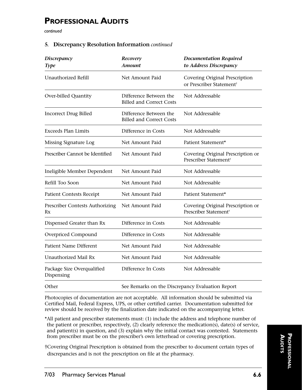*continued*

#### **5. Discrepancy Resolution Information** *continued*

| <b>Discrepancy</b><br><b>Type</b>        | Recovery<br><b>Amount</b>                                 | <b>Documentation Required</b><br>to Address Discrepancy                |
|------------------------------------------|-----------------------------------------------------------|------------------------------------------------------------------------|
| Unauthorized Refill                      | Net Amount Paid                                           | Covering Original Prescription<br>or Prescriber Statement <sup>†</sup> |
| Over-billed Quantity                     | Difference Between the<br><b>Billed and Correct Costs</b> | Not Addressable                                                        |
| <b>Incorrect Drug Billed</b>             | Difference Between the<br><b>Billed and Correct Costs</b> | Not Addressable                                                        |
| <b>Exceeds Plan Limits</b>               | Difference in Costs                                       | Not Addressable                                                        |
| Missing Signature Log                    | Net Amount Paid                                           | Patient Statement*                                                     |
| Prescriber Cannot be Identified          | Net Amount Paid                                           | Covering Original Prescription or<br>Prescriber Statement <sup>†</sup> |
| Ineligible Member Dependent              | Net Amount Paid                                           | Not Addressable                                                        |
| Refill Too Soon                          | Net Amount Paid                                           | Not Addressable                                                        |
| Patient Contests Receipt                 | Net Amount Paid                                           | Patient Statement*                                                     |
| Prescriber Contests Authorizing<br>Rx    | Net Amount Paid                                           | Covering Original Prescription or<br>Prescriber Statement <sup>+</sup> |
| Dispensed Greater than Rx                | Difference in Costs                                       | Not Addressable                                                        |
| Overpriced Compound                      | Difference in Costs                                       | Not Addressable                                                        |
| Patient Name Different                   | Net Amount Paid                                           | Not Addressable                                                        |
| Unauthorized Mail Rx                     | Net Amount Paid                                           | Not Addressable                                                        |
| Package Size Overqualified<br>Dispensing | Difference In Costs                                       | Not Addressable                                                        |
| Other                                    | See Remarks on the Discrepancy Evaluation Report          |                                                                        |

Photocopies of documentation are not acceptable. All information should be submitted via Certified Mail, Federal Express, UPS, or other certified carrier. Documentation submitted for review should be received by the finalization date indicated on the accompanying letter.

\*All patient and prescriber statements must: (1) include the address and telephone number of the patient or prescriber, respectively, (2) clearly reference the medication(s), date(s) of service, and patient(s) in question, and (3) explain why the initial contact was contested. Statements from prescriber must be on the prescriber's own letterhead or covering prescription.

†Covering Original Prescription is obtained from the prescriber to document certain types of discrepancies and is not the prescription on file at the pharmacy.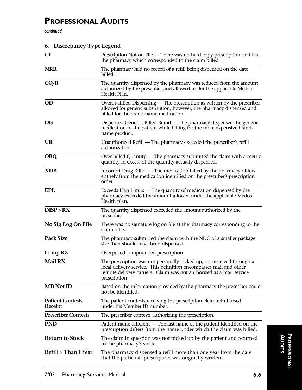*continued*

| 6. Discrepancy Type Legend                |                                                                                                                                                                                                                                      |  |
|-------------------------------------------|--------------------------------------------------------------------------------------------------------------------------------------------------------------------------------------------------------------------------------------|--|
| <b>CF</b>                                 | Prescription Not on File — There was no hard copy prescription on file at<br>the pharmacy which corresponded to the claim billed.                                                                                                    |  |
| <b>NRR</b>                                | The pharmacy had no record of a refill being dispensed on the date<br>billed.                                                                                                                                                        |  |
| CQ/R                                      | The quantity dispensed by the pharmacy was reduced from the amount<br>authorized by the prescriber and allowed under the applicable Medco<br>Health Plan.                                                                            |  |
| <b>OD</b>                                 | Overqualified Dispensing — The prescription as written by the prescriber<br>allowed for generic substitution, however, the pharmacy dispensed and<br>billed for the brand-name medication.                                           |  |
| <b>DG</b>                                 | Dispensed Generic, Billed Brand — The pharmacy dispensed the generic<br>medication to the patient while billing for the more expensive brand-<br>name product.                                                                       |  |
| <b>UR</b>                                 | Unauthorized Refill — The pharmacy exceeded the prescriber's refill<br>authorization.                                                                                                                                                |  |
| <b>OBQ</b>                                | Over-billed Quantity — The pharmacy submitted the claim with a metric<br>quantity in excess of the quantity actually dispensed.                                                                                                      |  |
| <b>XDB</b>                                | Incorrect Drug Billed — The medication billed by the pharmacy differs<br>entirely from the medication identified on the prescriber's prescription<br>order.                                                                          |  |
| <b>EPL</b>                                | Exceeds Plan Limits — The quantity of medication dispensed by the<br>pharmacy exceeded the amount allowed under the applicable Medco<br>Health plan.                                                                                 |  |
| DISP > RX                                 | The quantity dispensed exceeded the amount authorized by the<br>prescriber.                                                                                                                                                          |  |
| No Sig Log On File                        | There was no signature log on file at the pharmacy corresponding to the<br>claim billed.                                                                                                                                             |  |
| <b>Pack Size</b>                          | The pharmacy submitted the claim with the NDC of a smaller package<br>size than should have been dispensed.                                                                                                                          |  |
| Comp RX                                   | Overpriced compounded prescription.                                                                                                                                                                                                  |  |
| <b>Mail RX</b>                            | The prescription was not personally picked up, nor received through a<br>local delivery service. This definition encompasses mail and other<br>remote delivery carriers. Claim was not authorized as a mail service<br>prescription. |  |
| <b>MD</b> Not ID                          | Based on the information provided by the pharmacy the prescriber could<br>not be identified.                                                                                                                                         |  |
| <b>Patient Contests</b><br><b>Receipt</b> | The patient contests receiving the prescription claim reimbursed<br>under his Member ID number.                                                                                                                                      |  |
| <b>Prescriber Contests</b>                | The prescriber contests authorizing the prescription.                                                                                                                                                                                |  |
| <b>PND</b>                                | Patient name different — The last name of the patient identified on the<br>prescription differs from the name under which the claim was billed.                                                                                      |  |
| <b>Return to Stock</b>                    | The claim in question was not picked up by the patient and returned<br>to the pharmacy's stock.                                                                                                                                      |  |
| <b>Refill &gt; Than 1 Year</b>            | The pharmacy dispensed a refill more than one year from the date<br>that the particular prescription was originally written.                                                                                                         |  |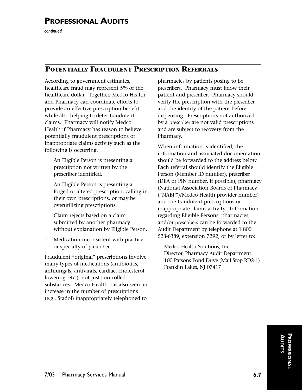*continued*

### **POTENTIALLY FRAUDULENT PRESCRIPTION REFERRALS**

According to government estimates, healthcare fraud may represent 5% of the healthcare dollar. Together, Medco Health and Pharmacy can coordinate efforts to provide an effective prescription benefit while also helping to deter fraudulent claims. Pharmacy will notify Medco Health if Pharmacy has reason to believe potentially fraudulent prescriptions or inappropriate claims activity such as the following is occurring.

- $\Box$  An Eligible Person is presenting a prescription not written by the prescriber identified.
- $\Box$  An Eligible Person is presenting a forged or altered prescription, calling in their own prescriptions, or may be overutilizing prescriptions.
- $\Box$  Claim rejects based on a claim submitted by another pharmacy without explanation by Eligible Person.
- $\Box$  Medication inconsistent with practice or specialty of prescriber.

Fraudulent "original" prescriptions involve many types of medications (antibiotics, antifungals, antivirals, cardiac, cholesterol lowering, etc.), not just controlled substances. Medco Health has also seen an increase in the number of prescriptions (e.g., Stadol) inappropriately telephoned to

pharmacies by patients posing to be prescribers. Pharmacy must know their patient and prescriber. Pharmacy should verify the prescription with the prescriber and the identity of the patient before dispensing. Prescriptions not authorized by a prescriber are not valid prescriptions and are subject to recovery from the Pharmacy.

When information is identified, the information and associated documentation should be forwarded to the address below. Each referral should identify the Eligible Person (Member ID number), prescriber (DEA or PIN number, if possible), pharmacy (National Association Boards of Pharmacy ("NABP")/Medco Health provider number) and the fraudulent prescriptions or inappropriate claims activity. Information regarding Eligible Persons, pharmacies, and/or prescribers can be forwarded to the Audit Department by telephone at 1 800 523-6389, extension 7292, or by letter to:

Medco Health Solutions, Inc. Director, Pharmacy Audit Department 100 Parsons Pond Drive (Mail Stop RD2-1) Franklin Lakes, NJ 07417

> **PROFESSIONAL AUDITS**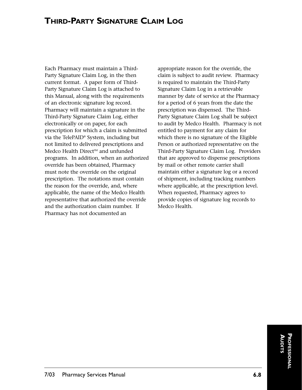## **THIRD-PARTY SIGNATURE CLAIM LOG**

Each Pharmacy must maintain a Third-Party Signature Claim Log, in the then current format. A paper form of Third-Party Signature Claim Log is attached to this Manual, along with the requirements of an electronic signature log record. Pharmacy will maintain a signature in the Third-Party Signature Claim Log, either electronically or on paper, for each prescription for which a claim is submitted via the TelePAID® System, including but not limited to delivered prescriptions and Medco Health Direct<sup>SM</sup> and unfunded programs. In addition, when an authorized override has been obtained, Pharmacy must note the override on the original prescription. The notations must contain the reason for the override, and, where applicable, the name of the Medco Health representative that authorized the override and the authorization claim number. If Pharmacy has not documented an

appropriate reason for the override, the claim is subject to audit review. Pharmacy is required to maintain the Third-Party Signature Claim Log in a retrievable manner by date of service at the Pharmacy for a period of 6 years from the date the prescription was dispensed. The Third-Party Signature Claim Log shall be subject to audit by Medco Health. Pharmacy is not entitled to payment for any claim for which there is no signature of the Eligible Person or authorized representative on the Third-Party Signature Claim Log. Providers that are approved to dispense prescriptions by mail or other remote carrier shall maintain either a signature log or a record of shipment, including tracking numbers where applicable, at the prescription level. When requested, Pharmacy agrees to provide copies of signature log records to Medco Health.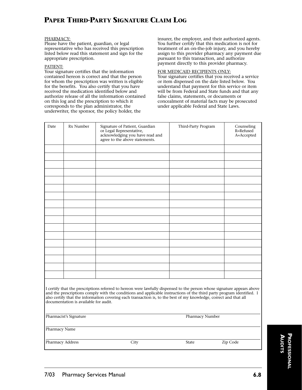## **PAPER THIRD-PARTY SIGNATURE CLAIM LOG**

#### PHARMACY:

Please have the patient, guardian, or legal representative who has received this prescription listed below read this statement and sign for the appropriate prescription.

#### PATIENT:

Your signature certifies that the information contained hereon is correct and that the person for whom the prescription was written is eligible for the benefits. You also certify that you have received the medication identified below and authorize release of all the information contained on this log and the prescription to which it corresponds to the plan administrator, the underwriter, the sponsor, the policy holder, the

insurer, the employer, and their authorized agents. You further certify that this medication is not for treatment of an on-the-job injury, and you hereby assign to this provider pharmacy any payment due pursuant to this transaction, and authorize payment directly to this provider pharmacy.

#### FOR MEDICAID RECIPIENTS ONLY:

Your signature certifies that you received a service or item dispensed on the date listed below. You understand that payment for this service or item will be from Federal and State funds and that any false claims, statements, or documents or concealment of material facts may be prosecuted under applicable Federal and State Laws.

| Date | Rx Number | Signature of Patient, Guardian<br>or Legal Representative,<br>acknowledging you have read and<br>agree to the above statements. | Third-Party Program | Counseling<br>R=Refused<br>A=Accepted |
|------|-----------|---------------------------------------------------------------------------------------------------------------------------------|---------------------|---------------------------------------|
|      |           |                                                                                                                                 |                     |                                       |
|      |           |                                                                                                                                 |                     |                                       |
|      |           |                                                                                                                                 |                     |                                       |
|      |           |                                                                                                                                 |                     |                                       |
|      |           |                                                                                                                                 |                     |                                       |
|      |           |                                                                                                                                 |                     |                                       |
|      |           |                                                                                                                                 |                     |                                       |
|      |           |                                                                                                                                 |                     |                                       |
|      |           |                                                                                                                                 |                     |                                       |
|      |           |                                                                                                                                 |                     |                                       |
|      |           |                                                                                                                                 |                     |                                       |
|      |           |                                                                                                                                 |                     |                                       |
|      |           |                                                                                                                                 |                     |                                       |
|      |           |                                                                                                                                 |                     |                                       |
|      |           |                                                                                                                                 |                     |                                       |
|      |           |                                                                                                                                 |                     |                                       |
|      |           |                                                                                                                                 |                     |                                       |
|      |           | Lettify that the prescriptions referred to hereon were lawfully dispensed to the person whose signature appears above           |                     |                                       |

I certify that the prescriptions referred to hereon were lawfully dispensed to the person whose signature appears above and the prescriptions comply with the conditions and applicable instructions of the third party program identified. I also certify that the information covering each transaction is, to the best of my knowledge, correct and that all documentation is available for audit.

| Pharmacist's Signature |  |
|------------------------|--|
|                        |  |

Pharmacy Number

Pharmacy Name

Pharmacy Address City City State Zip Code

PROFESSIONAL **PROFESSIONAL AUDITS**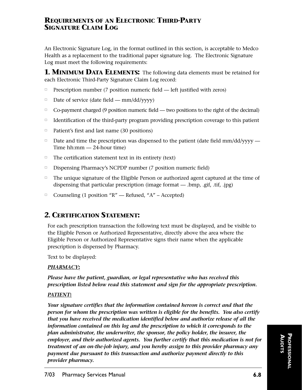#### **REQUIREMENTS OF AN ELECTRONIC THIRD-PARTY SIGNATURE CLAIM LOG**

An Electronic Signature Log, in the format outlined in this section, is acceptable to Medco Health as a replacement to the traditional paper signature log. The Electronic Signature Log must meet the following requirements:

**1. MINIMUM DATA ELEMENTS:** The following data elements must be retained for each Electronic Third-Party Signature Claim Log record:

- $\Box$ Prescription number (7 position numeric field — left justified with zeros)
- $\Box$ Date of service (date field — mm/dd/yyyy)
- $\Box$ Co-payment charged (9 position numeric field — two positions to the right of the decimal)
- $\Box$ Identification of the third-party program providing prescription coverage to this patient
- $\Box$ Patient's first and last name (30 positions)
- $\Box$  Date and time the prescription was dispensed to the patient (date field mm/dd/yyyy Time hh:mm — 24-hour time)
- $\Box$  The certification statement text in its entirety (text)
- $\Box$ Dispensing Pharmacy's NCPDP number (7 position numeric field)
- □ The unique signature of the Eligible Person or authorized agent captured at the time of dispensing that particular prescription (image format — .bmp, .gif, .tif, .jpg)
- □ Counseling (1 position "R" Refused, "A" Accepted)

## **2. CERTIFICATION STATEMENT:**

For each prescription transaction the following text must be displayed, and be visible to the Eligible Person or Authorized Representative, directly above the area where the Eligible Person or Authorized Representative signs their name when the applicable prescription is dispensed by Pharmacy.

Text to be displayed:

#### *PHARMACY***:**

*Please have the patient, guardian, or legal representative who has received this prescription listed below read this statement and sign for the appropriate prescription.*

#### *PATIENT***:**

*Your signature certifies that the information contained hereon is correct and that the person for whom the prescription was written is eligible for the benefits. You also certify that you have received the medication identified below and authorize release of all the information contained on this log and the prescription to which it corresponds to the plan administrator, the underwriter, the sponsor, the policy holder, the insurer, the employer, and their authorized agents. You further certify that this medication is not for treatment of an on-the-job injury, and you hereby assign to this provider pharmacy any payment due pursuant to this transaction and authorize payment directly to this provider pharmacy.*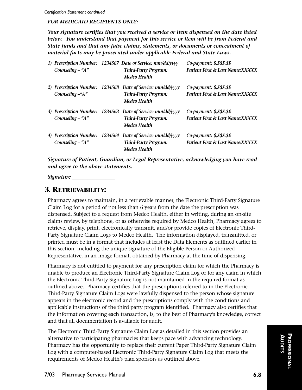#### *FOR MEDICAID RECIPIENTS ONLY:*

*Your signature certifies that you received a service or item dispensed on the date listed below. You understand that payment for this service or item will be from Federal and State funds and that any false claims, statements, or documents or concealment of material facts may be prosecuted under applicable Federal and State Laws.*

| Counseling $-$ "A" | 1) Prescription Number: 1234567 Date of Service: mm/dd/yyyy<br><b>Third-Party Program:</b><br><b>Medco Health</b> | Co-payment: \$,\$\$\$.\$\$<br>Patient First & Last Name:XXXXX |
|--------------------|-------------------------------------------------------------------------------------------------------------------|---------------------------------------------------------------|
| Counseling -"A"    | 2) Prescription Number: 1234568 Date of Service: mm/dd/yyyy<br><b>Third-Party Program:</b><br><b>Medco Health</b> | Co-payment: \$,\$\$\$.\$\$<br>Patient First & Last Name:XXXXX |
| Counseling $-$ "A" | 3) Prescription Number: 1234563 Date of Service: mm/dd/yyyy<br><b>Third-Party Program:</b><br><b>Medco Health</b> | Co-payment: \$,\$\$\$.\$\$<br>Patient First & Last Name:XXXXX |
| Counseling $-$ "A" | 4) Prescription Number: 1234564 Date of Service: mm/dd/yyyy<br><b>Third-Party Program:</b><br><b>Medco Health</b> | Co-payment: \$,\$\$\$.\$\$<br>Patient First & Last Name:XXXXX |

*Signature of Patient, Guardian, or Legal Representative, acknowledging you have read and agree to the above statements.*

*Signature \_\_\_\_\_\_\_\_\_\_\_\_\_\_\_\_\_*

#### **3. RETRIEVABILITY:**

Pharmacy agrees to maintain, in a retrievable manner, the Electronic Third-Party Signature Claim Log for a period of not less than 6 years from the date the prescription was dispensed. Subject to a request from Medco Health, either in writing, during an on-site claims review, by telephone, or as otherwise required by Medco Health, Pharmacy agrees to retrieve, display, print, electronically transmit, and/or provide copies of Electronic Third-Party Signature Claim Logs to Medco Health. The information displayed, transmitted, or printed must be in a format that includes at least the Data Elements as outlined earlier in this section, including the unique signature of the Eligible Person or Authorized Representative, in an image format, obtained by Pharmacy at the time of dispensing.

Pharmacy is not entitled to payment for any prescription claim for which the Pharmacy is unable to produce an Electronic Third-Party Signature Claim Log or for any claim in which the Electronic Third-Party Signature Log is not maintained in the required format as outlined above. Pharmacy certifies that the prescriptions referred to in the Electronic Third-Party Signature Claim Logs were lawfully dispensed to the person whose signature appears in the electronic record and the prescriptions comply with the conditions and applicable instructions of the third party program identified. Pharmacy also certifies that the information covering each transaction, is, to the best of Pharmacy's knowledge, correct and that all documentation is available for audit.

The Electronic Third-Party Signature Claim Log as detailed in this section provides an alternative to participating pharmacies that keeps pace with advancing technology. Pharmacy has the opportunity to replace their current Paper Third-Party Signature Claim Log with a computer-based Electronic Third-Party Signature Claim Log that meets the requirements of Medco Health's plan sponsors as outlined above.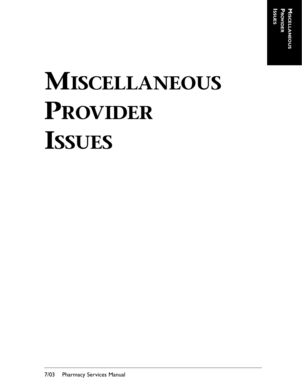# **MISCELLANEOUS PROVIDER ISSUES**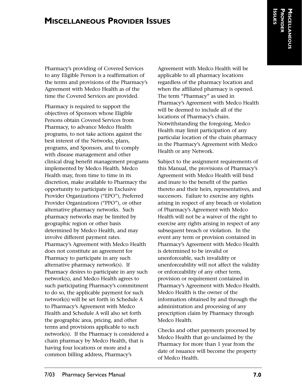## **MISCELLANEOUS PROVIDER ISSUES**

Pharmacy's providing of Covered Services to any Eligible Person is a reaffirmation of the terms and provisions of the Pharmacy's Agreement with Medco Health as of the time the Covered Services are provided.

Pharmacy is required to support the objectives of Sponsors whose Eligible Persons obtain Covered Services from Pharmacy, to advance Medco Health programs, to not take actions against the best interest of the Networks, plans, programs, and Sponsors, and to comply with disease management and other clinical drug benefit management programs implemented by Medco Health. Medco Health may, from time to time in its discretion, make available to Pharmacy the opportunity to participate in Exclusive Provider Organizations ("EPO"), Preferred Provider Organizations ("PPO"), or other alternative pharmacy networks. Such pharmacy networks may be limited by geographic region or other basis determined by Medco Health, and may involve different payment rates. Pharmacy's Agreement with Medco Health does not constitute an agreement for Pharmacy to participate in any such alternative pharmacy network(s). If Pharmacy desires to participate in any such network(s), and Medco Health agrees to such participating Pharmacy's commitment to do so, the applicable payment for such network(s) will be set forth in Schedule A to Pharmacy's Agreement with Medco Health and Schedule A will also set forth the geographic area, pricing, and other terms and provisions applicable to such network(s). If the Pharmacy is considered a chain pharmacy by Medco Health, that is having four locations or more and a common billing address, Pharmacy's

Agreement with Medco Health will be applicable to all pharmacy locations regardless of the pharmacy location and when the affiliated pharmacy is opened. The term "Pharmacy" as used in Pharmacy's Agreement with Medco Health will be deemed to include all of the locations of Pharmacy's chain. Notwithstanding the foregoing, Medco Health may limit participation of any particular location of the chain pharmacy in the Pharmacy's Agreement with Medco Health or any Network.

Subject to the assignment requirements of this Manual, the provisions of Pharmacy's Agreement with Medco Health will bind and inure to the benefit of the parties thereto and their heirs, representatives, and successors. Failure to exercise any rights arising in respect of any breach or violation of Pharmacy's Agreement with Medco Health will not be a waiver of the right to exercise any rights arising in respect of any subsequent breach or violation. In the event any term or provision contained in Pharmacy's Agreement with Medco Health is determined to be invalid or unenforceable, such invalidity or unenforceability will not affect the validity or enforceability of any other term, provision or requirement contained in Pharmacy's Agreement with Medco Health. Medco Health is the owner of the information obtained by and through the administration and processing of any prescription claim by Pharmacy through Medco Health.

Checks and other payments processed by Medco Health that go unclaimed by the Pharmacy for more than 1 year from the date of issuance will become the property of Medco Health.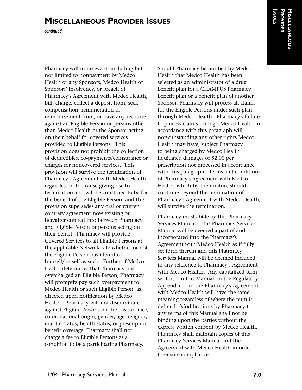# **MISCELLANEOUS PROVIDER ISSUES**

*continued*

Pharmacy will in no event, including but not limited to nonpayment by Medco Health or any Sponsors, Medco Health or Sponsors' insolvency, or breach of Pharmacy's Agreement with Medco Health, bill, charge, collect a deposit from, seek compensation, remuneration or reimbursement from, or have any recourse against an Eligible Person or persons other than Medco Health or the Sponsor acting on their behalf for covered services provided to Eligible Persons. This provision does not prohibit the collection of deductibles, co-payments/coinsurance or charges for noncovered services. This provision will survive the termination of Pharmacy's Agreement with Medco Health regardless of the cause giving rise to termination and will be construed to be for the benefit of the Eligible Person, and this provision supersedes any oral or written contrary agreement now existing or hereafter entered into between Pharmacy and Eligible Person or persons acting on their behalf. Pharmacy will provide Covered Services to all Eligible Persons at the applicable Network rate whether or not the Eligible Person has identified himself/herself as such. Further, if Medco Health determines that Pharmacy has overcharged an Eligible Person, Pharmacy will promptly pay such overpayment to Medco Health or such Eligible Person, as directed upon notification by Medco Health. Pharmacy will not discriminate against Eligible Persons on the basis of race, color, national origin, gender, age, religion, marital status, health status, or prescription benefit coverage. Pharmacy shall not charge a fee to Eligible Persons as a condition to be a participating Pharmacy.

Should Pharmacy be notified by Medco Health that Medco Health has been selected as an administrator of a drug benefit plan for a CHAMPUS Pharmacy benefit plan or a benefit plan of another Sponsor, Pharmacy will process all claims for the Eligible Persons under such plan through Medco Health. Pharmacy's failure to process claims through Medco Health in accordance with this paragraph will, notwithstanding any other rights Medco Health may have, subject Pharmacy to being charged by Medco Health liquidated damages of \$2.00 per prescription not processed in accordance with this paragraph. Terms and conditions of Pharmacy's Agreement with Medco Health, which by their nature should continue beyond the termination of Pharmacy's Agreement with Medco Health, will survive the termination.

Pharmacy must abide by this Pharmacy Services Manual. This Pharmacy Services Manual will be deemed a part of and incorporated into the Pharmacy's Agreement with Medco Health as if fully set forth therein and this Pharmacy Services Manual will be deemed included in any reference to Pharmacy's Agreement with Medco Health. Any capitalized term set forth in this Manual, in the Regulatory Appendix or in the Pharmacy's Agreement with Medco Health will have the same meaning regardless of where the term is defined. Modifications by Pharmacy to any terms of this Manual shall not be binding upon the parties without the express written consent by Medco Health. Pharmacy shall maintain copies of this Pharmacy Services Manual and the Agreement with Medco Health in order to ensure compliance.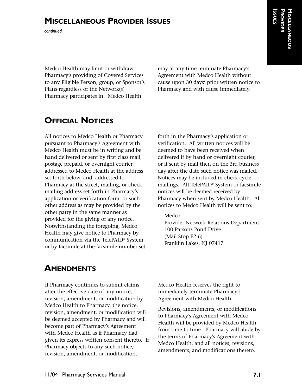# **MISCELLANEOUS PROVIDER ISSUES**

*continued*

Medco Health may limit or withdraw Pharmacy's providing of Covered Services to any Eligible Person, group, or Sponsor's Plans regardless of the Network(s) Pharmacy participates in. Medco Health

may at any time terminate Pharmacy's Agreement with Medco Health without cause upon 30 days' prior written notice to Pharmacy and with cause immediately.

# **OFFICIAL NOTICES**

All notices to Medco Health or Pharmacy pursuant to Pharmacy's Agreement with Medco Health must be in writing and be hand delivered or sent by first class mail, postage prepaid, or overnight courier addressed to Medco Health at the address set forth below; and, addressed to Pharmacy at the street, mailing, or check mailing address set forth in Pharmacy's application or verification form, or such other address as may be provided by the other party in the same manner as provided for the giving of any notice. Notwithstanding the foregoing, Medco Health may give notice to Pharmacy by communication via the TelePAID® System or by facsimile at the facsimile number set

forth in the Pharmacy's application or verification. All written notices will be deemed to have been received when delivered if by hand or overnight courier, or if sent by mail then on the 3rd business day after the date such notice was mailed. Notices may be included in check cycle mailings. All TelePAID® System or facsimile notices will be deemed received by Pharmacy when sent by Medco Health. All notices to Medco Health will be sent to:

#### Medco

Provider Network Relations Department 100 Parsons Pond Drive (Mail Stop E2-6) Franklin Lakes, NJ 07417

## **AMENDMENTS**

If Pharmacy continues to submit claims after the effective date of any notice, revision, amendment, or modification by Medco Health to Pharmacy, the notice, revision, amendment, or modification will be deemed accepted by Pharmacy and will become part of Pharmacy's Agreement with Medco Health as if Pharmacy had given its express written consent thereto. If Pharmacy objects to any such notice, revision, amendment, or modification,

Medco Health reserves the right to immediately terminate Pharmacy's Agreement with Medco Health.

Revisions, amendments, or modifications to Pharmacy's Agreement with Medco Health will be provided by Medco Health from time to time. Pharmacy will abide by the terms of Pharmacy's Agreement with Medco Health, and all notices, revisions, amendments, and modifications thereto.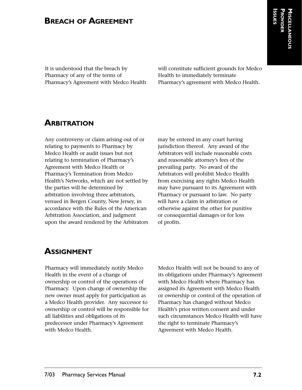## **BREACH OF AGREEMENT**

It is understood that the breach by Pharmacy of any of the terms of Pharmacy's Agreement with Medco Health will constitute sufficient grounds for Medco Health to immediately terminate Pharmacy's agreement with Medco Health.

## **ARBITRATION**

Any controversy or claim arising out of or relating to payments to Pharmacy by Medco Health or audit issues but not relating to termination of Pharmacy's Agreement with Medco Health or Pharmacy's Termination from Medco Health's Networks, which are not settled by the parties will be determined by arbitration involving three arbitrators, venued in Bergen County, New Jersey, in accordance with the Rules of the American Arbitration Association, and judgment upon the award rendered by the Arbitrators may be entered in any court having jurisdiction thereof. Any award of the Arbitrators will include reasonable costs and reasonable attorney's fees of the prevailing party. No award of the Arbitrators will prohibit Medco Health from exercising any rights Medco Health may have pursuant to its Agreement with Pharmacy or pursuant to law. No party will have a claim in arbitration or otherwise against the other for punitive or consequential damages or for loss of profits.

## **ASSIGNMENT**

Pharmacy will immediately notify Medco Health in the event of a change of ownership or control of the operations of Pharmacy. Upon change of ownership the new owner must apply for participation as a Medco Health provider. Any successor to ownership or control will be responsible for all liabilities and obligations of its predecessor under Pharmacy's Agreement with Medco Health.

Medco Health will not be bound to any of its obligations under Pharmacy's Agreement with Medco Health where Pharmacy has assigned its Agreement with Medco Health or ownership or control of the operation of Pharmacy has changed without Medco Health's prior written consent and under such circumstances Medco Health will have the right to terminate Pharmacy's Agreement with Medco Health.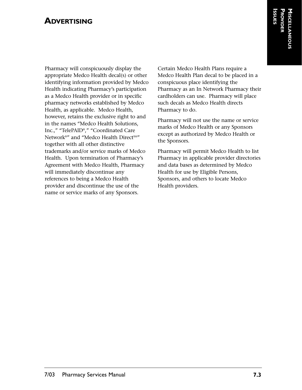## **ADVERTISING**

Pharmacy will conspicuously display the appropriate Medco Health decal(s) or other identifying information provided by Medco Health indicating Pharmacy's participation as a Medco Health provider or in specific pharmacy networks established by Medco Health, as applicable. Medco Health, however, retains the exclusive right to and in the names "Medco Health Solutions, Inc.," "TelePAID®," "Coordinated Care Network®" and "Medco Health Direct<sup>SM"</sup> together with all other distinctive trademarks and/or service marks of Medco Health. Upon termination of Pharmacy's Agreement with Medco Health, Pharmacy will immediately discontinue any references to being a Medco Health provider and discontinue the use of the name or service marks of any Sponsors.

Certain Medco Health Plans require a Medco Health Plan decal to be placed in a conspicuous place identifying the Pharmacy as an In Network Pharmacy their cardholders can use. Pharmacy will place such decals as Medco Health directs Pharmacy to do.

Pharmacy will not use the name or service marks of Medco Health or any Sponsors except as authorized by Medco Health or the Sponsors.

Pharmacy will permit Medco Health to list Pharmacy in applicable provider directories and data bases as determined by Medco Health for use by Eligible Persons, Sponsors, and others to locate Medco Health providers.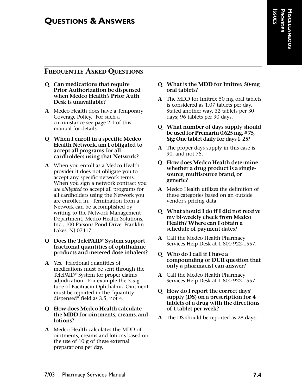### **FREQUENTLY ASKED QUESTIONS**

- **Q Can medications that require Prior Authorization be dispensed when Medco Health's Prior Auth Desk is unavailable?**
- **A** Medco Health does have a Temporary Coverage Policy. For such a circumstance see page 2.1 of this manual for details.
- **Q When I enroll in a specific Medco Health Network, am I obligated to accept all programs for all cardholders using that Network?**
- **A** When you enroll as a Medco Health provider it does not obligate you to accept any specific network terms. When you sign a network contract you *are obligated* to accept all programs for all cardholders using the Network you are enrolled in. Termination from a Network can be accomplished by writing to the Network Management Department, Medco Health Solutions, Inc., 100 Parsons Pond Drive, Franklin Lakes, NJ 07417.

#### **Q Does the TelePAID® System support fractional quantities of ophthalmic products and metered dose inhalers?**

**A** Yes. Fractional quantities of medications must be sent through the TelePAID® System for proper claims adjudication. For example the 3.5-g tube of Bacitracin Ophthalmic Ointment must be reported in the "quantity dispensed" field as 3.5, not 4.

#### **Q How does Medco Health calculate the MDD for ointments, creams, and lotions?**

**A** Medco Health calculates the MDD of ointments, creams and lotions based on the use of 10 g of these external preparations per day.

#### **Q What is the MDD for Imitrex 50-mg oral tablets?**

- **A** The MDD for Imitrex 50 mg oral tablets is considered as 1.07 tablets per day. Stated another way, 32 tablets per 30 days; 96 tablets per 90 days.
- **Q What number of days supply should be used for Premarin 0.625 mg, # 75, Sig: One tablet daily for days 1- 25?**
- **A** The proper days supply in this case is 90, and not 75.
- **Q How does Medco Health determine whether a drug product is a singlesource, multisource brand, or generic?**
- **A** Medco Health utilizes the definition of these categories based on an outside vendor's pricing data.
- **Q What should I do if I did not receive my bi-weekly check from Medco Health? Where can I obtain a schedule of payment dates?**
- **A** Call the Medco Health Pharmacy Services Help Desk at 1 800 922-1557.
- **Q Who do I call if I have a compounding or DUR question that only a pharmacist can answer?**
- **A** Call the Medco Health Pharmacy Services Help Desk at 1 800 922-1557.
- **Q How do I report the correct days' supply (DS) on a prescription for 4 tablets of a drug with the directions of 1 tablet per week?**
- **A** The DS should be reported as 28 days.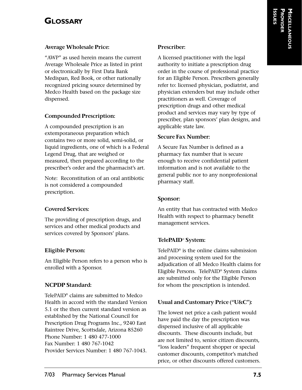# **GLOSSARY**

#### **Average Wholesale Price:**

"AWP" as used herein means the current Average Wholesale Price as listed in print or electronically by First Data Bank Medispan, Red Book, or other nationally recognized pricing source determined by Medco Health based on the package size dispensed.

## **Compounded Prescription:**

A compounded prescription is an extemporaneous preparation which contains two or more solid, semi-solid, or liquid ingredients, one of which is a Federal Legend Drug, that are weighed or measured, then prepared according to the prescriber's order and the pharmacist's art.

Note: Reconstitution of an oral antibiotic is not considered a compounded prescription.

## **Covered Services:**

The providing of prescription drugs, and services and other medical products and services covered by Sponsors' plans.

## **Eligible Person:**

An Eligible Person refers to a person who is enrolled with a Sponsor.

## **NCPDP Standard:**

TelePAID® claims are submitted to Medco Health in accord with the standard Version 5.1 or the then current standard version as established by the National Council for Prescription Drug Programs Inc., 9240 East Raintree Drive, Scottsdale, Arizona 85260 Phone Number: 1 480 477-1000 Fax Number: 1 480 767-1042 Provider Services Number: 1 480 767-1043.

#### **Prescriber:**

A licensed practitioner with the legal authority to initiate a prescription drug order in the course of professional practice for an Eligible Person. Prescribers generally refer to: licensed physician, podiatrist, and physician extenders but may include other practitioners as well. Coverage of prescription drugs and other medical product and services may vary by type of prescriber, plan sponsors' plan designs, and applicable state law.

### **Secure Fax Number:**

A Secure Fax Number is defined as a pharmacy fax number that is secure enough to receive confidential patient information and is not available to the general public nor to any nonprofessional pharmacy staff.

## **Sponsor:**

An entity that has contracted with Medco Health with respect to pharmacy benefit management services.

## **TelePAID® System:**

TelePAID® is the online claims submission and processing system used for the adjudication of all Medco Health claims for Eligible Persons. TelePAID® System claims are submitted only for the Eligible Person for whom the prescription is intended.

## **Usual and Customary Price ("U&C"):**

The lowest net price a cash patient would have paid the day the prescription was dispensed inclusive of all applicable discounts. These discounts include, but are not limited to, senior citizen discounts, "loss leaders" frequent shopper or special customer discounts, competitor's matched price, or other discounts offered customers.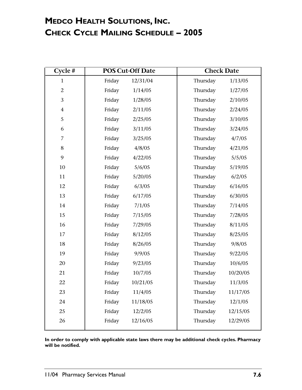# **MEDCO HEALTH SOLUTIONS, INC. CHECK CYCLE MAILING SCHEDULE – 2005**

| Cycle $#$      | <b>POS Cut-Off Date</b> |          | <b>Check Date</b> |          |
|----------------|-------------------------|----------|-------------------|----------|
| $\mathbf{1}$   | Friday                  | 12/31/04 | Thursday          | 1/13/05  |
| $\overline{2}$ | Friday                  | 1/14/05  | Thursday          | 1/27/05  |
| 3              | Friday                  | 1/28/05  | Thursday          | 2/10/05  |
| $\overline{4}$ | Friday                  | 2/11/05  | Thursday          | 2/24/05  |
| 5              | Friday                  | 2/25/05  | Thursday          | 3/10/05  |
| 6              | Friday                  | 3/11/05  | Thursday          | 3/24/05  |
| $\overline{7}$ | Friday                  | 3/25/05  | Thursday          | 4/7/05   |
| 8              | Friday                  | 4/8/05   | Thursday          | 4/21/05  |
| 9              | Friday                  | 4/22/05  | Thursday          | 5/5/05   |
| 10             | Friday                  | 5/6/05   | Thursday          | 5/19/05  |
| 11             | Friday                  | 5/20/05  | Thursday          | 6/2/05   |
| 12             | Friday                  | 6/3/05   | Thursday          | 6/16/05  |
| 13             | Friday                  | 6/17/05  | Thursday          | 6/30/05  |
| 14             | Friday                  | 7/1/05   | Thursday          | 7/14/05  |
| 15             | Friday                  | 7/15/05  | Thursday          | 7/28/05  |
| 16             | Friday                  | 7/29/05  | Thursday          | 8/11/05  |
| 17             | Friday                  | 8/12/05  | Thursday          | 8/25/05  |
| 18             | Friday                  | 8/26/05  | Thursday          | 9/8/05   |
| 19             | Friday                  | 9/9/05   | Thursday          | 9/22/05  |
| 20             | Friday                  | 9/23/05  | Thursday          | 10/6/05  |
| 21             | Friday                  | 10/7/05  | Thursday          | 10/20/05 |
| 22             | Friday                  | 10/21/05 | Thursday          | 11/3/05  |
| 23             | Friday                  | 11/4/05  | Thursday          | 11/17/05 |
| 24             | Friday                  | 11/18/05 | Thursday          | 12/1/05  |
| 25             | Friday                  | 12/2/05  | Thursday          | 12/15/05 |
| 26             | Friday                  | 12/16/05 | Thursday          | 12/29/05 |
|                |                         |          |                   |          |

**In order to comply with applicable state laws there may be additional check cycles. Pharmacy will be notified.**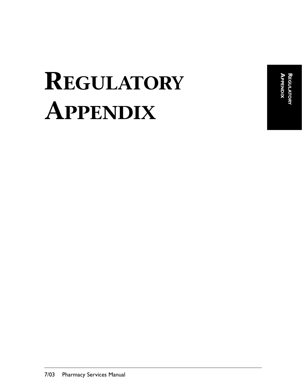**APPENDIX REGULATOR** АРРЕНDІХ **REGULATORY**

# **REGULATORY APPENDIX**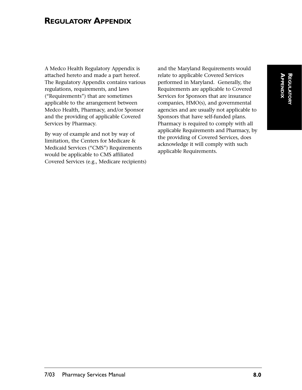# **REGULATORY APPENDIX**

A Medco Health Regulatory Appendix is attached hereto and made a part hereof. The Regulatory Appendix contains various regulations, requirements, and laws ("Requirements") that are sometimes applicable to the arrangement between Medco Health, Pharmacy, and/or Sponsor and the providing of applicable Covered Services by Pharmacy.

By way of example and not by way of limitation, the Centers for Medicare & Medicaid Services ("CMS") Requirements would be applicable to CMS affiliated Covered Services (e.g., Medicare recipients) and the Maryland Requirements would relate to applicable Covered Services performed in Maryland. Generally, the Requirements are applicable to Covered Services for Sponsors that are insurance companies, HMO(s), and governmental agencies and are usually not applicable to Sponsors that have self-funded plans. Pharmacy is required to comply with all applicable Requirements and Pharmacy, by the providing of Covered Services, does acknowledge it will comply with such applicable Requirements.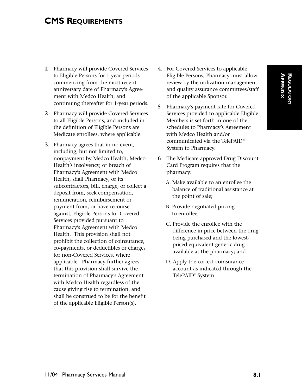## **CMS REQUIREMENTS**

- **1.** Pharmacy will provide Covered Services to Eligible Persons for 1-year periods commencing from the most recent anniversary date of Pharmacy's Agreement with Medco Health, and continuing thereafter for 1-year periods.
- **2.** Pharmacy will provide Covered Services to all Eligible Persons, and included in the definition of Eligible Persons are Medicare enrollees, where applicable.
- **3.** Pharmacy agrees that in no event, including, but not limited to, nonpayment by Medco Health, Medco Health's insolvency, or breach of Pharmacy's Agreement with Medco Health, shall Pharmacy, or its subcontractors, bill, charge, or collect a deposit from, seek compensation, remuneration, reimbursement or payment from, or have recourse against, Eligible Persons for Covered Services provided pursuant to Pharmacy's Agreement with Medco Health. This provision shall not prohibit the collection of coinsurance, co-payments, or deductibles or charges for non-Covered Services, where applicable. Pharmacy further agrees that this provision shall survive the termination of Pharmacy's Agreement with Medco Health regardless of the cause giving rise to termination, and shall be construed to be for the benefit of the applicable Eligible Person(s).
- **4.** For Covered Services to applicable Eligible Persons, Pharmacy must allow review by the utilization management and quality assurance committees/staff of the applicable Sponsor.
- **5.** Pharmacy's payment rate for Covered Services provided to applicable Eligible Members is set forth in one of the schedules to Pharmacy's Agreement with Medco Health and/or communicated via the TelePAID® System to Pharmacy.
- **6.** The Medicare-approved Drug Discount Card Program requires that the pharmacy:
	- A. Make available to an enrollee the balance of traditional assistance at the point of sale;
	- B. Provide negotiated pricing to enrollee;
	- C. Provide the enrollee with the difference in price between the drug being purchased and the lowestpriced equivalent generic drug available at the pharmacy; and
	- D. Apply the correct coinsurance account as indicated through the TelePAID® System.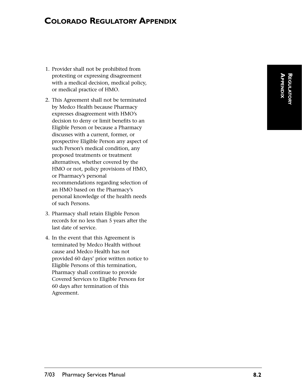## **COLORADO REGULATORY APPENDIX**

- 1. Provider shall not be prohibited from protesting or expressing disagreement with a medical decision, medical policy, or medical practice of HMO.
- 2. This Agreement shall not be terminated by Medco Health because Pharmacy expresses disagreement with HMO's decision to deny or limit benefits to an Eligible Person or because a Pharmacy discusses with a current, former, or prospective Eligible Person any aspect of such Person's medical condition, any proposed treatments or treatment alternatives, whether covered by the HMO or not, policy provisions of HMO, or Pharmacy's personal recommendations regarding selection of an HMO based on the Pharmacy's personal knowledge of the health needs of such Persons.
- 3. Pharmacy shall retain Eligible Person records for no less than 5 years after the last date of service.
- 4. In the event that this Agreement is terminated by Medco Health without cause and Medco Health has not provided 60 days' prior written notice to Eligible Persons of this termination, Pharmacy shall continue to provide Covered Services to Eligible Persons for 60 days after termination of this Agreement.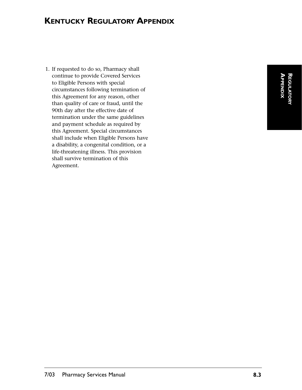# **KENTUCKY REGULATORY APPENDIX**

1. If requested to do so, Pharmacy shall continue to provide Covered Services to Eligible Persons with special circumstances following termination of this Agreement for any reason, other than quality of care or fraud, until the 90th day after the effective date of termination under the same guidelines and payment schedule as required by this Agreement. Special circumstances shall include when Eligible Persons have a disability, a congenital condition, or a life-threatening illness. This provision shall survive termination of this Agreement.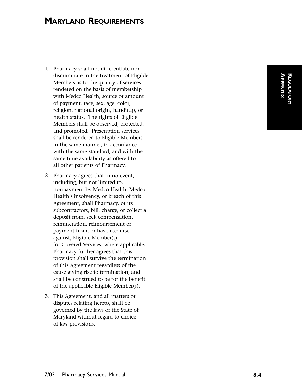# **MARYLAND REQUIREMENTS**

- **1.** Pharmacy shall not differentiate nor discriminate in the treatment of Eligible Members as to the quality of services rendered on the basis of membership with Medco Health, source or amount of payment, race, sex, age, color, religion, national origin, handicap, or health status. The rights of Eligible Members shall be observed, protected, and promoted. Prescription services shall be rendered to Eligible Members in the same manner, in accordance with the same standard, and with the same time availability as offered to all other patients of Pharmacy.
- **2.** Pharmacy agrees that in no event, including, but not limited to, nonpayment by Medco Health, Medco Health 's insolvency, or breach of this Agreement, shall Pharmacy, or its subcontractors, bill, charge, or collect a deposit from, seek compensation, remuneration, reimbursement or payment from, or have recourse against, Eligible Member(s) for Covered Services, where applicable. Pharmacy further agrees that this provision shall survive the termination of this Agreement regardless of the cause giving rise to termination, and shall be construed to be for the benefit of the applicable Eligible Member(s).
- **3.** This Agreement, and all matters or disputes relating hereto, shall be governed by the laws of the State of Maryland without regard to choice of law provisions.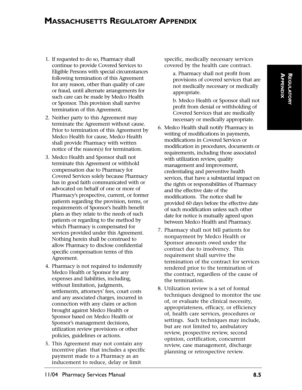## **MASSACHUSETTS REGULATORY APPENDIX**

- 1. If requested to do so, Pharmacy shall continue to provide Covered Services to Eligible Persons with special circumstances following termination of this Agreement for any reason, other than quality of care or fraud, until alternate arrangements for such care can be made by Medco Health or Sponsor. This provision shall survive termination of this Agreement.
- 2. Neither party to this Agreement may terminate the Agreement without cause. Prior to termination of this Agreement by Medco Health for cause, Medco Health shall provide Pharmacy with written notice of the reason(s) for termination.
- 3. Medco Health and Sponsor shall not terminate this Agreement or withhold compensation due to Pharmacy for Covered Services solely because Pharmacy has in good faith communicated with or advocated on behalf of one or more of Pharmacy's prospective, current, or former patients regarding the provision, terms, or requirements of Sponsor's health benefit plans as they relate to the needs of such patients or regarding to the method by which Pharmacy is compensated for services provided under this Agreement. Nothing herein shall be construed to allow Pharmacy to disclose confidential specific compensation terms of this Agreement.
- 4. Pharmacy is not required to indemnify Medco Health or Sponsor for any expenses and liabilities, including, without limitation, judgments, settlements, attorneys' fees, court costs and any associated charges, incurred in connection with any claim or action brought against Medco Health or Sponsor based on Medco Health or Sponsor's management decisions, utilization review provisions or other policies, guidelines or actions.
- 5. This Agreement may not contain any incentive plan that includes a specific payment made to a Pharmacy as an inducement to reduce, delay or limit

specific, medically necessary services covered by the health care contract.

a. Pharmacy shall not profit from provisions of covered services that are not medically necessary or medically appropriate.

b. Medco Health or Sponsor shall not profit from denial or withholding of Covered Services that are medically necessary or medically appropriate.

- 6. Medco Health shall notify Pharmacy in writing of modifications in payments, modifications in Covered Services or modification in procedures, documents or requirements, including those associated with utilization review, quality management and improvement, credentialing and preventive health services, that have a substantial impact on the rights or responsibilities of Pharmacy and the effective date of the modifications. The notice shall be provided 60 days before the effective date of such modification unless such other date for notice is mutually agreed upon between Medco Health and Pharmacy.
- 7. Pharmacy shall not bill patients for nonpayment by Medco Health or Sponsor amounts owed under the contract due to insolvency. This requirement shall survive the termination of the contract for services rendered prior to the termination of the contract, regardless of the cause of the termination.
- 8. Utilization review is a set of formal techniques designed to monitor the use of, or evaluate the clinical necessity, appropriateness, efficacy, or efficiency of, health care services, procedures or settings. Such techniques may include, but are not limited to, ambulatory review, prospective review, second opinion, certification, concurrent review, case management, discharge planning or retrospective review.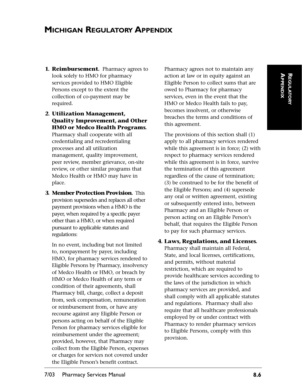# **MICHIGAN REGULATORY APPENDIX**

- **1. Reimbursement.** Pharmacy agrees to look solely to HMO for pharmacy services provided to HMO Eligible Persons except to the extent the collection of co-payment may be required.
- **2. Utilization Management, Quality Improvement, and Other HMO or Medco Health Programs.** Pharmacy shall cooperate with all credentialing and recredentialing processes and all utilization management, quality improvement, peer review, member grievance, on-site review, or other similar programs that Medco Health or HMO may have in place.
- **3. Member Protection Provision.** This provision supersedes and replaces all other payment provisions when a HMO is the payer, when required by a specific payer other than a HMO, or when required pursuant to applicable statutes and regulations:

In no event, including but not limited to, nonpayment by payer, including HMO, for pharmacy services rendered to Eligible Persons by Pharmacy, insolvency of Medco Health or HMO, or breach by HMO or Medco Health of any term or condition of their agreements, shall Pharmacy bill, charge, collect a deposit from, seek compensation, remuneration or reimbursement from, or have any recourse against any Eligible Person or persons acting on behalf of the Eligible Person for pharmacy services eligible for reimbursement under the agreement; provided, however, that Pharmacy may collect from the Eligible Person, expenses or charges for services not covered under the Eligible Person's benefit contract.

Pharmacy agrees not to maintain any action at law or in equity against an Eligible Person to collect sums that are owed to Pharmacy for pharmacy services, even in the event that the HMO or Medco Health fails to pay, becomes insolvent, or otherwise breaches the terms and conditions of this agreement.

The provisions of this section shall (1) apply to all pharmacy services rendered while this agreement is in force; (2) with respect to pharmacy services rendered while this agreement is in force, survive the termination of this agreement regardless of the cause of termination; (3) be construed to be for the benefit of the Eligible Persons; and (4) supersede any oral or written agreement, existing or subsequently entered into, between Pharmacy and an Eligible Person or person acting on an Eligible Person's behalf, that requires the Eligible Person to pay for such pharmacy services.

**4. Laws, Regulations, and Licenses.** Pharmacy shall maintain all Federal, State, and local licenses, certifications, and permits, without material restriction, which are required to provide healthcare services according to the laws of the jurisdiction in which pharmacy services are provided, and shall comply with all applicable statutes and regulations. Pharmacy shall also require that all healthcare professionals employed by or under contract with Pharmacy to render pharmacy services to Eligible Persons, comply with this provision.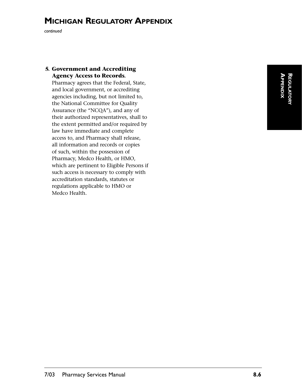# **MICHIGAN REGULATORY APPENDIX**

*continued*

#### **5. Government and Accrediting Agency Access to Records.**

Pharmacy agrees that the Federal, State, and local government, or accrediting agencies including, but not limited to, the National Committee for Quality Assurance (the "NCQA"), and any of their authorized representatives, shall to the extent permitted and/or required by law have immediate and complete access to, and Pharmacy shall release, all information and records or copies of such, within the possession of Pharmacy, Medco Health, or HMO, which are pertinent to Eligible Persons if such access is necessary to comply with accreditation standards, statutes or regulations applicable to HMO or Medco Health.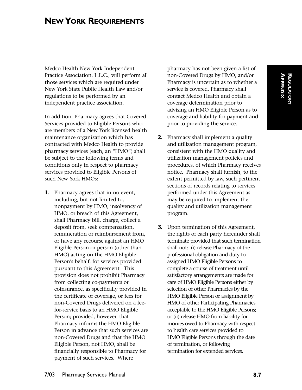# **NEW YORK REQUIREMENTS**

Medco Health New York Independent Practice Association, L.L.C., will perform all those services which are required under New York State Public Health Law and/or regulations to be performed by an independent practice association.

In addition, Pharmacy agrees that Covered Services provided to Eligible Persons who are members of a New York licensed health maintenance organization which has contracted with Medco Health to provide pharmacy services (each, an "HMO") shall be subject to the following terms and conditions only in respect to pharmacy services provided to Eligible Persons of such New York HMOs:

**1.** Pharmacy agrees that in no event, including, but not limited to, nonpayment by HMO, insolvency of HMO, or breach of this Agreement, shall Pharmacy bill, charge, collect a deposit from, seek compensation, remuneration or reimbursement from, or have any recourse against an HMO Eligible Person or person (other than HMO) acting on the HMO Eligible Person's behalf, for services provided pursuant to this Agreement. This provision does not prohibit Pharmacy from collecting co-payments or coinsurance, as specifically provided in the certificate of coverage, or fees for non-Covered Drugs delivered on a feefor-service basis to an HMO Eligible Person; provided, however, that Pharmacy informs the HMO Eligible Person in advance that such services are non-Covered Drugs and that the HMO Eligible Person, not HMO, shall be financially responsible to Pharmacy for payment of such services. Where

pharmacy has not been given a list of non-Covered Drugs by HMO, and/or Pharmacy is uncertain as to whether a service is covered, Pharmacy shall contact Medco Health and obtain a coverage determination prior to advising an HMO Eligible Person as to coverage and liability for payment and prior to providing the service.

- **2.** Pharmacy shall implement a quality and utilization management program, consistent with the HMO quality and utilization management policies and procedures, of which Pharmacy receives notice. Pharmacy shall furnish, to the extent permitted by law, such pertinent sections of records relating to services performed under this Agreement as may be required to implement the quality and utilization management program.
- **3.** Upon termination of this Agreement, the rights of each party hereunder shall terminate provided that such termination shall not: (i) release Pharmacy of the professional obligation and duty to assigned HMO Eligible Persons to complete a course of treatment until satisfactory arrangements are made for care of HMO Eligible Persons either by selection of other Pharmacies by the HMO Eligible Person or assignment by HMO of other Participating Pharmacies acceptable to the HMO Eligible Persons; or (ii) release HMO from liability for monies owed to Pharmacy with respect to health care services provided to HMO Eligible Persons through the date of termination, or following termination for extended services.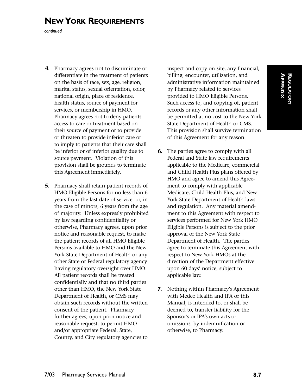# **NEW YORK REQUIREMENTS**

*continued*

- **4.** Pharmacy agrees not to discriminate or differentiate in the treatment of patients on the basis of race, sex, age, religion, marital status, sexual orientation, color, national origin, place of residence, health status, source of payment for services, or membership in HMO. Pharmacy agrees not to deny patients access to care or treatment based on their source of payment or to provide or threaten to provide inferior care or to imply to patients that their care shall be inferior or of inferior quality due to source payment. Violation of this provision shall be grounds to terminate this Agreement immediately.
- **5.** Pharmacy shall retain patient records of HMO Eligible Persons for no less than 6 years from the last date of service, or, in the case of minors, 6 years from the age of majority. Unless expressly prohibited by law regarding confidentiality or otherwise, Pharmacy agrees, upon prior notice and reasonable request, to make the patient records of all HMO Eligible Persons available to HMO and the New York State Department of Health or any other State or Federal regulatory agency having regulatory oversight over HMO. All patient records shall be treated confidentially and that no third parties other than HMO, the New York State Department of Health, or CMS may obtain such records without the written consent of the patient. Pharmacy further agrees, upon prior notice and reasonable request, to permit HMO and/or appropriate Federal, State, County, and City regulatory agencies to

inspect and copy on-site, any financial, billing, encounter, utilization, and administrative information maintained by Pharmacy related to services provided to HMO Eligible Persons. Such access to, and copying of, patient records or any other information shall be permitted at no cost to the New York State Department of Health or CMS. This provision shall survive termination of this Agreement for any reason.

- **6.** The parties agree to comply with all Federal and State law requirements applicable to the Medicare, commercial and Child Health Plus plans offered by HMO and agree to amend this Agreement to comply with applicable Medicare, Child Health Plus, and New York State Department of Health laws and regulation. Any material amendment to this Agreement with respect to services performed for New York HMO Eligible Persons is subject to the prior approval of the New York State Department of Health. The parties agree to terminate this Agreement with respect to New York HMOs at the direction of the Department effective upon 60 days' notice, subject to applicable law.
- **7.** Nothing within Pharmacy's Agreement with Medco Health and IPA or this Manual, is intended to, or shall be deemed to, transfer liability for the Sponsor's or IPA's own acts or omissions, by indemnification or otherwise, to Pharmacy.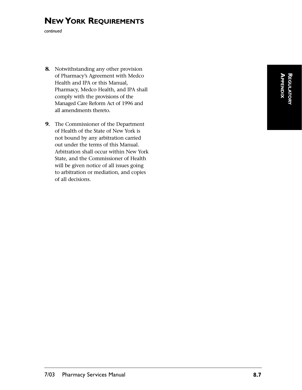# **NEW YORK REQUIREMENTS**

*continued*

- **8.** Notwithstanding any other provision of Pharmacy's Agreement with Medco Health and IPA or this Manual, Pharmacy, Medco Health, and IPA shall comply with the provisions of the Managed Care Reform Act of 1996 and all amendments thereto.
- **9.** The Commissioner of the Department of Health of the State of New York is not bound by any arbitration carried out under the terms of this Manual. Arbitration shall occur within New York State, and the Commissioner of Health will be given notice of all issues going to arbitration or mediation, and copies of all decisions.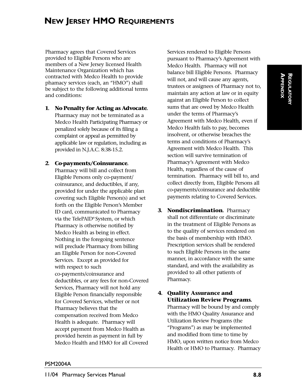# **NEW JERSEY HMO REQUIREMENTS**

Pharmacy agrees that Covered Services provided to Eligible Persons who are members of a New Jersey licensed Health Maintenance Organization which has contracted with Medco Health to provide phamacy services (each, an "HMO") shall be subject to the following additional terms and conditions:

**1. No Penalty for Acting as Advocate.** Pharmacy may not be terminated as a Medco Health Participating Pharmacy or penalized solely because of its filing a complaint or appeal as permitted by applicable law or regulation, including as provided in N.J.A.C. 8:38-15.2.

#### **2. Co-payments/Coinsurance.**

Pharmacy will bill and collect from Eligible Persons only co-payment/ coinsurance, and deductibles, if any, provided for under the applicable plan covering such Eligible Person(s) and set forth on the Eligible Person's Member ID card, communicated to Pharmacy via the TelePAID® System, or which Pharmacy is otherwise notified by Medco Health as being in effect. Nothing in the foregoing sentence will preclude Pharmacy from billing an Eligible Person for non-Covered Services. Except as provided for with respect to such co-payments/coinsurance and deductibles, or any fees for non-Covered Services, Pharmacy will not hold any Eligible Person financially responsible for Covered Services, whether or not Pharmacy believes that the compensation received from Medco Health is adequate. Pharmacy will accept payment from Medco Health as provided herein as payment in full by Medco Health and HMO for all Covered Services rendered to Eligible Persons pursuant to Pharmacy's Agreement with Medco Health. Pharmacy will not balance bill Eligible Persons. Pharmacy will not, and will cause any agents, trustees or assignees of Pharmacy not to, maintain any action at law or in equity against an Eligible Person to collect sums that are owed by Medco Health under the terms of Pharmacy's Agreement with Medco Health, even if Medco Health fails to pay, becomes insolvent, or otherwise breaches the terms and conditions of Pharmacy's Agreement with Medco Health. This section will survive termination of Pharmacy's Agreement with Medco Health, regardless of the cause of termination. Pharmacy will bill to, and collect directly from, Eligible Persons all co-payments/coinsurance and deductible payments relating to Covered Services.

- **3. Nondiscrimination.** Pharmacy shall not differentiate or discriminate in the treatment of Eligible Persons as to the quality of services rendered on the basis of membership with HMO. Prescription services shall be rendered to such Eligible Persons in the same manner, in accordance with the same standard, and with the availability as provided to all other patients of Pharmacy.
- **4. Quality Assurance and Utilization Review Programs.** Pharmacy will be bound by and comply with the HMO Quality Assurance and Utilization Review Programs (the "Programs") as may be implemented and modified from time to time by HMO, upon written notice from Medco Health or HMO to Pharmacy. Pharmacy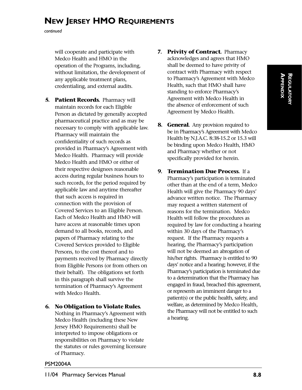# **NEW JERSEY HMO REQUIREMENTS**

*continued*

will cooperate and participate with Medco Health and HMO in the operation of the Programs, including, without limitation, the development of any applicable treatment plans, credentialing, and external audits.

- **5. Patient Records.** Pharmacy will maintain records for each Eligible Person as dictated by generally accepted pharmaceutical practice and as may be necessary to comply with applicable law. Pharmacy will maintain the confidentiality of such records as provided in Pharmacy's Agreement with Medco Health. Pharmacy will provide Medco Health and HMO or either of their respective designees reasonable access during regular business hours to such records, for the period required by applicable law and anytime thereafter that such access is required in connection with the provision of Covered Services to an Eligible Person. Each of Medco Health and HMO will have access at reasonable times upon demand to all books, records, and papers of Pharmacy relating to the Covered Services provided to Eligible Persons, to the cost thereof and to payments received by Pharmacy directly from Eligible Persons (or from others on their behalf). The obligations set forth in this paragraph shall survive the termination of Pharmacy's Agreement with Medco Health.
- **6. No Obligation to Violate Rules.** Nothing in Pharmacy's Agreement with Medco Health (including these New Jersey HMO Requirements) shall be interpreted to impose obligations or responsibilities on Pharmacy to violate the statutes or rules governing licensure of Pharmacy.
- **7. Privity of Contract.** Pharmacy acknowledges and agrees that HMO shall be deemed to have privity of contract with Pharmacy with respect to Pharmacy's Agreement with Medco Health, such that HMO shall have standing to enforce Pharmacy's Agreement with Medco Health in the absence of enforcement of such Agreement by Medco Health.
- **8. General.** Any provision required to be in Pharmacy's Agreement with Medco Health by N.J.A.C. 8:38-15.2 or 15.3 will be binding upon Medco Health, HMO and Pharmacy whether or not specifically provided for herein.
- **9. Termination Due Process.** If a Pharmacy's participation is terminated other than at the end of a term, Medco Health will give the Pharmacy 90 days' advance written notice. The Pharmacy may request a written statement of reasons for the termination. Medco Health will follow the procedures as required by law for conducting a hearing within 30 days of the Pharmacy's request. If the Pharmacy requests a hearing, the Pharmacy's participation will not be deemed an abrogation of his/her rights. Pharmacy is entitled to 90 days' notice and a hearing; however, if the Pharmacy's participation is terminated due to a determination that the Pharmacy has engaged in fraud, breached this agreement, or represents an imminent danger to a patient(s) or the public health, safety, and welfare, as determined by Medco Health, the Pharmacy will not be entitled to such a hearing.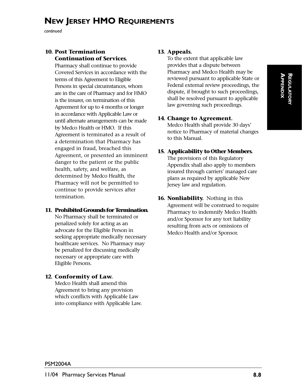# **NEW JERSEY HMO REQUIREMENTS**

*continued*

#### **10. Post Termination Continuation of Services.**

Pharmacy shall continue to provide Covered Services in accordance with the terms of this Agreement to Eligible Persons in special circumstances, whom are in the care of Pharmacy and for HMO is the insurer, on termination of this Agreement for up to 4 months or longer in accordance with Applicable Law or until alternate arrangements can be made by Medco Health or HMO. If this Agreement is terminated as a result of a determination that Pharmacy has engaged in fraud, breached this Agreement, or presented an imminent danger to the patient or the public health, safety, and welfare, as determined by Medco Health, the Pharmacy will not be permitted to continue to provide services after termination.

#### **11. Prohibited Grounds for Termination.**

No Pharmacy shall be terminated or penalized solely for acting as an advocate for the Eligible Person in seeking appropriate medically necessary healthcare services. No Pharmacy may be penalized for discussing medically necessary or appropriate care with Eligible Persons.

#### **12. Conformity of Law.**

Medco Health shall amend this Agreement to bring any provision which conflicts with Applicable Law into compliance with Applicable Law.

#### **13. Appeals.**

To the extent that applicable law provides that a dispute between Pharmacy and Medco Health may be reviewed pursuant to applicable State or Federal external review proceedings, the dispute, if brought to such proceedings, shall be resolved pursuant to applicable law governing such proceedings.

#### **14. Change to Agreement.**

Medco Health shall provide 30 days' notice to Pharmacy of material changes to this Manual.

#### **15. Applicability to Other Members.**

The provisions of this Regulatory Appendix shall also apply to members insured through carriers' managed care plans as required by applicable New Jersey law and regulation.

**16. Nonliability.** Nothing in this Agreement will be construed to require Pharmacy to indemnify Medco Health and/or Sponsor for any tort liability resulting from acts or omissions of Medco Health and/or Sponsor.

#### PSM2004A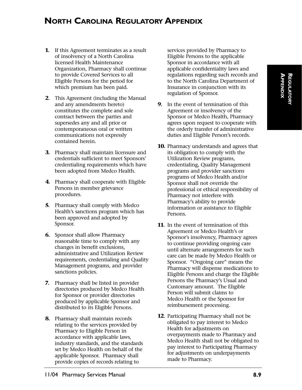# **NORTH CAROLINA REGULATORY APPENDIX**

- **1.** If this Agreement terminates as a result of insolvency of a North Carolina licensed Health Maintenance Organization, Pharmacy shall continue to provide Covered Services to all Eligible Persons for the period for which premium has been paid.
- **2.** This Agreement (including the Manual and any amendments hereto) constitutes the complete and sole contract between the parties and supersedes any and all prior or contemporaneous oral or written communications not expressly contained herein.
- **3.** Pharmacy shall maintain licensure and credentials sufficient to meet Sponsors' credentialing requirements which have been adopted from Medco Health.
- **4.** Pharmacy shall cooperate with Eligible Persons in member grievance procedures.
- **5.** Pharmacy shall comply with Medco Health's sanctions program which has been approved and adopted by Sponsor.
- **6.** Sponsor shall allow Pharmacy reasonable time to comply with any changes in benefit exclusions, administrative and Utilization Review requirements, credentialing and Quality Management programs, and provider sanctions policies.
- **7.** Pharmacy shall be listed in provider directories produced by Medco Health for Sponsor or provider directories produced by applicable Sponsor and distributed to its Eligible Persons.
- **8.** Pharmacy shall maintain records relating to the services provided by Pharmacy to Eligible Person in accordance with applicable laws, industry standards, and the standards set by Medco Health on behalf of the applicable Sponsor. Pharmacy shall provide copies of records relating to

services provided by Pharmacy to Eligible Persons to the applicable Sponsor in accordance with all applicable confidentiality laws and regulations regarding such records and to the North Carolina Department of Insurance in conjunction with its regulation of Sponsor.

- **9.** In the event of termination of this Agreement or insolvency of the Sponsor or Medco Health, Pharmacy agrees upon request to cooperate with the orderly transfer of administrative duties and Eligible Person's records.
- **10.** Pharmacy understands and agrees that its obligation to comply with the Utilization Review programs, credentialing, Quality Management programs and provider sanctions programs of Medco Health and/or Sponsor shall not override the professional or ethical responsibility of Pharmacy not interfere with Pharmacy's ability to provide information or assistance to Eligible Persons.
- **11.** In the event of termination of this Agreement or Medco Health's or Sponsor's insolvency, Pharmacy agrees to continue providing ongoing care until alternate arrangements for such care can be made by Medco Health or Sponsor. "Ongoing care" means the Pharmacy will dispense medications to Eligible Persons and charge the Eligible Persons the Pharmacy's Usual and Customary amount. The Eligible Person will submit claims to Medco Health or the Sponsor for reimbursement processing.
- **12.** Participating Pharmacy shall not be obligated to pay interest to Medco Health for adjustments on overpayments made to Pharmacy and Medco Health shall not be obligated to pay interest to Participating Pharmacy for adjustments on underpayments made to Pharmacy.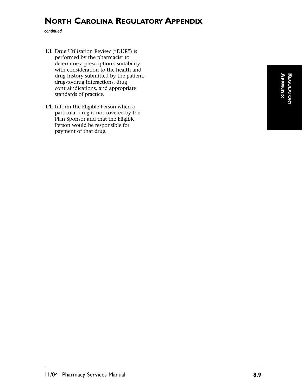# **NORTH CAROLINA REGULATORY APPENDIX**

*continued*

- **13.** Drug Utilization Review ("DUR") is performed by the pharmacist to determine a prescription's suitability with consideration to the health and drug history submitted by the patient, drug-to-drug interactions, drug contraindications, and appropriate standards of practice.
- **14.** Inform the Eligible Person when a particular drug is not covered by the Plan Sponsor and that the Eligible Person would be responsible for payment of that drug.

**APPENDIXAPPENDIX** REGULATORY **REGULATORY**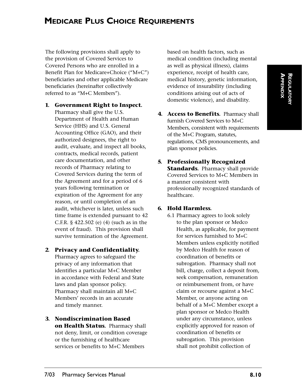The following provisions shall apply to the provision of Covered Services to Covered Persons who are enrolled in a Benefit Plan for Medicare+Choice ("M+C") beneficiaries and other applicable Medicare beneficiaries (hereinafter collectively referred to as "M+C Members").

**1. Government Right to Inspect.** 

Pharmacy shall give the U.S. Department of Health and Human Service (HHS) and U.S. General Accounting Office (GAO), and their authorized designees, the right to audit, evaluate, and inspect all books, contracts, medical records, patient care documentation, and other records of Pharmacy relating to Covered Services during the term of the Agreement and for a period of 6 years following termination or expiration of the Agreement for any reason, or until completion of an audit, whichever is later, unless such time frame is extended pursuant to 42 C.F.R. § 422.502 (e) (4) (such as in the event of fraud). This provision shall survive termination of the Agreement.

- **2. Privacy and Confidentiality.**  Pharmacy agrees to safeguard the privacy of any information that identifies a particular M+C Member in accordance with Federal and State laws and plan sponsor policy. Pharmacy shall maintain all M+C Members' records in an accurate and timely manner.
- **3. Nondiscrimination Based on Health Status.** Pharmacy shall not deny, limit, or condition coverage or the furnishing of healthcare services or benefits to M+C Members

based on health factors, such as medical condition (including mental as well as physical illness), claims experience, receipt of health care, medical history, genetic information, evidence of insurability (including conditions arising out of acts of domestic violence), and disability.

- **4. Access to Benefits.** Pharmacy shall furnish Covered Services to M+C Members, consistent with requirements of the M+C Program, statutes, regulations, CMS pronouncements, and plan sponsor policies.
- **5. Professionally Recognized Standards.** Pharmacy shall provide Covered Services to M+C Members in a manner consistent with professionally recognized standards of healthcare.

#### **6. Hold Harmless.**

6.1 Pharmacy agrees to look solely to the plan sponsor or Medco Health, as applicable, for payment for services furnished to M+C Members unless explicitly notified by Medco Health for reason of coordination of benefits or subrogation. Pharmacy shall not bill, charge, collect a deposit from, seek compensation, remuneration or reimbursement from, or have claim or recourse against a M+C Member, or anyone acting on behalf of a M+C Member except a plan sponsor or Medco Health under any circumstance, unless explicitly approved for reason of coordination of benefits or subrogation. This provision shall not prohibit collection of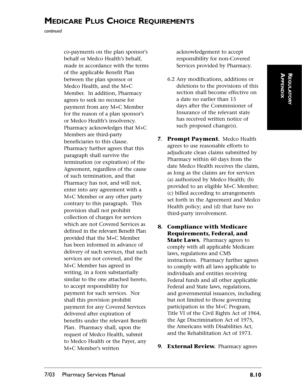*continued*

co-payments on the plan sponsor's behalf or Medco Health's behalf, made in accordance with the terms of the applicable Benefit Plan between the plan sponsor or Medco Health, and the M+C Member. In addition, Pharmacy agrees to seek no recourse for payment from any M+C Member for the reason of a plan sponsor's or Medco Health's insolvency. Pharmacy acknowledges that M+C Members are third-party beneficiaries to this clause. Pharmacy further agrees that this paragraph shall survive the termination (or expiration) of the Agreement, regardless of the cause of such termination, and that Pharmacy has not, and will not, enter into any agreement with a M+C Member or any other party contrary to this paragraph. This provision shall not prohibit collection of charges for services which are not Covered Services as defined in the relevant Benefit Plan provided that the M+C Member has been informed in advance of delivery of such services, that such services are not covered, and the M+C Member has agreed in writing, in a form substantially similar to the one attached hereto, to accept responsibility for payment for such services. Nor shall this provision prohibit payment for any Covered Services delivered after expiration of benefits under the relevant Benefit Plan. Pharmacy shall, upon the request of Medco Health, submit to Medco Health or the Payer, any M+C Member's written

acknowledgement to accept responsibility for non-Covered Services provided by Pharmacy.

- 6.2 Any modifications, additions or deletions to the provisions of this section shall become effective on a date no earlier than 15 days after the Commissioner of Insurance of the relevant state has received written notice of such proposed change(s).
- **7. Prompt Payment.** Medco Health agrees to use reasonable efforts to adjudicate clean claims submitted by Pharmacy within 60 days from the date Medco Health receives the claim, as long as the claims are for services (a) authorized by Medco Health; (b) provided to an eligible M+C Member; (c) billed according to arrangements set forth in the Agreement and Medco Health policy; and (d) that have no third-party involvement.
- **8. Compliance with Medicare Requirements, Federal, and State Laws.** Pharmacy agrees to comply with all applicable Medicare laws, regulations and CMS instructions. Pharmacy further agrees to comply with all laws applicable to individuals and entities receiving Federal funds and all other applicable Federal and State laws, regulations, and governmental issuances, including but not limited to those governing participation in the M+C Program, Title VI of the Civil Rights Act of 1964, the Age Discrimination Act of 1975, the Americans with Disabilities Act, and the Rehabilitation Act of 1973.

#### **9. External Review.** Pharmacy agrees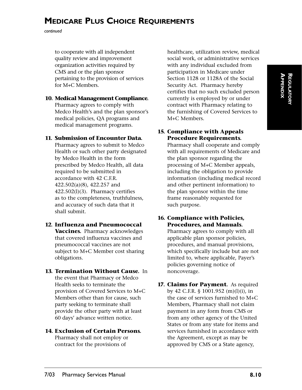*continued*

to cooperate with all independent quality review and improvement organization activities required by CMS and or the plan sponsor pertaining to the provision of services for M+C Members.

### **10. Medical Management Compliance.**

Pharmacy agrees to comply with Medco Health's and the plan sponsor's medical policies, QA programs and medical management programs.

## **11. Submission of Encounter Data.**

Pharmacy agrees to submit to Medco Health or such other party designated by Medco Health in the form prescribed by Medco Health, all data required to be submitted in accordance with 42 C.F.R. 422.502(a)(8), 422.257 and 422.502(l)(3). Pharmacy certifies as to the completeness, truthfulness, and accuracy of such data that it shall submit.

## **12. Influenza and Pneumococcal**

**Vaccines.** Pharmacy acknowledges that covered influenza vaccines and pneumococcal vaccines are not subject to M+C Member cost sharing obligations.

## **13. Termination Without Cause.** In

the event that Pharmacy or Medco Health seeks to terminate the provision of Covered Services to M+C Members other than for cause, such party seeking to terminate shall provide the other party with at least 60 days' advance written notice.

#### **14. Exclusion of Certain Persons.**  Pharmacy shall not employ or

contract for the provisions of

healthcare, utilization review, medical social work, or administrative services with any individual excluded from participation in Medicare under Section 1128 or 1128A of the Social Security Act. Pharmacy hereby certifies that no such excluded person currently is employed by or under contract with Pharmacy relating to the furnishing of Covered Services to M+C Members.

## **15. Compliance with Appeals Procedure Requirements.**

Pharmacy shall cooperate and comply with all requirements of Medicare and the plan sponsor regarding the processing of M+C Member appeals, including the obligation to provide information (including medical record and other pertinent information) to the plan sponsor within the time frame reasonably requested for such purpose.

#### **16. Compliance with Policies, Procedures, and Manuals.** Pharmacy agrees to comply with all

applicable plan sponsor policies, procedures, and manual provisions, which specifically include but are not limited to, where applicable, Payer's policies governing notice of noncoverage.

#### **17. Claims for Payment.** As required by 42 C.F.R. § 1001.952 (m)(l)(i), in the case of services furnished to M+C Members, Pharmacy shall not claim payment in any form from CMS or from any other agency of the United States or from any state for items and services furnished in accordance with the Agreement, except as may be approved by CMS or a State agency,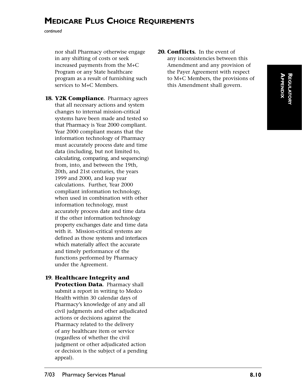*continued*

nor shall Pharmacy otherwise engage in any shifting of costs or seek increased payments from the M+C Program or any State healthcare program as a result of furnishing such services to M+C Members.

- **18. Y2K Compliance.** Pharmacy agrees that all necessary actions and system changes to internal mission-critical systems have been made and tested so that Pharmacy is Year 2000 compliant. Year 2000 compliant means that the information technology of Pharmacy must accurately process date and time data (including, but not limited to, calculating, comparing, and sequencing) from, into, and between the 19th, 20th, and 21st centuries, the years 1999 and 2000, and leap year calculations. Further, Year 2000 compliant information technology, when used in combination with other information technology, must accurately process date and time data if the other information technology property exchanges date and time data with it. Mission-critical systems are defined as those systems and interfaces which materially affect the accurate and timely performance of the functions performed by Pharmacy under the Agreement.
- **19. Healthcare Integrity and Protection Data.** Pharmacy shall submit a report in writing to Medco Health within 30 calendar days of Pharmacy's knowledge of any and all civil judgments and other adjudicated actions or decisions against the Pharmacy related to the delivery of any healthcare item or service (regardless of whether the civil judgment or other adjudicated action or decision is the subject of a pending appeal).

20. **Conflicts.** In the event of any inconsistencies between this Amendment and any provision of the Payer Agreement with respect to M+C Members, the provisions of this Amendment shall govern.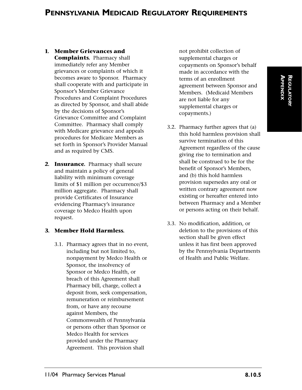#### **1. Member Grievances and**

**Complaints.** Pharmacy shall immediately refer any Member grievances or complaints of which it becomes aware to Sponsor. Pharmacy shall cooperate with and participate in Sponsor's Member Grievance Procedures and Complaint Procedures as directed by Sponsor, and shall abide by the decisions of Sponsor's Grievance Committee and Complaint Committee. Pharmacy shall comply with Medicare grievance and appeals procedures for Medicare Members as set forth in Sponsor's Provider Manual and as required by CMS.

**2. Insurance.** Pharmacy shall secure and maintain a policy of general liability with minimum coverage limits of \$1 million per occurrence/\$3 million aggregate. Pharmacy shall provide Certificates of Insurance evidencing Pharmacy's insurance coverage to Medco Health upon request.

#### **3. Member Hold Harmless.**

3.1. Pharmacy agrees that in no event, including but not limited to, nonpayment by Medco Health or Sponsor, the insolvency of Sponsor or Medco Health, or breach of this Agreement shall Pharmacy bill, charge, collect a deposit from, seek compensation, remuneration or reimbursement from, or have any recourse against Members, the Commonwealth of Pennsylvania or persons other than Sponsor or Medco Health for services provided under the Pharmacy Agreement. This provision shall

not prohibit collection of supplemental charges or copayments on Sponsor's behalf made in accordance with the terms of an enrollment agreement between Sponsor and Members. (Medicaid Members are not liable for any supplemental charges or copayments.)

- 3.2. Pharmacy further agrees that (a) this hold harmless provision shall survive termination of this Agreement regardless of the cause giving rise to termination and shall be construed to be for the benefit of Sponsor's Members, and (b) this hold harmless provision supersedes any oral or written contrary agreement now existing or hereafter entered into between Pharmacy and a Member or persons acting on their behalf.
- 3.3. No modification, addition, or deletion to the provisions of this section shall be given effect unless it has first been approved by the Pennsylvania Departments of Health and Public Welfare.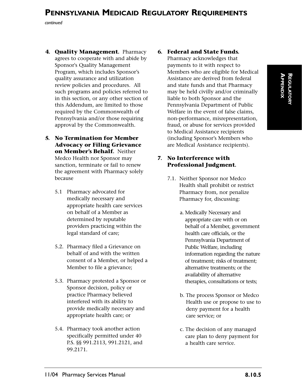*continued*

- **4. Quality Management.** Pharmacy agrees to cooperate with and abide by Sponsor's Quality Management Program, which includes Sponsor's quality assurance and utilization review policies and procedures. All such programs and policies referred to in this section, or any other section of this Addendum, are limited to those required by the Commonwealth of Pennsylvania and/or those requiring approval by the Commonwealth.
- **5. No Termination for Member Advocacy or Filing Grievance on Member's Behalf.** Neither Medco Health nor Sponsor may sanction, terminate or fail to renew the agreement with Pharmacy solely because
	- 5.1 Pharmacy advocated for medically necessary and appropriate health care services on behalf of a Member as determined by reputable providers practicing within the legal standard of care;
	- 5.2. Pharmacy filed a Grievance on behalf of and with the written consent of a Member, or helped a Member to file a grievance;
	- 5.3. Pharmacy protested a Sponsor or Sponsor decision, policy or practice Pharmacy believed interfered with its ability to provide medically necessary and appropriate health care; or
	- 5.4. Pharmacy took another action specifically permitted under 40 P.S. §§ 991.2113, 991.2121, and 99.2171.

### **6. Federal and State Funds.**

Pharmacy acknowledges that payments to it with respect to Members who are eligible for Medical Assistance are derived from federal and state funds and that Pharmacy may be held civilly and/or criminally liable to both Sponsor and the Pennsylvania Department of Public Welfare in the event of false claims, non-performance, misrepresentation, fraud, or abuse for services provided to Medical Assistance recipients (including Sponsor's Members who are Medical Assistance recipients).

#### **7. No Interference with Professional Judgment.**

- 7.1. Neither Sponsor nor Medco Health shall prohibit or restrict Pharmacy from, nor penalize Pharmacy for, discussing:
	- a. Medically Necessary and appropriate care with or on behalf of a Member, government health care officials, or the Pennsylvania Department of Public Welfare, including information regarding the nature of treatment; risks of treatment; alternative treatments; or the availability of alternative therapies, consultations or tests;
	- b. The process Sponsor or Medco Health use or propose to use to deny payment for a health care service; or
	- c. The decision of any managed care plan to deny payment for a health care service.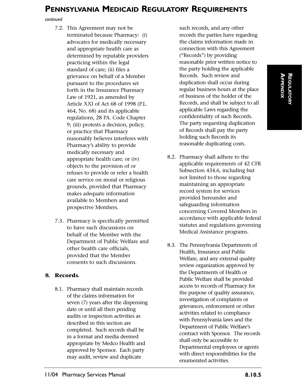*continued*

- 7.2. This Agreement may not be terminated because Pharmacy: (i) advocates for medically necessary and appropriate health care as determined by reputable providers practicing within the legal standard of care; (ii) files a grievance on behalf of a Member pursuant to the procedures set forth in the Insurance Pharmacy Law of 1921, as amended by Article XXI of Act 68 of 1998 (P.L. 464, No. 68) and its applicable regulations, 28 PA. Code Chapter 9; (iii) protests a decision, policy, or practice that Pharmacy reasonably believes interferes with Pharmacy's ability to provide medically necessary and appropriate health care; or (iv) objects to the provision of or refuses to provide or refer a health care service on moral or religious grounds, provided that Pharmacy makes adequate information available to Members and prospective Members.
- 7.3. Pharmacy is specifically permitted to have such discussions on behalf of the Member with the Department of Public Welfare and other health care officials, provided that the Member consents to such discussions.

#### **8. Records.**

8.1. Pharmacy shall maintain records of the claims information for seven (7) years after the dispensing date or until all then pending audits or inspection activities as described in this section are completed. Such records shall be in a format and media deemed appropriate by Medco Health and approved by Sponsor. Each party may audit, review and duplicate

such records, and any other records the parties have regarding the claims information made in connection with this Agreement ("Records") by providing reasonable prior written notice to the party holding the applicable Records. Such review and duplication shall occur during regular business hours at the place of business of the holder of the Records, and shall be subject to all applicable Laws regarding the confidentiality of such Records. The party requesting duplication of Records shall pay the party holding such Records its reasonable duplicating costs.

- 8.2. Pharmacy shall adhere to the applicable requirements of 42 CFR Subsection 434.6, including but not limited to those regarding maintaining an appropriate record system for services provided hereunder and safeguarding information concerning Covered Members in accordance with applicable federal statutes and regulations governing Medical Assistance programs.
- 8.3. The Pennsylvania Departments of Health, Insurance and Public Welfare, and any external quality review organization approved by the Departments of Health or Public Welfare shall be provided access to records of Pharmacy for the purpose of quality assurance, investigation of complaints or grievances, enforcement or other activities related to compliance with Pennsylvania laws and the Department of Public Welfare's contract with Sponsor. The records shall only be accessible to Departmental employees or agents with direct responsibilities for the enumerated activities.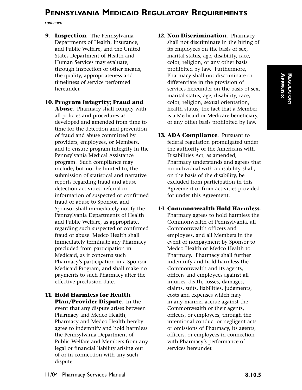*continued*

**9. Inspection.** The Pennsylvania Departments of Health, Insurance, and Public Welfare, and the United States Department of Health and Human Services may evaluate, through inspection or other means, the quality, appropriateness and timeliness of service performed hereunder.

**10. Program Integrity; Fraud and Abuse.** Pharmacy shall comply with all policies and procedures as developed and amended from time to time for the detection and prevention of fraud and abuse committed by providers, employees, or Members, and to ensure program integrity in the Pennsylvania Medical Assistance program. Such compliance may include, but not be limited to, the submission of statistical and narrative reports regarding fraud and abuse detection activities, referral or information of suspected or confirmed fraud or abuse to Sponsor, and Sponsor shall immediately notify the Pennsylvania Departments of Health and Public Welfare, as appropriate, regarding such suspected or confirmed fraud or abuse. Medco Health shall immediately terminate any Pharmacy precluded from participation in Medicaid, as it concerns such Pharmacy's participation in a Sponsor Medicaid Program, and shall make no payments to such Pharmacy after the effective preclusion date.

**11. Hold Harmless for Health Plan/Provider Dispute.** In the event that any dispute arises between Pharmacy and Medco Health, Pharmacy and Medco Health hereby agree to indemnify and hold harmless the Pennsylvania Department of Public Welfare and Members from any legal or financial liability arising out of or in connection with any such dispute.

- **12. Non-Discrimination.** Pharmacy shall not discriminate in the hiring of its employees on the basis of sex, marital status, age, disability, race, color, religion, or any other basis prohibited by law. Furthermore, Pharmacy shall not discriminate or differentiate in the provision of services hereunder on the basis of sex, marital status, age, disability, race, color, religion, sexual orientation, health status, the fact that a Member is a Medicaid or Medicare beneficiary, or any other basis prohibited by law.
- **13. ADA Compliance.** Pursuant to federal regulation promulgated under the authority of the Americans with Disabilities Act, as amended, Pharmacy understands and agrees that no individual with a disability shall, on the basis of the disability, be excluded from participation in this Agreement or from activities provided for under this Agreement.

#### **14. Commonwealth Hold Harmless.**

Pharmacy agrees to hold harmless the Commonwealth of Pennsylvania, all Commonwealth officers and employees, and all Members in the event of nonpayment by Sponsor to Medco Health or Medco Health to Pharmacy. Pharmacy shall further indemnify and hold harmless the Commonwealth and its agents, officers and employees against all injuries, death, losses, damages, claims, suits, liabilities, judgments, costs and expenses which may in any manner accrue against the Commonwealth or their agents, officers, or employees, through the intentional conduct or negligent acts or omissions of Pharmacy, its agents, officers, or employees in connection with Pharmacy's performance of services hereunder.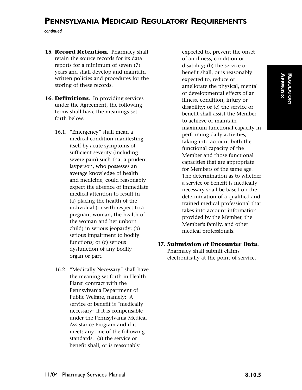*continued*

- **15. Record Retention.** Pharmacy shall retain the source records for its data reports for a minimum of seven (7) years and shall develop and maintain written policies and procedures for the storing of these records.
- **16. Definitions.** In providing services under the Agreement, the following terms shall have the meanings set forth below.
	- 16.1. "Emergency" shall mean a medical condition manifesting itself by acute symptoms of sufficient severity (including severe pain) such that a prudent layperson, who possesses an average knowledge of health and medicine, could reasonably expect the absence of immediate medical attention to result in (a) placing the health of the individual (or with respect to a pregnant woman, the health of the woman and her unborn child) in serious jeopardy; (b) serious impairment to bodily functions; or (c) serious dysfunction of any bodily organ or part.
	- 16.2. "Medically Necessary" shall have the meaning set forth in Health Plans' contract with the Pennsylvania Department of Public Welfare, namely: A service or benefit is "medically necessary" if it is compensable under the Pennsylvania Medical Assistance Program and if it meets any one of the following standards: (a) the service or benefit shall, or is reasonably

expected to, prevent the onset of an illness, condition or disability; (b) the service or benefit shall, or is reasonably expected to, reduce or ameliorate the physical, mental or developmental effects of an illness, condition, injury or disability; or (c) the service or benefit shall assist the Member to achieve or maintain maximum functional capacity in performing daily activities, taking into account both the functional capacity of the Member and those functional capacities that are appropriate for Members of the same age. The determination as to whether a service or benefit is medically necessary shall be based on the determination of a qualified and trained medical professional that takes into account information provided by the Member, the Member's family, and other medical professionals.

#### **17. Submission of Encounter Data.** Pharmacy shall submit claims electronically at the point of service.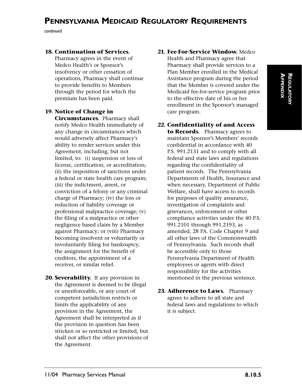*continued*

#### **18. Continuation of Services.**

Pharmacy agrees in the event of Medco Health's or Sponsor's insolvency or other cessation of operations, Pharmacy shall continue to provide benefits to Members through the period for which the premium has been paid.

#### **19. Notice of Change in**

**Circumstances.** Pharmacy shall notify Medco Health immediately of any change in circumstances which would adversely affect Pharmacy's ability to render services under this Agreement, including, but not limited, to: (i) suspension or loss of license, certification, or accreditation; (ii) the imposition of sanctions under a federal or state health care program; (iii) the indictment, arrest, or conviction of a felony or any criminal charge of Pharmacy; (iv) the loss or reduction of liability coverage or professional malpractice coverage; (v) the filing of a malpractice or other negligence based claim by a Member against Pharmacy; or (viii) Pharmacy becoming insolvent or voluntarily or involuntarily filing for bankruptcy, the assignment for the benefit of creditors, the appointment of a receiver, or similar relief.

**20. Severability.** If any provision in the Agreement is deemed to be illegal or unenforceable, or any court of competent jurisdiction restricts or limits the applicability of any provision in the Agreement, the Agreement shall be interpreted as if the provision in question has been stricken or so restricted or limited, but shall not affect the other provisions of the Agreement.

#### **21. Fee-For-Service Window.** Medco Health and Pharmacy agree that Pharmacy shall provide services to a Plan Member enrolled in the Medical Assistance program during the period that the Member is covered under the Medicaid fee-for-service program prior to the effective date of his or her enrollment in the Sponsor's managed

care program.

- **22. Confidentiality of and Access to Records.** Pharmacy agrees to maintain Sponsor's Members' records confidential in accordance with 40 P.S. 991.2131 and to comply with all federal and state laws and regulations regarding the confidentiality of patient records. The Pennsylvania Departments of Health, Insurance and when necessary, Department of Public Welfare, shall have access to records for purposes of quality assurance, investigation of complaints and grievances, enforcement or other compliance activities under the 40 P.S. 991.2101 through 991.2193, as amended, 28 PA. Code Chapter 9 and all other laws of the Commonwealth of Pennsylvania. Such records shall be accessible only to those Pennsylvania Department of Health employees or agents with direct responsibility for the activities mentioned in the previous sentence.
- 23. **Adherence to Laws.** Pharmacy agrees to adhere to all state and federal laws and regulations to which it is subject.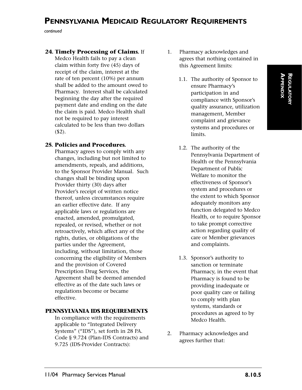*continued*

#### **24. Timely Processing of Claims.** If

Medco Health fails to pay a clean claim within forty five (45) days of receipt of the claim, interest at the rate of ten percent (10%) per annum shall be added to the amount owed to Pharmacy. Interest shall be calculated beginning the day after the required payment date and ending on the date the claim is paid. Medco Health shall not be required to pay interest calculated to be less than two dollars (\$2).

#### **25. Policies and Procedures.**

Pharmacy agrees to comply with any changes, including but not limited to amendments, repeals, and additions, to the Sponsor Provider Manual. Such changes shall be binding upon Provider thirty (30) days after Provider's receipt of written notice thereof, unless circumstances require an earlier effective date. If any applicable laws or regulations are enacted, amended, promulgated, repealed, or revised, whether or not retroactively, which affect any of the rights, duties, or obligations of the parties under the Agreement, including, without limitation, those concerning the eligibility of Members and the provision of Covered Prescription Drug Services, the Agreement shall be deemed amended effective as of the date such laws or regulations become or became effective.

#### **PENNSYLVANIA IDS REQUIREMENTS**

In compliance with the requirements applicable to "Integrated Delivery Systems" ("IDS"), set forth in 28 PA. Code § 9.724 (Plan-IDS Contracts) and 9.725 (IDS-Provider Contracts):

- 1. Pharmacy acknowledges and agrees that nothing contained in this Agreement limits:
	- 1.1. The authority of Sponsor to ensure Pharmacy's participation in and compliance with Sponsor's quality assurance, utilization management, Member complaint and grievance systems and procedures or limits.
	- 1.2. The authority of the Pennsylvania Department of Health or the Pennsylvania Department of Public Welfare to monitor the effectiveness of Sponsor's system and procedures or the extent to which Sponsor adequately monitors any function delegated to Medco Health, or to require Sponsor to take prompt corrective action regarding quality of care or Member grievances and complaints.
	- 1.3. Sponsor's authority to sanction or terminate Pharmacy, in the event that Pharmacy is found to be providing inadequate or poor quality care or failing to comply with plan systems, standards or procedures as agreed to by Medco Health.
- 2. Pharmacy acknowledges and agrees further that: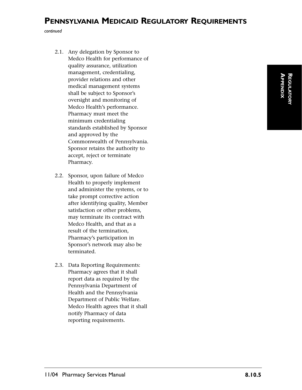*continued*

- 2.1. Any delegation by Sponsor to Medco Health for performance of quality assurance, utilization management, credentialing, provider relations and other medical management systems shall be subject to Sponsor's oversight and monitoring of Medco Health's performance. Pharmacy must meet the minimum credentialing standards established by Sponsor and approved by the Commonwealth of Pennsylvania. Sponsor retains the authority to accept, reject or terminate Pharmacy.
- 2.2. Sponsor, upon failure of Medco Health to properly implement and administer the systems, or to take prompt corrective action after identifying quality, Member satisfaction or other problems, may terminate its contract with Medco Health, and that as a result of the termination, Pharmacy's participation in Sponsor's network may also be terminated.
- 2.3. Data Reporting Requirements: Pharmacy agrees that it shall report data as required by the Pennsylvania Department of Health and the Pennsylvania Department of Public Welfare. Medco Health agrees that it shall notify Pharmacy of data reporting requirements.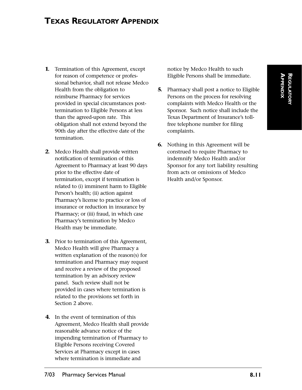# **TEXAS REGULATORY APPENDIX**

- **1.** Termination of this Agreement, except for reason of competence or professional behavior, shall not release Medco Health from the obligation to reimburse Pharmacy for services provided in special circumstances posttermination to Eligible Persons at less than the agreed-upon rate. This obligation shall not extend beyond the 90th day after the effective date of the termination.
- **2.** Medco Health shall provide written notification of termination of this Agreement to Pharmacy at least 90 days prior to the effective date of termination, except if termination is related to (i) imminent harm to Eligible Person's health; (ii) action against Pharmacy's license to practice or loss of insurance or reduction in insurance by Pharmacy; or (iii) fraud, in which case Pharmacy's termination by Medco Health may be immediate.
- **3.** Prior to termination of this Agreement, Medco Health will give Pharmacy a written explanation of the reason(s) for termination and Pharmacy may request and receive a review of the proposed termination by an advisory review panel. Such review shall not be provided in cases where termination is related to the provisions set forth in Section 2 above.
- **4.** In the event of termination of this Agreement, Medco Health shall provide reasonable advance notice of the impending termination of Pharmacy to Eligible Persons receiving Covered Services at Pharmacy except in cases where termination is immediate and

notice by Medco Health to such Eligible Persons shall be immediate.

- **5.** Pharmacy shall post a notice to Eligible Persons on the process for resolving complaints with Medco Health or the Sponsor. Such notice shall include the Texas Department of Insurance's tollfree telephone number for filing complaints.
- **6.** Nothing in this Agreement will be construed to require Pharmacy to indemnify Medco Health and/or Sponsor for any tort liability resulting from acts or omissions of Medco Health and/or Sponsor.